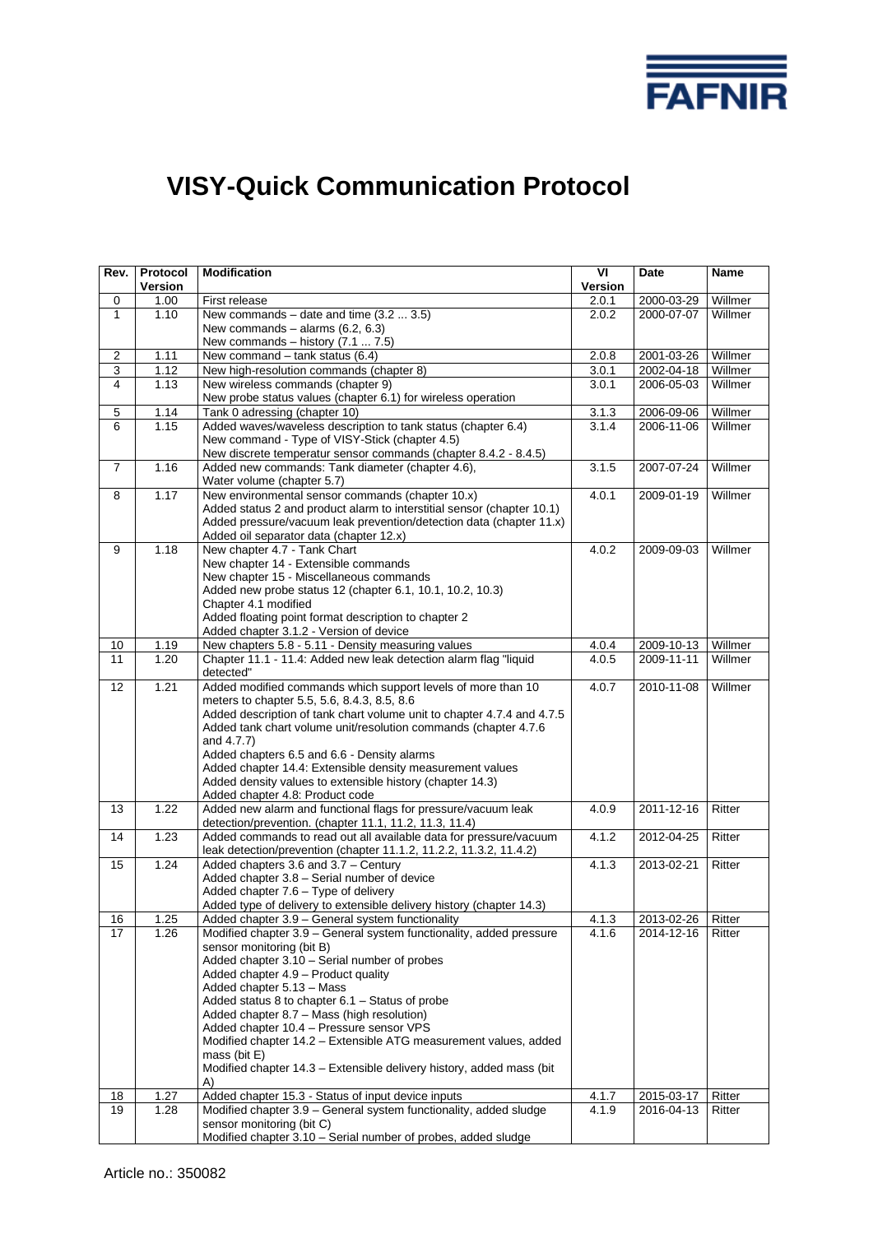

# **VISY-Quick Communication Protocol**

| Willmer<br>0<br>2.0.1<br>2000-03-29<br>1.00<br>First release<br>New commands – date and time $(3.2  3.5)$<br>Willmer<br>1<br>1.10<br>2000-07-07<br>2.0.2<br>New commands $-$ alarms (6.2, 6.3)<br>New commands $-$ history (7.1  7.5)<br>Willmer<br>$\overline{c}$<br>1.11<br>New command $-$ tank status (6.4)<br>2.0.8<br>2001-03-26<br>Willmer<br>3<br>1.12<br>New high-resolution commands (chapter 8)<br>2002-04-18<br>3.0.1<br>Willmer<br>1.13<br>New wireless commands (chapter 9)<br>2006-05-03<br>4<br>3.0.1<br>New probe status values (chapter 6.1) for wireless operation<br>Willmer<br>5<br>1.14<br>Tank 0 adressing (chapter 10)<br>3.1.3<br>2006-09-06<br>Added waves/waveless description to tank status (chapter 6.4)<br>Willmer<br>1.15<br>6<br>3.1.4<br>2006-11-06<br>New command - Type of VISY-Stick (chapter 4.5)<br>New discrete temperatur sensor commands (chapter 8.4.2 - 8.4.5)<br>Willmer<br>$\overline{7}$<br>1.16<br>Added new commands: Tank diameter (chapter 4.6),<br>3.1.5<br>2007-07-24<br>Water volume (chapter 5.7)<br>Willmer<br>1.17<br>New environmental sensor commands (chapter 10.x)<br>8<br>4.0.1<br>2009-01-19<br>Added status 2 and product alarm to interstitial sensor (chapter 10.1)<br>Added pressure/vacuum leak prevention/detection data (chapter 11.x)<br>Added oil separator data (chapter 12.x)<br>1.18<br>New chapter 4.7 - Tank Chart<br>9<br>4.0.2<br>Willmer<br>2009-09-03<br>New chapter 14 - Extensible commands<br>New chapter 15 - Miscellaneous commands<br>Added new probe status 12 (chapter 6.1, 10.1, 10.2, 10.3)<br>Chapter 4.1 modified<br>Added floating point format description to chapter 2<br>Added chapter 3.1.2 - Version of device<br>Willmer<br>1.19<br>New chapters 5.8 - 5.11 - Density measuring values<br>10<br>4.0.4<br>2009-10-13<br>Willmer<br>11<br>1.20<br>Chapter 11.1 - 11.4: Added new leak detection alarm flag "liquid<br>4.0.5<br>2009-11-11<br>detected"<br>1.21<br>Added modified commands which support levels of more than 10<br>Willmer<br>12<br>4.0.7<br>2010-11-08<br>meters to chapter 5.5, 5.6, 8.4.3, 8.5, 8.6<br>Added description of tank chart volume unit to chapter 4.7.4 and 4.7.5<br>Added tank chart volume unit/resolution commands (chapter 4.7.6<br>and 4.7.7)<br>Added chapters 6.5 and 6.6 - Density alarms<br>Added chapter 14.4: Extensible density measurement values<br>Added density values to extensible history (chapter 14.3)<br>Added chapter 4.8: Product code<br>1.22<br>Added new alarm and functional flags for pressure/vacuum leak<br>13<br>4.0.9<br>2011-12-16<br>Ritter<br>detection/prevention. (chapter 11.1, 11.2, 11.3, 11.4)<br>14<br>1.23<br>Added commands to read out all available data for pressure/vacuum<br>4.1.2<br>2012-04-25<br>Ritter<br>leak detection/prevention (chapter 11.1.2, 11.2.2, 11.3.2, 11.4.2)<br>1.24<br>Added chapters 3.6 and 3.7 - Century<br>Ritter<br>15<br>4.1.3<br>2013-02-21<br>Added chapter 3.8 - Serial number of device<br>Added chapter 7.6 - Type of delivery<br>Added type of delivery to extensible delivery history (chapter 14.3)<br>1.25<br>4.1.3<br>2013-02-26<br>Ritter<br>$\overline{16}$<br>Added chapter 3.9 - General system functionality<br>17<br>Modified chapter 3.9 - General system functionality, added pressure<br>1.26<br>4.1.6<br>2014-12-16<br>Ritter<br>sensor monitoring (bit B)<br>Added chapter 3.10 - Serial number of probes<br>Added chapter 4.9 - Product quality<br>Added chapter 5.13 - Mass<br>Added status 8 to chapter 6.1 - Status of probe<br>Added chapter 8.7 - Mass (high resolution)<br>Added chapter 10.4 - Pressure sensor VPS<br>Modified chapter 14.2 - Extensible ATG measurement values, added<br>mass (bit $E$ )<br>Modified chapter 14.3 - Extensible delivery history, added mass (bit<br>A)<br>1.27<br>Ritter<br>18<br>Added chapter 15.3 - Status of input device inputs<br>4.1.7<br>2015-03-17<br>19<br>Modified chapter 3.9 - General system functionality, added sludge<br>1.28<br>4.1.9<br>2016-04-13<br>Ritter<br>sensor monitoring (bit C) | Rev. | Protocol<br>Version | <b>Modification</b> | VI<br>Version | Date | Name |
|-----------------------------------------------------------------------------------------------------------------------------------------------------------------------------------------------------------------------------------------------------------------------------------------------------------------------------------------------------------------------------------------------------------------------------------------------------------------------------------------------------------------------------------------------------------------------------------------------------------------------------------------------------------------------------------------------------------------------------------------------------------------------------------------------------------------------------------------------------------------------------------------------------------------------------------------------------------------------------------------------------------------------------------------------------------------------------------------------------------------------------------------------------------------------------------------------------------------------------------------------------------------------------------------------------------------------------------------------------------------------------------------------------------------------------------------------------------------------------------------------------------------------------------------------------------------------------------------------------------------------------------------------------------------------------------------------------------------------------------------------------------------------------------------------------------------------------------------------------------------------------------------------------------------------------------------------------------------------------------------------------------------------------------------------------------------------------------------------------------------------------------------------------------------------------------------------------------------------------------------------------------------------------------------------------------------------------------------------------------------------------------------------------------------------------------------------------------------------------------------------------------------------------------------------------------------------------------------------------------------------------------------------------------------------------------------------------------------------------------------------------------------------------------------------------------------------------------------------------------------------------------------------------------------------------------------------------------------------------------------------------------------------------------------------------------------------------------------------------------------------------------------------------------------------------------------------------------------------------------------------------------------------------------------------------------------------------------------------------------------------------------------------------------------------------------------------------------------------------------------------------------------------------------------------------------------------------------------------------------------------------------------------------------------------------------------------------------------------------------------------------------------------------------------------------------------------------------------------------------------------------------------------------------------------------------------------------------------------------------------------------------------------------------------------------------------------------------------|------|---------------------|---------------------|---------------|------|------|
|                                                                                                                                                                                                                                                                                                                                                                                                                                                                                                                                                                                                                                                                                                                                                                                                                                                                                                                                                                                                                                                                                                                                                                                                                                                                                                                                                                                                                                                                                                                                                                                                                                                                                                                                                                                                                                                                                                                                                                                                                                                                                                                                                                                                                                                                                                                                                                                                                                                                                                                                                                                                                                                                                                                                                                                                                                                                                                                                                                                                                                                                                                                                                                                                                                                                                                                                                                                                                                                                                                                                                                                                                                                                                                                                                                                                                                                                                                                                                                                                                                                                                         |      |                     |                     |               |      |      |
|                                                                                                                                                                                                                                                                                                                                                                                                                                                                                                                                                                                                                                                                                                                                                                                                                                                                                                                                                                                                                                                                                                                                                                                                                                                                                                                                                                                                                                                                                                                                                                                                                                                                                                                                                                                                                                                                                                                                                                                                                                                                                                                                                                                                                                                                                                                                                                                                                                                                                                                                                                                                                                                                                                                                                                                                                                                                                                                                                                                                                                                                                                                                                                                                                                                                                                                                                                                                                                                                                                                                                                                                                                                                                                                                                                                                                                                                                                                                                                                                                                                                                         |      |                     |                     |               |      |      |
|                                                                                                                                                                                                                                                                                                                                                                                                                                                                                                                                                                                                                                                                                                                                                                                                                                                                                                                                                                                                                                                                                                                                                                                                                                                                                                                                                                                                                                                                                                                                                                                                                                                                                                                                                                                                                                                                                                                                                                                                                                                                                                                                                                                                                                                                                                                                                                                                                                                                                                                                                                                                                                                                                                                                                                                                                                                                                                                                                                                                                                                                                                                                                                                                                                                                                                                                                                                                                                                                                                                                                                                                                                                                                                                                                                                                                                                                                                                                                                                                                                                                                         |      |                     |                     |               |      |      |
|                                                                                                                                                                                                                                                                                                                                                                                                                                                                                                                                                                                                                                                                                                                                                                                                                                                                                                                                                                                                                                                                                                                                                                                                                                                                                                                                                                                                                                                                                                                                                                                                                                                                                                                                                                                                                                                                                                                                                                                                                                                                                                                                                                                                                                                                                                                                                                                                                                                                                                                                                                                                                                                                                                                                                                                                                                                                                                                                                                                                                                                                                                                                                                                                                                                                                                                                                                                                                                                                                                                                                                                                                                                                                                                                                                                                                                                                                                                                                                                                                                                                                         |      |                     |                     |               |      |      |
|                                                                                                                                                                                                                                                                                                                                                                                                                                                                                                                                                                                                                                                                                                                                                                                                                                                                                                                                                                                                                                                                                                                                                                                                                                                                                                                                                                                                                                                                                                                                                                                                                                                                                                                                                                                                                                                                                                                                                                                                                                                                                                                                                                                                                                                                                                                                                                                                                                                                                                                                                                                                                                                                                                                                                                                                                                                                                                                                                                                                                                                                                                                                                                                                                                                                                                                                                                                                                                                                                                                                                                                                                                                                                                                                                                                                                                                                                                                                                                                                                                                                                         |      |                     |                     |               |      |      |
|                                                                                                                                                                                                                                                                                                                                                                                                                                                                                                                                                                                                                                                                                                                                                                                                                                                                                                                                                                                                                                                                                                                                                                                                                                                                                                                                                                                                                                                                                                                                                                                                                                                                                                                                                                                                                                                                                                                                                                                                                                                                                                                                                                                                                                                                                                                                                                                                                                                                                                                                                                                                                                                                                                                                                                                                                                                                                                                                                                                                                                                                                                                                                                                                                                                                                                                                                                                                                                                                                                                                                                                                                                                                                                                                                                                                                                                                                                                                                                                                                                                                                         |      |                     |                     |               |      |      |
|                                                                                                                                                                                                                                                                                                                                                                                                                                                                                                                                                                                                                                                                                                                                                                                                                                                                                                                                                                                                                                                                                                                                                                                                                                                                                                                                                                                                                                                                                                                                                                                                                                                                                                                                                                                                                                                                                                                                                                                                                                                                                                                                                                                                                                                                                                                                                                                                                                                                                                                                                                                                                                                                                                                                                                                                                                                                                                                                                                                                                                                                                                                                                                                                                                                                                                                                                                                                                                                                                                                                                                                                                                                                                                                                                                                                                                                                                                                                                                                                                                                                                         |      |                     |                     |               |      |      |
|                                                                                                                                                                                                                                                                                                                                                                                                                                                                                                                                                                                                                                                                                                                                                                                                                                                                                                                                                                                                                                                                                                                                                                                                                                                                                                                                                                                                                                                                                                                                                                                                                                                                                                                                                                                                                                                                                                                                                                                                                                                                                                                                                                                                                                                                                                                                                                                                                                                                                                                                                                                                                                                                                                                                                                                                                                                                                                                                                                                                                                                                                                                                                                                                                                                                                                                                                                                                                                                                                                                                                                                                                                                                                                                                                                                                                                                                                                                                                                                                                                                                                         |      |                     |                     |               |      |      |
|                                                                                                                                                                                                                                                                                                                                                                                                                                                                                                                                                                                                                                                                                                                                                                                                                                                                                                                                                                                                                                                                                                                                                                                                                                                                                                                                                                                                                                                                                                                                                                                                                                                                                                                                                                                                                                                                                                                                                                                                                                                                                                                                                                                                                                                                                                                                                                                                                                                                                                                                                                                                                                                                                                                                                                                                                                                                                                                                                                                                                                                                                                                                                                                                                                                                                                                                                                                                                                                                                                                                                                                                                                                                                                                                                                                                                                                                                                                                                                                                                                                                                         |      |                     |                     |               |      |      |
|                                                                                                                                                                                                                                                                                                                                                                                                                                                                                                                                                                                                                                                                                                                                                                                                                                                                                                                                                                                                                                                                                                                                                                                                                                                                                                                                                                                                                                                                                                                                                                                                                                                                                                                                                                                                                                                                                                                                                                                                                                                                                                                                                                                                                                                                                                                                                                                                                                                                                                                                                                                                                                                                                                                                                                                                                                                                                                                                                                                                                                                                                                                                                                                                                                                                                                                                                                                                                                                                                                                                                                                                                                                                                                                                                                                                                                                                                                                                                                                                                                                                                         |      |                     |                     |               |      |      |
|                                                                                                                                                                                                                                                                                                                                                                                                                                                                                                                                                                                                                                                                                                                                                                                                                                                                                                                                                                                                                                                                                                                                                                                                                                                                                                                                                                                                                                                                                                                                                                                                                                                                                                                                                                                                                                                                                                                                                                                                                                                                                                                                                                                                                                                                                                                                                                                                                                                                                                                                                                                                                                                                                                                                                                                                                                                                                                                                                                                                                                                                                                                                                                                                                                                                                                                                                                                                                                                                                                                                                                                                                                                                                                                                                                                                                                                                                                                                                                                                                                                                                         |      |                     |                     |               |      |      |
|                                                                                                                                                                                                                                                                                                                                                                                                                                                                                                                                                                                                                                                                                                                                                                                                                                                                                                                                                                                                                                                                                                                                                                                                                                                                                                                                                                                                                                                                                                                                                                                                                                                                                                                                                                                                                                                                                                                                                                                                                                                                                                                                                                                                                                                                                                                                                                                                                                                                                                                                                                                                                                                                                                                                                                                                                                                                                                                                                                                                                                                                                                                                                                                                                                                                                                                                                                                                                                                                                                                                                                                                                                                                                                                                                                                                                                                                                                                                                                                                                                                                                         |      |                     |                     |               |      |      |
|                                                                                                                                                                                                                                                                                                                                                                                                                                                                                                                                                                                                                                                                                                                                                                                                                                                                                                                                                                                                                                                                                                                                                                                                                                                                                                                                                                                                                                                                                                                                                                                                                                                                                                                                                                                                                                                                                                                                                                                                                                                                                                                                                                                                                                                                                                                                                                                                                                                                                                                                                                                                                                                                                                                                                                                                                                                                                                                                                                                                                                                                                                                                                                                                                                                                                                                                                                                                                                                                                                                                                                                                                                                                                                                                                                                                                                                                                                                                                                                                                                                                                         |      |                     |                     |               |      |      |
|                                                                                                                                                                                                                                                                                                                                                                                                                                                                                                                                                                                                                                                                                                                                                                                                                                                                                                                                                                                                                                                                                                                                                                                                                                                                                                                                                                                                                                                                                                                                                                                                                                                                                                                                                                                                                                                                                                                                                                                                                                                                                                                                                                                                                                                                                                                                                                                                                                                                                                                                                                                                                                                                                                                                                                                                                                                                                                                                                                                                                                                                                                                                                                                                                                                                                                                                                                                                                                                                                                                                                                                                                                                                                                                                                                                                                                                                                                                                                                                                                                                                                         |      |                     |                     |               |      |      |
|                                                                                                                                                                                                                                                                                                                                                                                                                                                                                                                                                                                                                                                                                                                                                                                                                                                                                                                                                                                                                                                                                                                                                                                                                                                                                                                                                                                                                                                                                                                                                                                                                                                                                                                                                                                                                                                                                                                                                                                                                                                                                                                                                                                                                                                                                                                                                                                                                                                                                                                                                                                                                                                                                                                                                                                                                                                                                                                                                                                                                                                                                                                                                                                                                                                                                                                                                                                                                                                                                                                                                                                                                                                                                                                                                                                                                                                                                                                                                                                                                                                                                         |      |                     |                     |               |      |      |
|                                                                                                                                                                                                                                                                                                                                                                                                                                                                                                                                                                                                                                                                                                                                                                                                                                                                                                                                                                                                                                                                                                                                                                                                                                                                                                                                                                                                                                                                                                                                                                                                                                                                                                                                                                                                                                                                                                                                                                                                                                                                                                                                                                                                                                                                                                                                                                                                                                                                                                                                                                                                                                                                                                                                                                                                                                                                                                                                                                                                                                                                                                                                                                                                                                                                                                                                                                                                                                                                                                                                                                                                                                                                                                                                                                                                                                                                                                                                                                                                                                                                                         |      |                     |                     |               |      |      |
|                                                                                                                                                                                                                                                                                                                                                                                                                                                                                                                                                                                                                                                                                                                                                                                                                                                                                                                                                                                                                                                                                                                                                                                                                                                                                                                                                                                                                                                                                                                                                                                                                                                                                                                                                                                                                                                                                                                                                                                                                                                                                                                                                                                                                                                                                                                                                                                                                                                                                                                                                                                                                                                                                                                                                                                                                                                                                                                                                                                                                                                                                                                                                                                                                                                                                                                                                                                                                                                                                                                                                                                                                                                                                                                                                                                                                                                                                                                                                                                                                                                                                         |      |                     |                     |               |      |      |
|                                                                                                                                                                                                                                                                                                                                                                                                                                                                                                                                                                                                                                                                                                                                                                                                                                                                                                                                                                                                                                                                                                                                                                                                                                                                                                                                                                                                                                                                                                                                                                                                                                                                                                                                                                                                                                                                                                                                                                                                                                                                                                                                                                                                                                                                                                                                                                                                                                                                                                                                                                                                                                                                                                                                                                                                                                                                                                                                                                                                                                                                                                                                                                                                                                                                                                                                                                                                                                                                                                                                                                                                                                                                                                                                                                                                                                                                                                                                                                                                                                                                                         |      |                     |                     |               |      |      |
|                                                                                                                                                                                                                                                                                                                                                                                                                                                                                                                                                                                                                                                                                                                                                                                                                                                                                                                                                                                                                                                                                                                                                                                                                                                                                                                                                                                                                                                                                                                                                                                                                                                                                                                                                                                                                                                                                                                                                                                                                                                                                                                                                                                                                                                                                                                                                                                                                                                                                                                                                                                                                                                                                                                                                                                                                                                                                                                                                                                                                                                                                                                                                                                                                                                                                                                                                                                                                                                                                                                                                                                                                                                                                                                                                                                                                                                                                                                                                                                                                                                                                         |      |                     |                     |               |      |      |
|                                                                                                                                                                                                                                                                                                                                                                                                                                                                                                                                                                                                                                                                                                                                                                                                                                                                                                                                                                                                                                                                                                                                                                                                                                                                                                                                                                                                                                                                                                                                                                                                                                                                                                                                                                                                                                                                                                                                                                                                                                                                                                                                                                                                                                                                                                                                                                                                                                                                                                                                                                                                                                                                                                                                                                                                                                                                                                                                                                                                                                                                                                                                                                                                                                                                                                                                                                                                                                                                                                                                                                                                                                                                                                                                                                                                                                                                                                                                                                                                                                                                                         |      |                     |                     |               |      |      |
|                                                                                                                                                                                                                                                                                                                                                                                                                                                                                                                                                                                                                                                                                                                                                                                                                                                                                                                                                                                                                                                                                                                                                                                                                                                                                                                                                                                                                                                                                                                                                                                                                                                                                                                                                                                                                                                                                                                                                                                                                                                                                                                                                                                                                                                                                                                                                                                                                                                                                                                                                                                                                                                                                                                                                                                                                                                                                                                                                                                                                                                                                                                                                                                                                                                                                                                                                                                                                                                                                                                                                                                                                                                                                                                                                                                                                                                                                                                                                                                                                                                                                         |      |                     |                     |               |      |      |
|                                                                                                                                                                                                                                                                                                                                                                                                                                                                                                                                                                                                                                                                                                                                                                                                                                                                                                                                                                                                                                                                                                                                                                                                                                                                                                                                                                                                                                                                                                                                                                                                                                                                                                                                                                                                                                                                                                                                                                                                                                                                                                                                                                                                                                                                                                                                                                                                                                                                                                                                                                                                                                                                                                                                                                                                                                                                                                                                                                                                                                                                                                                                                                                                                                                                                                                                                                                                                                                                                                                                                                                                                                                                                                                                                                                                                                                                                                                                                                                                                                                                                         |      |                     |                     |               |      |      |
|                                                                                                                                                                                                                                                                                                                                                                                                                                                                                                                                                                                                                                                                                                                                                                                                                                                                                                                                                                                                                                                                                                                                                                                                                                                                                                                                                                                                                                                                                                                                                                                                                                                                                                                                                                                                                                                                                                                                                                                                                                                                                                                                                                                                                                                                                                                                                                                                                                                                                                                                                                                                                                                                                                                                                                                                                                                                                                                                                                                                                                                                                                                                                                                                                                                                                                                                                                                                                                                                                                                                                                                                                                                                                                                                                                                                                                                                                                                                                                                                                                                                                         |      |                     |                     |               |      |      |
|                                                                                                                                                                                                                                                                                                                                                                                                                                                                                                                                                                                                                                                                                                                                                                                                                                                                                                                                                                                                                                                                                                                                                                                                                                                                                                                                                                                                                                                                                                                                                                                                                                                                                                                                                                                                                                                                                                                                                                                                                                                                                                                                                                                                                                                                                                                                                                                                                                                                                                                                                                                                                                                                                                                                                                                                                                                                                                                                                                                                                                                                                                                                                                                                                                                                                                                                                                                                                                                                                                                                                                                                                                                                                                                                                                                                                                                                                                                                                                                                                                                                                         |      |                     |                     |               |      |      |
|                                                                                                                                                                                                                                                                                                                                                                                                                                                                                                                                                                                                                                                                                                                                                                                                                                                                                                                                                                                                                                                                                                                                                                                                                                                                                                                                                                                                                                                                                                                                                                                                                                                                                                                                                                                                                                                                                                                                                                                                                                                                                                                                                                                                                                                                                                                                                                                                                                                                                                                                                                                                                                                                                                                                                                                                                                                                                                                                                                                                                                                                                                                                                                                                                                                                                                                                                                                                                                                                                                                                                                                                                                                                                                                                                                                                                                                                                                                                                                                                                                                                                         |      |                     |                     |               |      |      |
|                                                                                                                                                                                                                                                                                                                                                                                                                                                                                                                                                                                                                                                                                                                                                                                                                                                                                                                                                                                                                                                                                                                                                                                                                                                                                                                                                                                                                                                                                                                                                                                                                                                                                                                                                                                                                                                                                                                                                                                                                                                                                                                                                                                                                                                                                                                                                                                                                                                                                                                                                                                                                                                                                                                                                                                                                                                                                                                                                                                                                                                                                                                                                                                                                                                                                                                                                                                                                                                                                                                                                                                                                                                                                                                                                                                                                                                                                                                                                                                                                                                                                         |      |                     |                     |               |      |      |
|                                                                                                                                                                                                                                                                                                                                                                                                                                                                                                                                                                                                                                                                                                                                                                                                                                                                                                                                                                                                                                                                                                                                                                                                                                                                                                                                                                                                                                                                                                                                                                                                                                                                                                                                                                                                                                                                                                                                                                                                                                                                                                                                                                                                                                                                                                                                                                                                                                                                                                                                                                                                                                                                                                                                                                                                                                                                                                                                                                                                                                                                                                                                                                                                                                                                                                                                                                                                                                                                                                                                                                                                                                                                                                                                                                                                                                                                                                                                                                                                                                                                                         |      |                     |                     |               |      |      |
|                                                                                                                                                                                                                                                                                                                                                                                                                                                                                                                                                                                                                                                                                                                                                                                                                                                                                                                                                                                                                                                                                                                                                                                                                                                                                                                                                                                                                                                                                                                                                                                                                                                                                                                                                                                                                                                                                                                                                                                                                                                                                                                                                                                                                                                                                                                                                                                                                                                                                                                                                                                                                                                                                                                                                                                                                                                                                                                                                                                                                                                                                                                                                                                                                                                                                                                                                                                                                                                                                                                                                                                                                                                                                                                                                                                                                                                                                                                                                                                                                                                                                         |      |                     |                     |               |      |      |
|                                                                                                                                                                                                                                                                                                                                                                                                                                                                                                                                                                                                                                                                                                                                                                                                                                                                                                                                                                                                                                                                                                                                                                                                                                                                                                                                                                                                                                                                                                                                                                                                                                                                                                                                                                                                                                                                                                                                                                                                                                                                                                                                                                                                                                                                                                                                                                                                                                                                                                                                                                                                                                                                                                                                                                                                                                                                                                                                                                                                                                                                                                                                                                                                                                                                                                                                                                                                                                                                                                                                                                                                                                                                                                                                                                                                                                                                                                                                                                                                                                                                                         |      |                     |                     |               |      |      |
|                                                                                                                                                                                                                                                                                                                                                                                                                                                                                                                                                                                                                                                                                                                                                                                                                                                                                                                                                                                                                                                                                                                                                                                                                                                                                                                                                                                                                                                                                                                                                                                                                                                                                                                                                                                                                                                                                                                                                                                                                                                                                                                                                                                                                                                                                                                                                                                                                                                                                                                                                                                                                                                                                                                                                                                                                                                                                                                                                                                                                                                                                                                                                                                                                                                                                                                                                                                                                                                                                                                                                                                                                                                                                                                                                                                                                                                                                                                                                                                                                                                                                         |      |                     |                     |               |      |      |
|                                                                                                                                                                                                                                                                                                                                                                                                                                                                                                                                                                                                                                                                                                                                                                                                                                                                                                                                                                                                                                                                                                                                                                                                                                                                                                                                                                                                                                                                                                                                                                                                                                                                                                                                                                                                                                                                                                                                                                                                                                                                                                                                                                                                                                                                                                                                                                                                                                                                                                                                                                                                                                                                                                                                                                                                                                                                                                                                                                                                                                                                                                                                                                                                                                                                                                                                                                                                                                                                                                                                                                                                                                                                                                                                                                                                                                                                                                                                                                                                                                                                                         |      |                     |                     |               |      |      |
|                                                                                                                                                                                                                                                                                                                                                                                                                                                                                                                                                                                                                                                                                                                                                                                                                                                                                                                                                                                                                                                                                                                                                                                                                                                                                                                                                                                                                                                                                                                                                                                                                                                                                                                                                                                                                                                                                                                                                                                                                                                                                                                                                                                                                                                                                                                                                                                                                                                                                                                                                                                                                                                                                                                                                                                                                                                                                                                                                                                                                                                                                                                                                                                                                                                                                                                                                                                                                                                                                                                                                                                                                                                                                                                                                                                                                                                                                                                                                                                                                                                                                         |      |                     |                     |               |      |      |
|                                                                                                                                                                                                                                                                                                                                                                                                                                                                                                                                                                                                                                                                                                                                                                                                                                                                                                                                                                                                                                                                                                                                                                                                                                                                                                                                                                                                                                                                                                                                                                                                                                                                                                                                                                                                                                                                                                                                                                                                                                                                                                                                                                                                                                                                                                                                                                                                                                                                                                                                                                                                                                                                                                                                                                                                                                                                                                                                                                                                                                                                                                                                                                                                                                                                                                                                                                                                                                                                                                                                                                                                                                                                                                                                                                                                                                                                                                                                                                                                                                                                                         |      |                     |                     |               |      |      |
|                                                                                                                                                                                                                                                                                                                                                                                                                                                                                                                                                                                                                                                                                                                                                                                                                                                                                                                                                                                                                                                                                                                                                                                                                                                                                                                                                                                                                                                                                                                                                                                                                                                                                                                                                                                                                                                                                                                                                                                                                                                                                                                                                                                                                                                                                                                                                                                                                                                                                                                                                                                                                                                                                                                                                                                                                                                                                                                                                                                                                                                                                                                                                                                                                                                                                                                                                                                                                                                                                                                                                                                                                                                                                                                                                                                                                                                                                                                                                                                                                                                                                         |      |                     |                     |               |      |      |
|                                                                                                                                                                                                                                                                                                                                                                                                                                                                                                                                                                                                                                                                                                                                                                                                                                                                                                                                                                                                                                                                                                                                                                                                                                                                                                                                                                                                                                                                                                                                                                                                                                                                                                                                                                                                                                                                                                                                                                                                                                                                                                                                                                                                                                                                                                                                                                                                                                                                                                                                                                                                                                                                                                                                                                                                                                                                                                                                                                                                                                                                                                                                                                                                                                                                                                                                                                                                                                                                                                                                                                                                                                                                                                                                                                                                                                                                                                                                                                                                                                                                                         |      |                     |                     |               |      |      |
|                                                                                                                                                                                                                                                                                                                                                                                                                                                                                                                                                                                                                                                                                                                                                                                                                                                                                                                                                                                                                                                                                                                                                                                                                                                                                                                                                                                                                                                                                                                                                                                                                                                                                                                                                                                                                                                                                                                                                                                                                                                                                                                                                                                                                                                                                                                                                                                                                                                                                                                                                                                                                                                                                                                                                                                                                                                                                                                                                                                                                                                                                                                                                                                                                                                                                                                                                                                                                                                                                                                                                                                                                                                                                                                                                                                                                                                                                                                                                                                                                                                                                         |      |                     |                     |               |      |      |
|                                                                                                                                                                                                                                                                                                                                                                                                                                                                                                                                                                                                                                                                                                                                                                                                                                                                                                                                                                                                                                                                                                                                                                                                                                                                                                                                                                                                                                                                                                                                                                                                                                                                                                                                                                                                                                                                                                                                                                                                                                                                                                                                                                                                                                                                                                                                                                                                                                                                                                                                                                                                                                                                                                                                                                                                                                                                                                                                                                                                                                                                                                                                                                                                                                                                                                                                                                                                                                                                                                                                                                                                                                                                                                                                                                                                                                                                                                                                                                                                                                                                                         |      |                     |                     |               |      |      |
|                                                                                                                                                                                                                                                                                                                                                                                                                                                                                                                                                                                                                                                                                                                                                                                                                                                                                                                                                                                                                                                                                                                                                                                                                                                                                                                                                                                                                                                                                                                                                                                                                                                                                                                                                                                                                                                                                                                                                                                                                                                                                                                                                                                                                                                                                                                                                                                                                                                                                                                                                                                                                                                                                                                                                                                                                                                                                                                                                                                                                                                                                                                                                                                                                                                                                                                                                                                                                                                                                                                                                                                                                                                                                                                                                                                                                                                                                                                                                                                                                                                                                         |      |                     |                     |               |      |      |
|                                                                                                                                                                                                                                                                                                                                                                                                                                                                                                                                                                                                                                                                                                                                                                                                                                                                                                                                                                                                                                                                                                                                                                                                                                                                                                                                                                                                                                                                                                                                                                                                                                                                                                                                                                                                                                                                                                                                                                                                                                                                                                                                                                                                                                                                                                                                                                                                                                                                                                                                                                                                                                                                                                                                                                                                                                                                                                                                                                                                                                                                                                                                                                                                                                                                                                                                                                                                                                                                                                                                                                                                                                                                                                                                                                                                                                                                                                                                                                                                                                                                                         |      |                     |                     |               |      |      |
|                                                                                                                                                                                                                                                                                                                                                                                                                                                                                                                                                                                                                                                                                                                                                                                                                                                                                                                                                                                                                                                                                                                                                                                                                                                                                                                                                                                                                                                                                                                                                                                                                                                                                                                                                                                                                                                                                                                                                                                                                                                                                                                                                                                                                                                                                                                                                                                                                                                                                                                                                                                                                                                                                                                                                                                                                                                                                                                                                                                                                                                                                                                                                                                                                                                                                                                                                                                                                                                                                                                                                                                                                                                                                                                                                                                                                                                                                                                                                                                                                                                                                         |      |                     |                     |               |      |      |
|                                                                                                                                                                                                                                                                                                                                                                                                                                                                                                                                                                                                                                                                                                                                                                                                                                                                                                                                                                                                                                                                                                                                                                                                                                                                                                                                                                                                                                                                                                                                                                                                                                                                                                                                                                                                                                                                                                                                                                                                                                                                                                                                                                                                                                                                                                                                                                                                                                                                                                                                                                                                                                                                                                                                                                                                                                                                                                                                                                                                                                                                                                                                                                                                                                                                                                                                                                                                                                                                                                                                                                                                                                                                                                                                                                                                                                                                                                                                                                                                                                                                                         |      |                     |                     |               |      |      |
|                                                                                                                                                                                                                                                                                                                                                                                                                                                                                                                                                                                                                                                                                                                                                                                                                                                                                                                                                                                                                                                                                                                                                                                                                                                                                                                                                                                                                                                                                                                                                                                                                                                                                                                                                                                                                                                                                                                                                                                                                                                                                                                                                                                                                                                                                                                                                                                                                                                                                                                                                                                                                                                                                                                                                                                                                                                                                                                                                                                                                                                                                                                                                                                                                                                                                                                                                                                                                                                                                                                                                                                                                                                                                                                                                                                                                                                                                                                                                                                                                                                                                         |      |                     |                     |               |      |      |
|                                                                                                                                                                                                                                                                                                                                                                                                                                                                                                                                                                                                                                                                                                                                                                                                                                                                                                                                                                                                                                                                                                                                                                                                                                                                                                                                                                                                                                                                                                                                                                                                                                                                                                                                                                                                                                                                                                                                                                                                                                                                                                                                                                                                                                                                                                                                                                                                                                                                                                                                                                                                                                                                                                                                                                                                                                                                                                                                                                                                                                                                                                                                                                                                                                                                                                                                                                                                                                                                                                                                                                                                                                                                                                                                                                                                                                                                                                                                                                                                                                                                                         |      |                     |                     |               |      |      |
|                                                                                                                                                                                                                                                                                                                                                                                                                                                                                                                                                                                                                                                                                                                                                                                                                                                                                                                                                                                                                                                                                                                                                                                                                                                                                                                                                                                                                                                                                                                                                                                                                                                                                                                                                                                                                                                                                                                                                                                                                                                                                                                                                                                                                                                                                                                                                                                                                                                                                                                                                                                                                                                                                                                                                                                                                                                                                                                                                                                                                                                                                                                                                                                                                                                                                                                                                                                                                                                                                                                                                                                                                                                                                                                                                                                                                                                                                                                                                                                                                                                                                         |      |                     |                     |               |      |      |
|                                                                                                                                                                                                                                                                                                                                                                                                                                                                                                                                                                                                                                                                                                                                                                                                                                                                                                                                                                                                                                                                                                                                                                                                                                                                                                                                                                                                                                                                                                                                                                                                                                                                                                                                                                                                                                                                                                                                                                                                                                                                                                                                                                                                                                                                                                                                                                                                                                                                                                                                                                                                                                                                                                                                                                                                                                                                                                                                                                                                                                                                                                                                                                                                                                                                                                                                                                                                                                                                                                                                                                                                                                                                                                                                                                                                                                                                                                                                                                                                                                                                                         |      |                     |                     |               |      |      |
|                                                                                                                                                                                                                                                                                                                                                                                                                                                                                                                                                                                                                                                                                                                                                                                                                                                                                                                                                                                                                                                                                                                                                                                                                                                                                                                                                                                                                                                                                                                                                                                                                                                                                                                                                                                                                                                                                                                                                                                                                                                                                                                                                                                                                                                                                                                                                                                                                                                                                                                                                                                                                                                                                                                                                                                                                                                                                                                                                                                                                                                                                                                                                                                                                                                                                                                                                                                                                                                                                                                                                                                                                                                                                                                                                                                                                                                                                                                                                                                                                                                                                         |      |                     |                     |               |      |      |
|                                                                                                                                                                                                                                                                                                                                                                                                                                                                                                                                                                                                                                                                                                                                                                                                                                                                                                                                                                                                                                                                                                                                                                                                                                                                                                                                                                                                                                                                                                                                                                                                                                                                                                                                                                                                                                                                                                                                                                                                                                                                                                                                                                                                                                                                                                                                                                                                                                                                                                                                                                                                                                                                                                                                                                                                                                                                                                                                                                                                                                                                                                                                                                                                                                                                                                                                                                                                                                                                                                                                                                                                                                                                                                                                                                                                                                                                                                                                                                                                                                                                                         |      |                     |                     |               |      |      |
|                                                                                                                                                                                                                                                                                                                                                                                                                                                                                                                                                                                                                                                                                                                                                                                                                                                                                                                                                                                                                                                                                                                                                                                                                                                                                                                                                                                                                                                                                                                                                                                                                                                                                                                                                                                                                                                                                                                                                                                                                                                                                                                                                                                                                                                                                                                                                                                                                                                                                                                                                                                                                                                                                                                                                                                                                                                                                                                                                                                                                                                                                                                                                                                                                                                                                                                                                                                                                                                                                                                                                                                                                                                                                                                                                                                                                                                                                                                                                                                                                                                                                         |      |                     |                     |               |      |      |
|                                                                                                                                                                                                                                                                                                                                                                                                                                                                                                                                                                                                                                                                                                                                                                                                                                                                                                                                                                                                                                                                                                                                                                                                                                                                                                                                                                                                                                                                                                                                                                                                                                                                                                                                                                                                                                                                                                                                                                                                                                                                                                                                                                                                                                                                                                                                                                                                                                                                                                                                                                                                                                                                                                                                                                                                                                                                                                                                                                                                                                                                                                                                                                                                                                                                                                                                                                                                                                                                                                                                                                                                                                                                                                                                                                                                                                                                                                                                                                                                                                                                                         |      |                     |                     |               |      |      |
|                                                                                                                                                                                                                                                                                                                                                                                                                                                                                                                                                                                                                                                                                                                                                                                                                                                                                                                                                                                                                                                                                                                                                                                                                                                                                                                                                                                                                                                                                                                                                                                                                                                                                                                                                                                                                                                                                                                                                                                                                                                                                                                                                                                                                                                                                                                                                                                                                                                                                                                                                                                                                                                                                                                                                                                                                                                                                                                                                                                                                                                                                                                                                                                                                                                                                                                                                                                                                                                                                                                                                                                                                                                                                                                                                                                                                                                                                                                                                                                                                                                                                         |      |                     |                     |               |      |      |
|                                                                                                                                                                                                                                                                                                                                                                                                                                                                                                                                                                                                                                                                                                                                                                                                                                                                                                                                                                                                                                                                                                                                                                                                                                                                                                                                                                                                                                                                                                                                                                                                                                                                                                                                                                                                                                                                                                                                                                                                                                                                                                                                                                                                                                                                                                                                                                                                                                                                                                                                                                                                                                                                                                                                                                                                                                                                                                                                                                                                                                                                                                                                                                                                                                                                                                                                                                                                                                                                                                                                                                                                                                                                                                                                                                                                                                                                                                                                                                                                                                                                                         |      |                     |                     |               |      |      |
|                                                                                                                                                                                                                                                                                                                                                                                                                                                                                                                                                                                                                                                                                                                                                                                                                                                                                                                                                                                                                                                                                                                                                                                                                                                                                                                                                                                                                                                                                                                                                                                                                                                                                                                                                                                                                                                                                                                                                                                                                                                                                                                                                                                                                                                                                                                                                                                                                                                                                                                                                                                                                                                                                                                                                                                                                                                                                                                                                                                                                                                                                                                                                                                                                                                                                                                                                                                                                                                                                                                                                                                                                                                                                                                                                                                                                                                                                                                                                                                                                                                                                         |      |                     |                     |               |      |      |
|                                                                                                                                                                                                                                                                                                                                                                                                                                                                                                                                                                                                                                                                                                                                                                                                                                                                                                                                                                                                                                                                                                                                                                                                                                                                                                                                                                                                                                                                                                                                                                                                                                                                                                                                                                                                                                                                                                                                                                                                                                                                                                                                                                                                                                                                                                                                                                                                                                                                                                                                                                                                                                                                                                                                                                                                                                                                                                                                                                                                                                                                                                                                                                                                                                                                                                                                                                                                                                                                                                                                                                                                                                                                                                                                                                                                                                                                                                                                                                                                                                                                                         |      |                     |                     |               |      |      |
|                                                                                                                                                                                                                                                                                                                                                                                                                                                                                                                                                                                                                                                                                                                                                                                                                                                                                                                                                                                                                                                                                                                                                                                                                                                                                                                                                                                                                                                                                                                                                                                                                                                                                                                                                                                                                                                                                                                                                                                                                                                                                                                                                                                                                                                                                                                                                                                                                                                                                                                                                                                                                                                                                                                                                                                                                                                                                                                                                                                                                                                                                                                                                                                                                                                                                                                                                                                                                                                                                                                                                                                                                                                                                                                                                                                                                                                                                                                                                                                                                                                                                         |      |                     |                     |               |      |      |
| Modified chapter 3.10 - Serial number of probes, added sludge                                                                                                                                                                                                                                                                                                                                                                                                                                                                                                                                                                                                                                                                                                                                                                                                                                                                                                                                                                                                                                                                                                                                                                                                                                                                                                                                                                                                                                                                                                                                                                                                                                                                                                                                                                                                                                                                                                                                                                                                                                                                                                                                                                                                                                                                                                                                                                                                                                                                                                                                                                                                                                                                                                                                                                                                                                                                                                                                                                                                                                                                                                                                                                                                                                                                                                                                                                                                                                                                                                                                                                                                                                                                                                                                                                                                                                                                                                                                                                                                                           |      |                     |                     |               |      |      |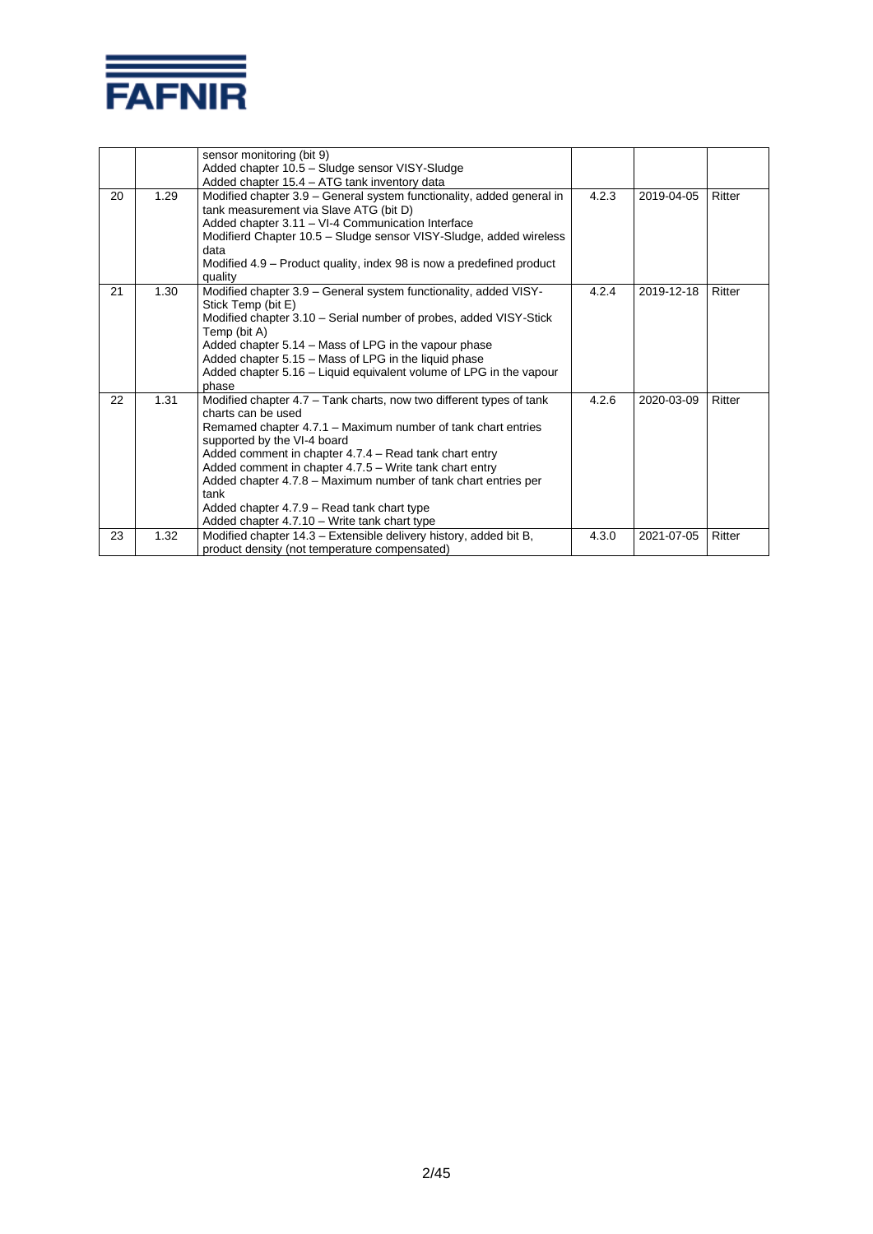

|    |      | sensor monitoring (bit 9)<br>Added chapter 10.5 - Sludge sensor VISY-Sludge<br>Added chapter 15.4 - ATG tank inventory data                                                                                                                                                                                                                                                                                                                                                           |       |            |        |
|----|------|---------------------------------------------------------------------------------------------------------------------------------------------------------------------------------------------------------------------------------------------------------------------------------------------------------------------------------------------------------------------------------------------------------------------------------------------------------------------------------------|-------|------------|--------|
| 20 | 1.29 | Modified chapter 3.9 – General system functionality, added general in<br>tank measurement via Slave ATG (bit D)<br>Added chapter 3.11 - VI-4 Communication Interface<br>Modifierd Chapter 10.5 - Sludge sensor VISY-Sludge, added wireless<br>data<br>Modified 4.9 – Product quality, index 98 is now a predefined product<br>quality                                                                                                                                                 | 4.2.3 | 2019-04-05 | Ritter |
| 21 | 1.30 | Modified chapter 3.9 - General system functionality, added VISY-<br>Stick Temp (bit E)<br>Modified chapter 3.10 - Serial number of probes, added VISY-Stick<br>Temp (bit A)<br>Added chapter 5.14 - Mass of LPG in the vapour phase<br>Added chapter 5.15 - Mass of LPG in the liquid phase<br>Added chapter 5.16 – Liquid equivalent volume of LPG in the vapour<br>phase                                                                                                            | 4.2.4 | 2019-12-18 | Ritter |
| 22 | 1.31 | Modified chapter 4.7 – Tank charts, now two different types of tank<br>charts can be used<br>Remamed chapter 4.7.1 – Maximum number of tank chart entries<br>supported by the VI-4 board<br>Added comment in chapter 4.7.4 – Read tank chart entry<br>Added comment in chapter 4.7.5 – Write tank chart entry<br>Added chapter 4.7.8 - Maximum number of tank chart entries per<br>tank<br>Added chapter 4.7.9 – Read tank chart type<br>Added chapter 4.7.10 - Write tank chart type | 4.2.6 | 2020-03-09 | Ritter |
| 23 | 1.32 | Modified chapter 14.3 – Extensible delivery history, added bit B,<br>product density (not temperature compensated)                                                                                                                                                                                                                                                                                                                                                                    | 4.3.0 | 2021-07-05 | Ritter |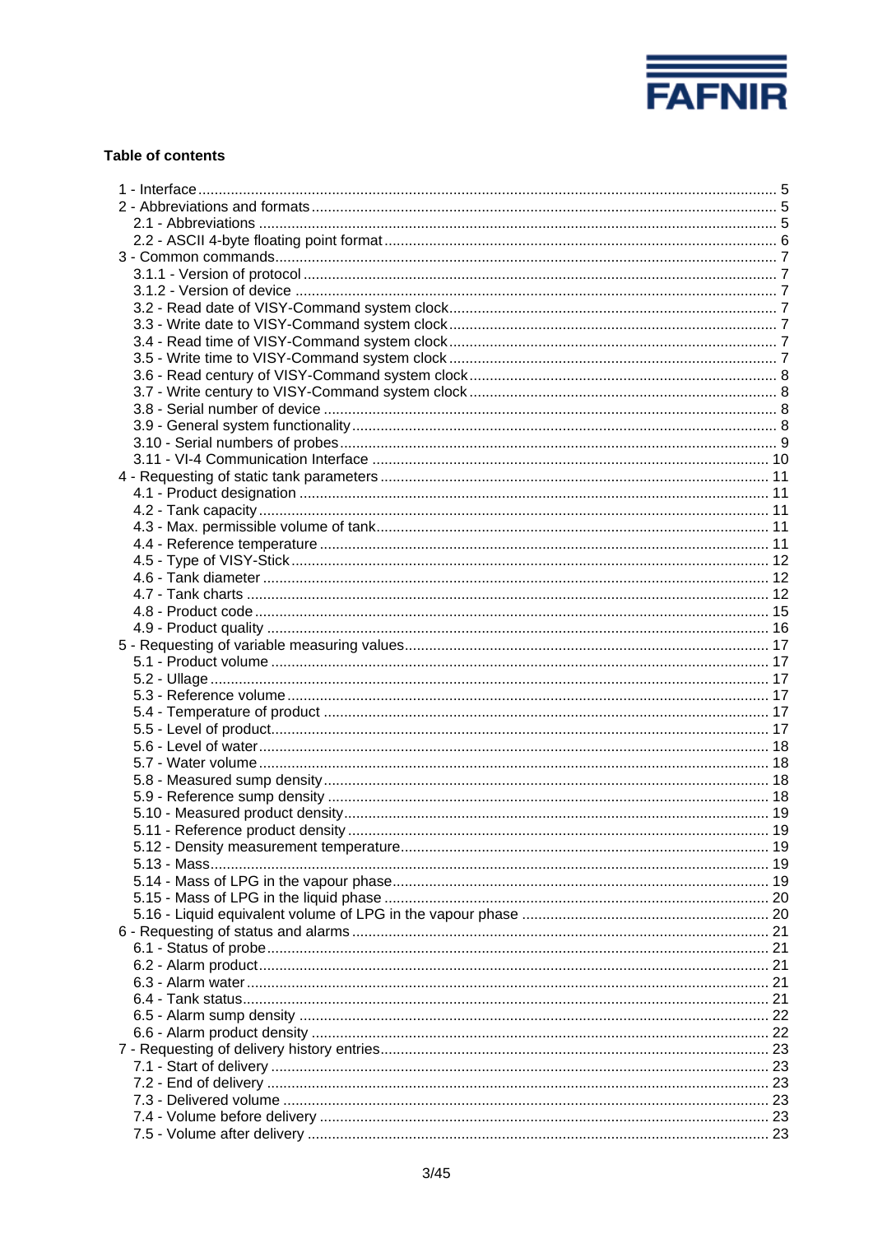

# **Table of contents**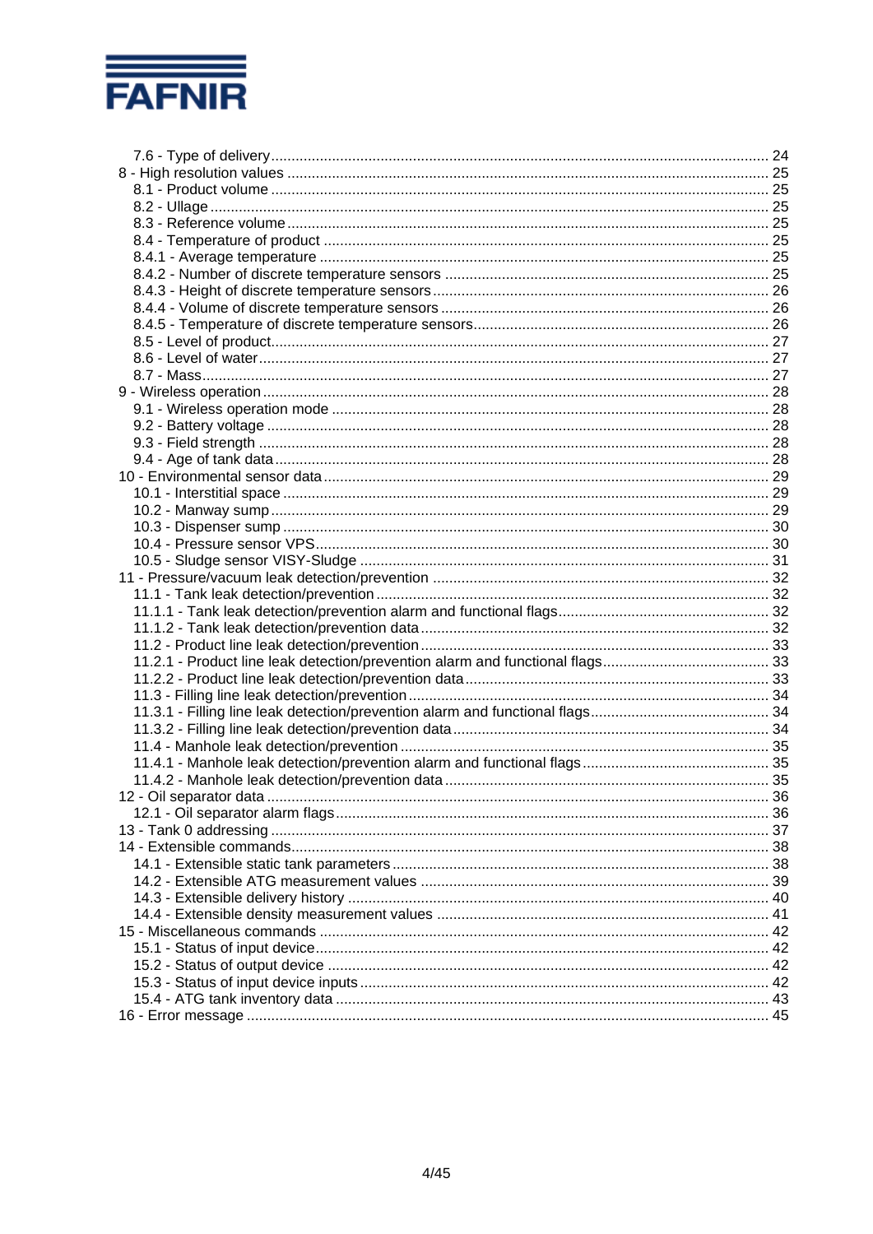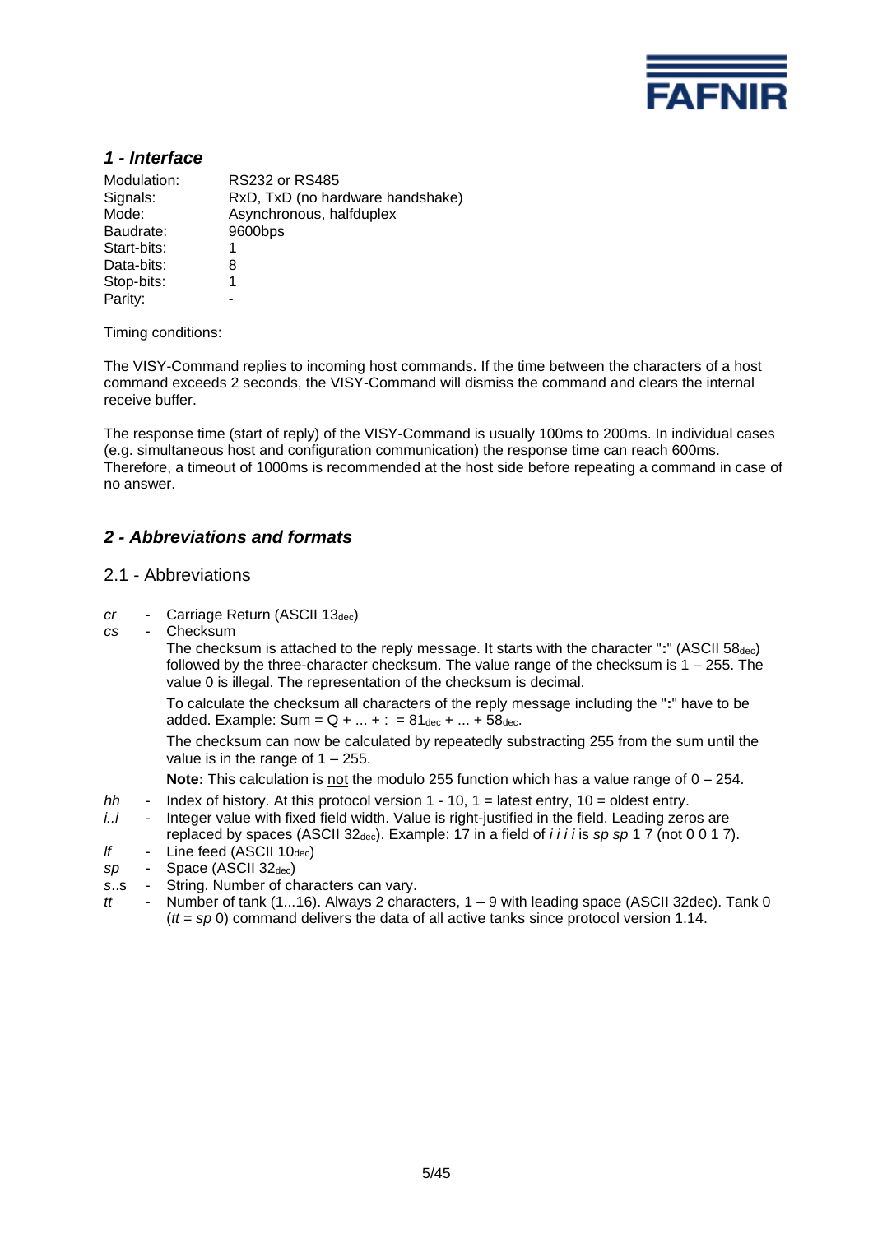

# *1 - Interface*

| Modulation:<br>Signals:<br>Mode: | <b>RS232 or RS485</b><br>RxD, TxD (no hardware handshake)<br>Asynchronous, halfduplex |
|----------------------------------|---------------------------------------------------------------------------------------|
| Baudrate:                        | 9600bps                                                                               |
| Start-bits:                      |                                                                                       |
| Data-bits:                       | 8                                                                                     |
| Stop-bits:                       |                                                                                       |
| Parity:                          |                                                                                       |
|                                  |                                                                                       |

Timing conditions:

The VISY-Command replies to incoming host commands. If the time between the characters of a host command exceeds 2 seconds, the VISY-Command will dismiss the command and clears the internal receive buffer.

The response time (start of reply) of the VISY-Command is usually 100ms to 200ms. In individual cases (e.g. simultaneous host and configuration communication) the response time can reach 600ms. Therefore, a timeout of 1000ms is recommended at the host side before repeating a command in case of no answer.

# *2 - Abbreviations and formats*

#### 2.1 - Abbreviations

- *cr* Carriage Return (ASCII 13dec)
- *cs* Checksum

The checksum is attached to the reply message. It starts with the character ":" (ASCII 58<sub>dec</sub>) followed by the three-character checksum. The value range of the checksum is  $1 - 255$ . The value 0 is illegal. The representation of the checksum is decimal.

To calculate the checksum all characters of the reply message including the "**:**" have to be added. Example: Sum =  $Q + ... + : = 81_{\text{dec}} + ... + 58_{\text{dec}}$ .

The checksum can now be calculated by repeatedly substracting 255 from the sum until the value is in the range of  $1 - 255$ .

**Note:** This calculation is not the modulo 255 function which has a value range of 0 – 254.

- *hh* Index of history. At this protocol version 1 10, 1 = latest entry, 10 = oldest entry.
- *i..i* Integer value with fixed field width. Value is right-justified in the field. Leading zeros are replaced by spaces (ASCII 32dec). Example: 17 in a field of *i i i i* is *sp sp* 1 7 (not 0 0 1 7).
- *lf* Line feed (ASCII 10<sub>dec</sub>)
- *sp* Space (ASCII 32dec)
- *s*..s String. Number of characters can vary.
- *tt* Number of tank (1...16). Always 2 characters, 1 9 with leading space (ASCII 32dec). Tank 0 (*tt* = *sp* 0) command delivers the data of all active tanks since protocol version 1.14.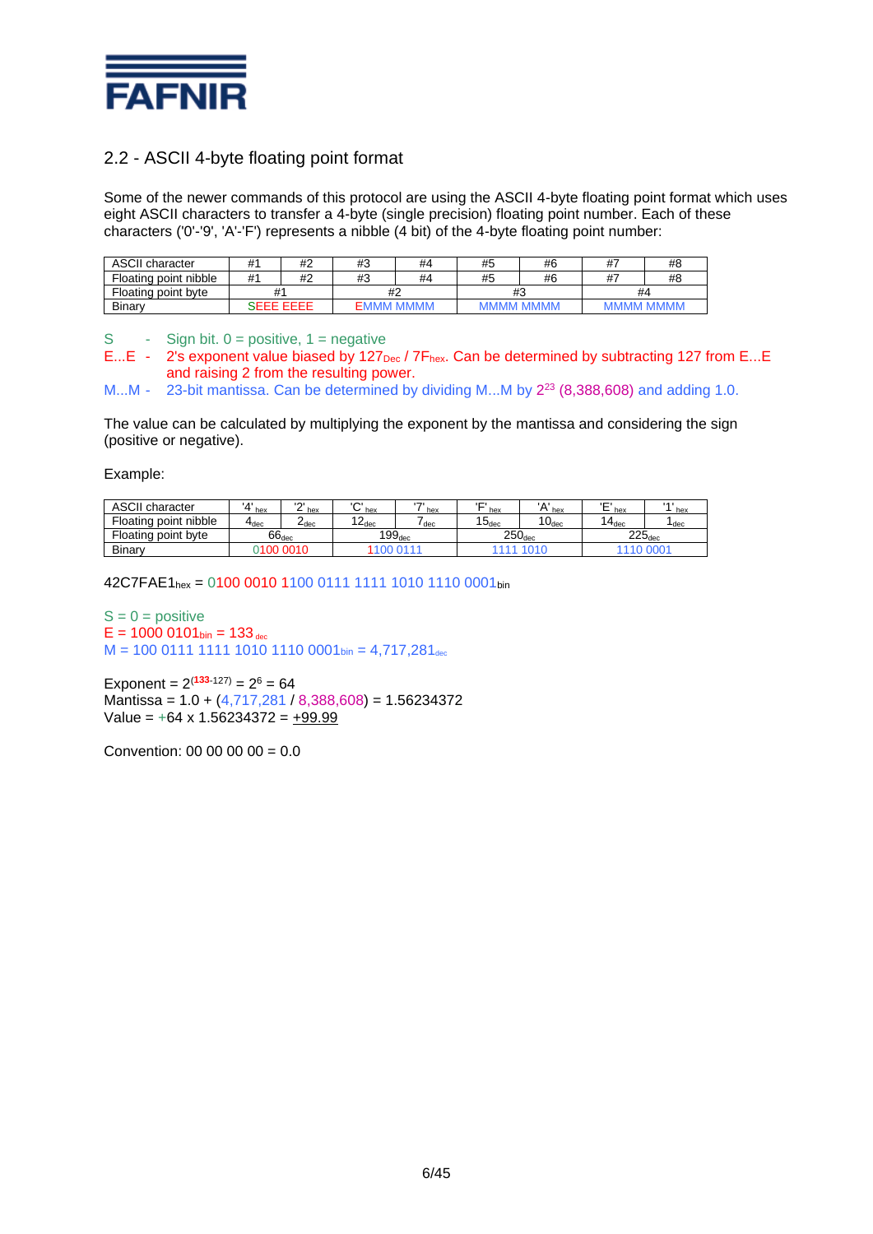

# 2.2 - ASCII 4-byte floating point format

Some of the newer commands of this protocol are using the ASCII 4-byte floating point format which uses eight ASCII characters to transfer a 4-byte (single precision) floating point number. Each of these characters ('0'-'9', 'A'-'F') represents a nibble (4 bit) of the 4-byte floating point number:

| <b>ASCII character</b> | #'<br>#2         |    | #3 | #4          | $\cdots$<br>#5 | #6 | 47                | #8 |
|------------------------|------------------|----|----|-------------|----------------|----|-------------------|----|
| Floating point nibble  | # <sup>′</sup>   | #2 | #3 | #4          | $\cdots$<br>#5 | #6 | $^{\prime\prime}$ | #8 |
| Floating point byte    |                  |    |    | #2          |                | #3 | #4                |    |
| Binary                 | <b>SEEE EEEE</b> |    |    | <b>MMMM</b> | <b>MMMM</b>    |    |                   |    |

S - Sign bit.  $0 =$  positive,  $1 =$  negative

E...E - 2's exponent value biased by 127<sub>Dec</sub> / 7F<sub>hex</sub>. Can be determined by subtracting 127 from E...E and raising 2 from the resulting power.

M...M -  $-$  23-bit mantissa. Can be determined by dividing M...M by  $2^{23}$  (8,388,608) and adding 1.0.

The value can be calculated by multiplying the exponent by the mantissa and considering the sign (positive or negative).

Example:

| ASCII<br>I character                     | $\mathbf{A}$<br>hex       | $\sim$<br>hex | $\sim$<br>hex      | $\overline{ }$<br>hex | Ē<br>hex           | $\lambda$<br>hex | <b>'Е</b><br>hex   | 1 A I<br>hex     |
|------------------------------------------|---------------------------|---------------|--------------------|-----------------------|--------------------|------------------|--------------------|------------------|
| Floating point nibble                    | $\mathbf{4}_{\text{dec}}$ | –dec          | 12<br>L ∠dec       | dec                   | $15_{\rm dec}$     | 1 $0_{\rm dec}$  | $4_{\text{dec}}$   | <sup>I</sup> dec |
| $66_{\rm dec}$<br>point byte<br>Floating |                           |               | 199 <sub>dec</sub> |                       | 250 <sub>dec</sub> |                  | $225_{\text{dec}}$ |                  |
| Binary<br>0010<br>I NO                   |                           |               | <b>DA</b>          |                       |                    |                  |                    |                  |

42C7FAE1hex = 0100 0010 1100 0111 1111 1010 1110 0001bin

 $S = 0$  = positive  $E = 1000 0101_{bin} = 133_{dec}$  $M = 100 0111 1111 1010 1110 0001$  bin = 4,717,281 dec

Exponent =  $2^{(133-127)} = 2^6 = 64$ Mantissa = 1.0 + (4,717,281 / 8,388,608) = 1.56234372 Value =  $+64 \times 1.56234372 = +99.99$ 

Convention: 00 00 00 00 =  $0.0$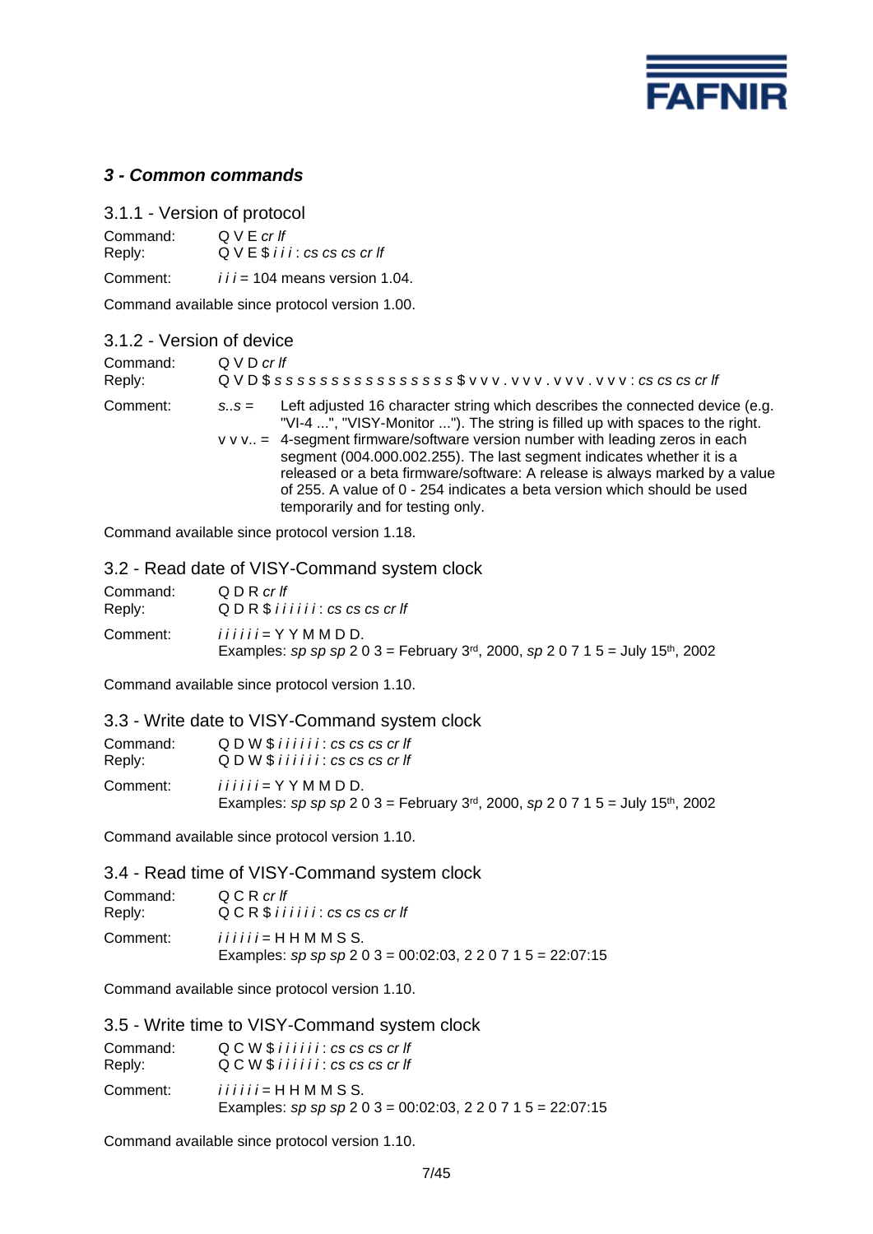

# *3 - Common commands*

3.1.1 - Version of protocol Command: Q V E *cr lf*<br>Reply: Q V E \$ *i i* Reply: Q V E \$ *i i i* : *cs cs cs cr lf* Comment: *i i i* = 104 means version 1.04.

Command available since protocol version 1.00.

| 3.1.2 - Version of device |                                                                           |                                                                                                                                                                                                                                                                                                                                                                                                                                                                                                                        |  |  |
|---------------------------|---------------------------------------------------------------------------|------------------------------------------------------------------------------------------------------------------------------------------------------------------------------------------------------------------------------------------------------------------------------------------------------------------------------------------------------------------------------------------------------------------------------------------------------------------------------------------------------------------------|--|--|
| Command:<br>Reply:        | Q V D crff<br>QVD\$ ssssssssssssssss\$ vvv. vvv. vvv. vvv: cs cs cs cr lf |                                                                                                                                                                                                                                                                                                                                                                                                                                                                                                                        |  |  |
| Comment:                  | $S_{\cdot}$ $S =$                                                         | Left adjusted 16 character string which describes the connected device (e.g.<br>"VI-4 ", "VISY-Monitor "). The string is filled up with spaces to the right.<br>v v v = 4-segment firmware/software version number with leading zeros in each<br>segment (004.000.002.255). The last segment indicates whether it is a<br>released or a beta firmware/software: A release is always marked by a value<br>of 255. A value of 0 - 254 indicates a beta version which should be used<br>temporarily and for testing only. |  |  |

Command available since protocol version 1.18.

### 3.2 - Read date of VISY-Command system clock

| Command: | Q D R cr If                                                                                                                            |
|----------|----------------------------------------------------------------------------------------------------------------------------------------|
| Reply:   | QDR \$ i i i i i : cs cs cs cr f                                                                                                       |
| Comment: | <i>iiiii</i> = Y Y M M D D.<br>Examples: sp sp sp 2 0 3 = February 3 <sup>rd</sup> , 2000, sp 2 0 7 1 5 = July 15 <sup>th</sup> , 2002 |

Command available since protocol version 1.10.

#### 3.3 - Write date to VISY-Command system clock

| Command: | $Q$ D W $$$ i i i i i i $:$ cs cs cs cr If                                                                                             |
|----------|----------------------------------------------------------------------------------------------------------------------------------------|
| Reply:   | $Q$ D W $\frac{1}{2}$ i i i i i i : cs cs cs cr If                                                                                     |
| Comment: | <i>iiiii</i> = Y Y M M D D.<br>Examples: sp sp sp 2 0 3 = February 3 <sup>rd</sup> , 2000, sp 2 0 7 1 5 = July 15 <sup>th</sup> , 2002 |

Command available since protocol version 1.10.

3.4 - Read time of VISY-Command system clock

| Command: | QCRcrlf                                                                               |
|----------|---------------------------------------------------------------------------------------|
| Reply:   | $QCR$$ iiiii: $cs$ $cs$ $cs$ $cr$ $lf$                                                |
| Comment: | <i>iiiii</i> = HHMMSS.<br>Examples: sp sp sp 2 0 3 = 00:02:03, 2 2 0 7 1 5 = 22:07:15 |

Command available since protocol version 1.10.

|                    | 3.5 - Write time to VISY-Command system clock                                         |
|--------------------|---------------------------------------------------------------------------------------|
| Command:<br>Reply: | $Q C W $$ i i i i i i : cs cs cs cr If<br>$Q C W $$ iiiii: $cs$ $cs$ $cs$ $cr$ $If$   |
| Comment:           | <i>iiiii</i> = HHMMSS.<br>Examples: sp sp sp 2 0 3 = 00:02:03, 2 2 0 7 1 5 = 22:07:15 |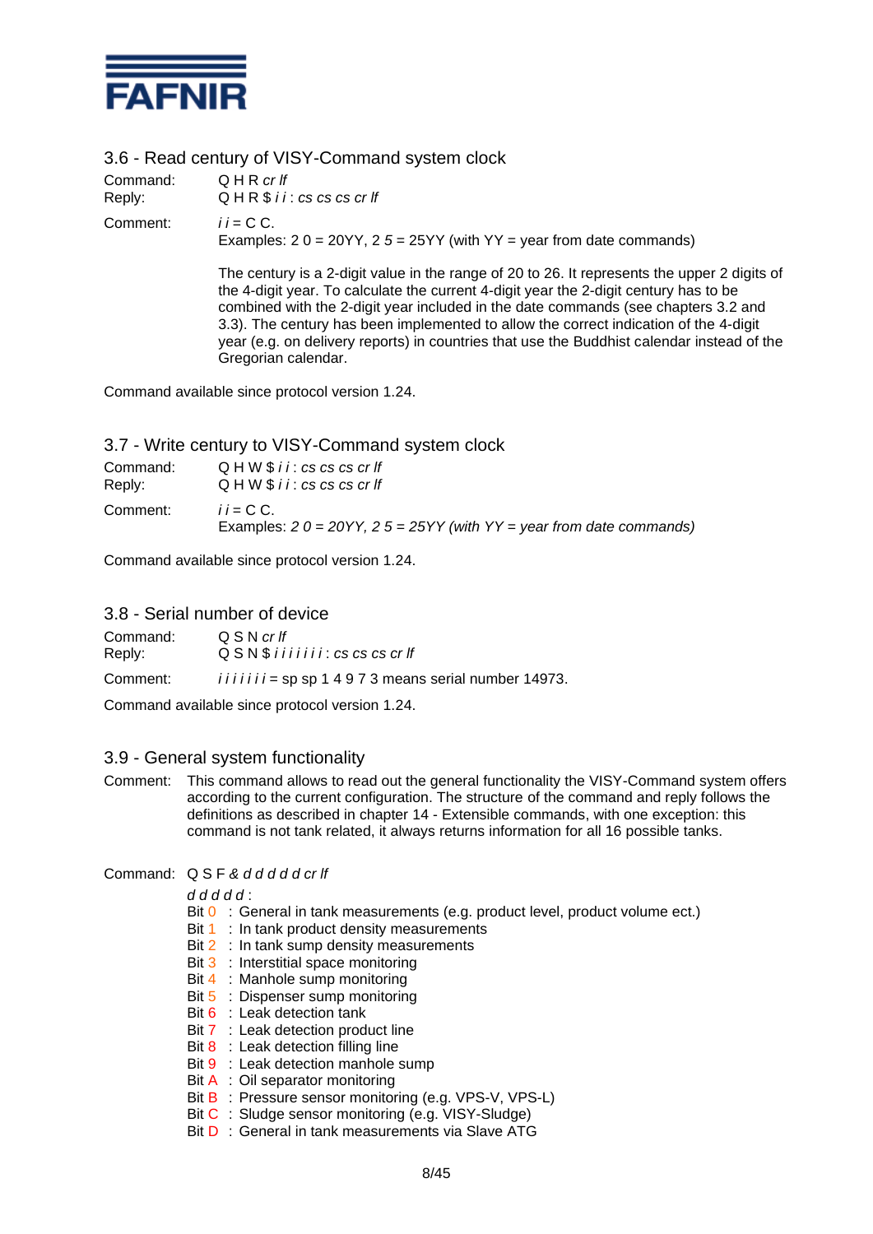

3.6 - Read century of VISY-Command system clock

| Command:<br>Reply: | QHRcrlf<br>QHR \$ i i : cs cs cs cr If                                                  |
|--------------------|-----------------------------------------------------------------------------------------|
| Comment:           | $ii = C C$<br>Examples: $20 = 20YY$ , $25 = 25YY$ (with $YY = year$ from date commands) |
|                    | The century is a 2-digit value in the range of 20 to 26. It represents the upper        |

The century is a 2-digit value in the range of 20 to 26. It represents the upper 2 digits of the 4-digit year. To calculate the current 4-digit year the 2-digit century has to be combined with the 2-digit year included in the date commands (see chapters 3.2 and 3.3). The century has been implemented to allow the correct indication of the 4-digit year (e.g. on delivery reports) in countries that use the Buddhist calendar instead of the Gregorian calendar.

Command available since protocol version 1.24.

| 3.7 - Write century to VISY-Command system clock |                                                                                      |  |
|--------------------------------------------------|--------------------------------------------------------------------------------------|--|
| Command:<br>Reply:                               | $Q$ H W $$$ i i : cs cs cs cr If<br>$Q$ H W $$$ i i : cs cs cs cr If                 |  |
| Comment:                                         | $i = C C$<br>Examples: $20 = 20YY$ , $25 = 25YY$ (with YY = year from date commands) |  |

Command available since protocol version 1.24.

#### 3.8 - Serial number of device

| Command:                                                              | QSNcrIf                                             |
|-----------------------------------------------------------------------|-----------------------------------------------------|
| Reply:                                                                | $QSN$ \$ i i i i i i i $\mathfrak i$ cs cs cs cr If |
| $\bigcap$ - $\bigcap$ - $\bigcap$ - $\bigcap$ - $\bigcap$ - $\bigcap$ | .                                                   |

Comment: *iiiiii* = sp sp 1 4 9 7 3 means serial number 14973.

Command available since protocol version 1.24.

#### 3.9 - General system functionality

Comment: This command allows to read out the general functionality the VISY-Command system offers according to the current configuration. The structure of the command and reply follows the definitions as described in chapter 14 - Extensible commands, with one exception: this command is not tank related, it always returns information for all 16 possible tanks.

Command: Q S F *& d d d d d cr lf*

*d d d d d* :

- Bit 0 : General in tank measurements (e.g. product level, product volume ect.)
- Bit 1 : In tank product density measurements
- Bit 2 : In tank sump density measurements
- Bit 3 : Interstitial space monitoring
- Bit 4 : Manhole sump monitoring
- Bit 5 : Dispenser sump monitoring
- Bit  $6:$  Leak detection tank
- Bit 7 : Leak detection product line
- Bit 8 : Leak detection filling line
- Bit 9 : Leak detection manhole sump
- Bit A : Oil separator monitoring
- Bit B : Pressure sensor monitoring (e.g. VPS-V, VPS-L)
- Bit C : Sludge sensor monitoring (e.g. VISY-Sludge)
- Bit **D** : General in tank measurements via Slave ATG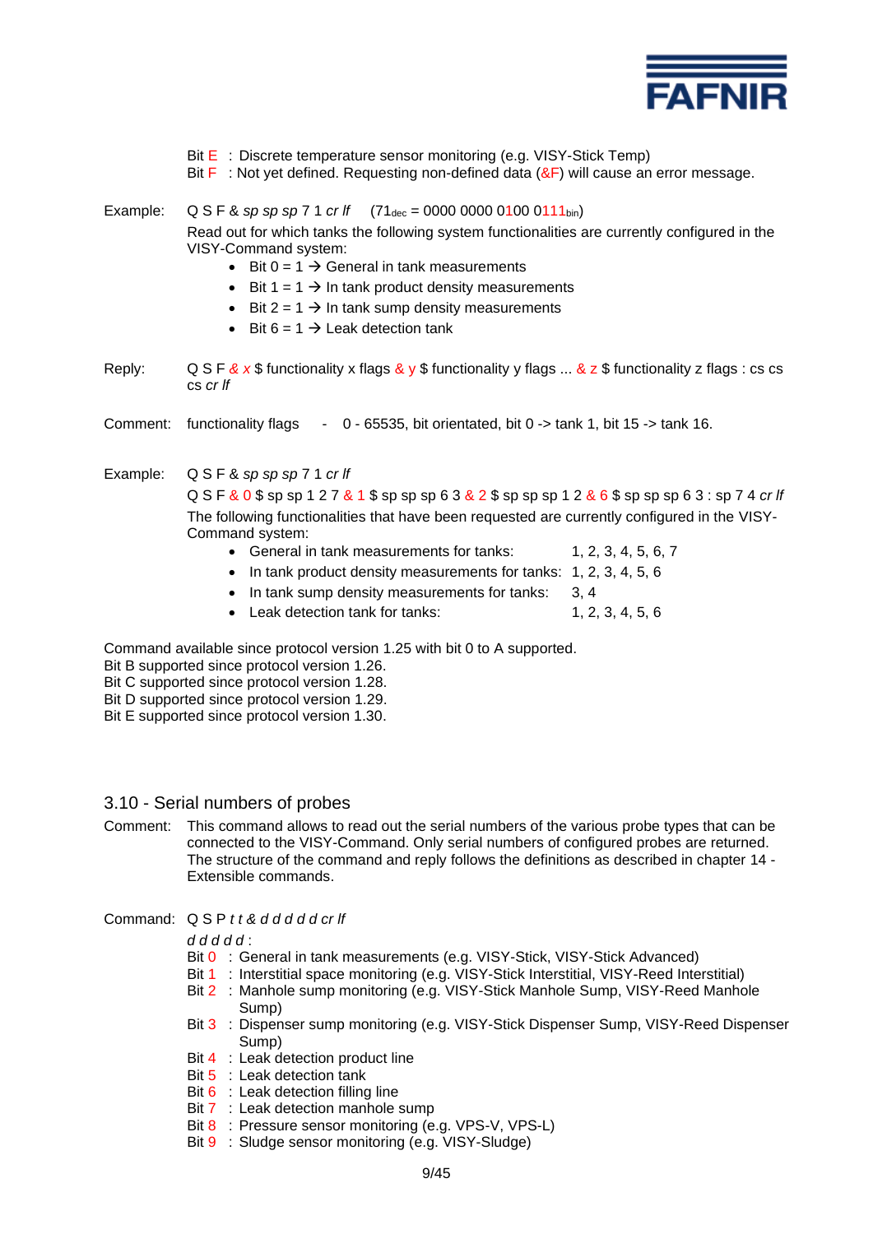

- Bit E : Discrete temperature sensor monitoring (e.g. VISY-Stick Temp)
- Bit  $\mathsf F$ : Not yet defined. Requesting non-defined data ( $\&\mathsf F$ ) will cause an error message.
- Example: Q S F & *sp sp sp* 7 1 *cr lf*  $(71_{\text{dec}} = 0000\ 0000\ 0100\ 0111_{\text{bin}})$ Read out for which tanks the following system functionalities are currently configured in the VISY-Command system:
	- Bit  $0 = 1 \rightarrow$  General in tank measurements
	- Bit  $1 = 1 \rightarrow \text{In tank product density measurements}$
	- Bit  $2 = 1 \rightarrow \text{In tank sump density measurements}$
	- Bit  $6 = 1 \rightarrow$  Leak detection tank
- Reply: Q S F & x \$ functionality x flags & y \$ functionality y flags ... & z \$ functionality z flags : cs cs cs *cr lf*
- Comment: functionality flags 0 65535, bit orientated, bit 0 -> tank 1, bit 15 -> tank 16.
- Example: Q S F & *sp sp sp* 7 1 *cr lf*

Q S F & 0 \$ sp sp 1 2 7 & 1 \$ sp sp sp 6 3 & 2 \$ sp sp sp 1 2 & 6 \$ sp sp sp 6 3 : sp 7 4 *cr lf* The following functionalities that have been requested are currently configured in the VISY-Command system:

- General in tank measurements for tanks: 1, 2, 3, 4, 5, 6, 7
- In tank product density measurements for tanks: 1, 2, 3, 4, 5, 6
- In tank sump density measurements for tanks: 3, 4
- Leak detection tank for tanks: 1, 2, 3, 4, 5, 6

Command available since protocol version 1.25 with bit 0 to A supported.

Bit B supported since protocol version 1.26.

- Bit C supported since protocol version 1.28.
- Bit D supported since protocol version 1.29.
- Bit E supported since protocol version 1.30.
- 3.10 Serial numbers of probes
- Comment: This command allows to read out the serial numbers of the various probe types that can be connected to the VISY-Command. Only serial numbers of configured probes are returned. The structure of the command and reply follows the definitions as described in chapter 14 - Extensible commands.
- Command: Q S P *t t & d d d d d cr lf*

#### *d d d d d* :

- Bit 0 : General in tank measurements (e.g. VISY-Stick, VISY-Stick Advanced)
- Bit 1 : Interstitial space monitoring (e.g. VISY-Stick Interstitial, VISY-Reed Interstitial)
- Bit 2 : Manhole sump monitoring (e.g. VISY-Stick Manhole Sump, VISY-Reed Manhole Sump)
- Bit 3 : Dispenser sump monitoring (e.g. VISY-Stick Dispenser Sump, VISY-Reed Dispenser Sump)
- Bit 4 : Leak detection product line
- Bit 5 : Leak detection tank
- Bit 6 : Leak detection filling line
- Bit 7 : Leak detection manhole sump
- Bit 8 : Pressure sensor monitoring (e.g. VPS-V, VPS-L)
- Bit 9 : Sludge sensor monitoring (e.g. VISY-Sludge)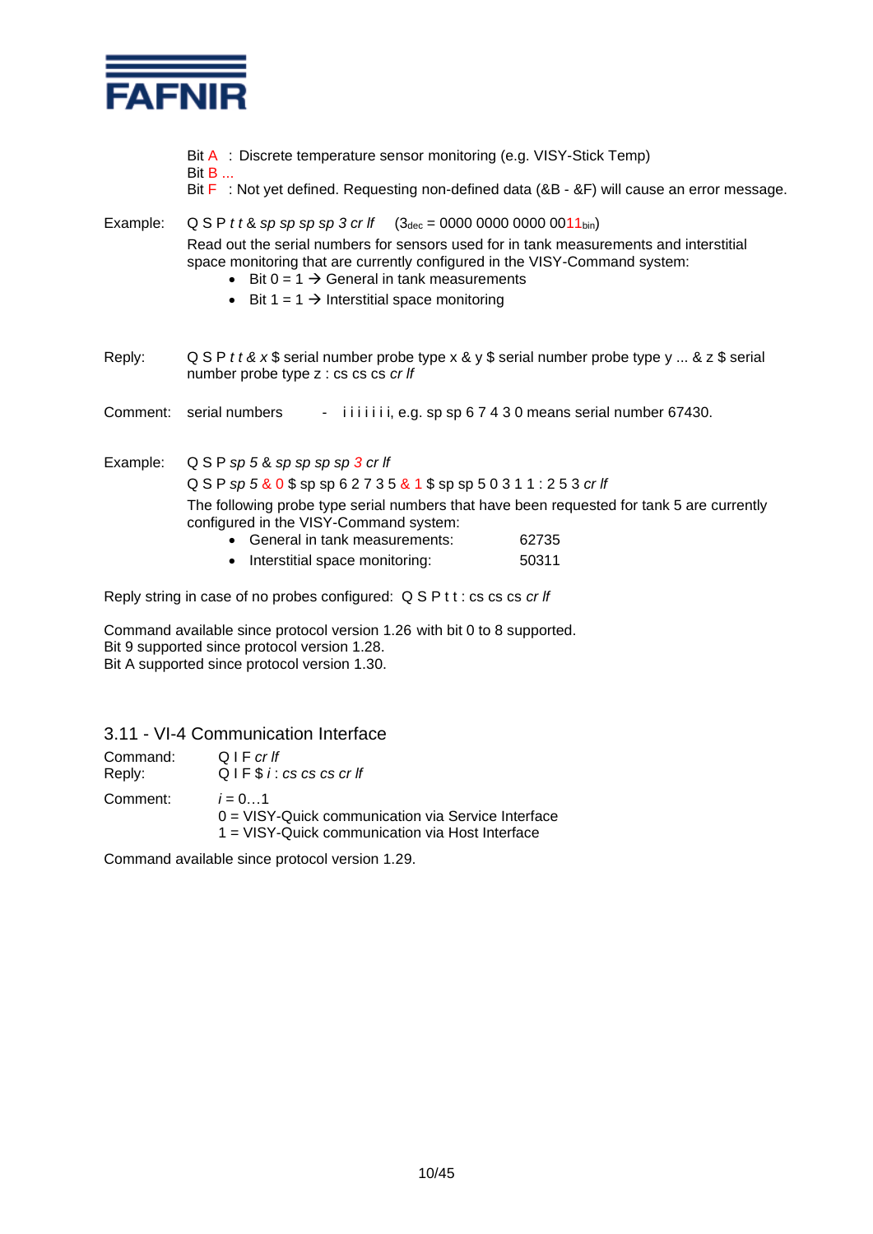

- Bit A : Discrete temperature sensor monitoring (e.g. VISY-Stick Temp)
- Bit B ...
- Bit F: Not yet defined. Requesting non-defined data (&B &F) will cause an error message.

# Example: Q S P *t t* & *sp sp sp sp 3 cr lf* (3dec = 0000 0000 0000 0011bin) Read out the serial numbers for sensors used for in tank measurements and interstitial space monitoring that are currently configured in the VISY-Command system:

- Bit  $0 = 1 \rightarrow$  General in tank measurements
- Bit 1 = 1  $\rightarrow$  Interstitial space monitoring
- Reply: Q S P *t t & x* \$ serial number probe type x & y \$ serial number probe type y ... & z \$ serial number probe type z : cs cs cs *cr lf*

Comment: serial numbers - iiiiiii, e.g. sp sp 6 7 4 3 0 means serial number 67430.

Example: Q S P *sp 5* & *sp sp sp sp 3 cr lf*  Q S P *sp 5* & 0 \$ sp sp 6 2 7 3 5 & 1 \$ sp sp 5 0 3 1 1 : 2 5 3 *cr lf* The following probe type serial numbers that have been requested for tank 5 are currently configured in the VISY-Command system: • General in tank measurements: 62735

• Interstitial space monitoring: 50311

Reply string in case of no probes configured: Q S P t t : cs cs cs *cr lf*

Command available since protocol version 1.26 with bit 0 to 8 supported. Bit 9 supported since protocol version 1.28. Bit A supported since protocol version 1.30.

# 3.11 - VI-4 Communication Interface

| Command: | $Q \rvert F \, cr \, ff$                                                                                             |
|----------|----------------------------------------------------------------------------------------------------------------------|
| Reply:   | QIF \$i: cs cs cs cr If                                                                                              |
| Comment: | $i = 01$<br>$0 = VISY$ -Quick communication via Service Interface<br>1 = VISY-Quick communication via Host Interface |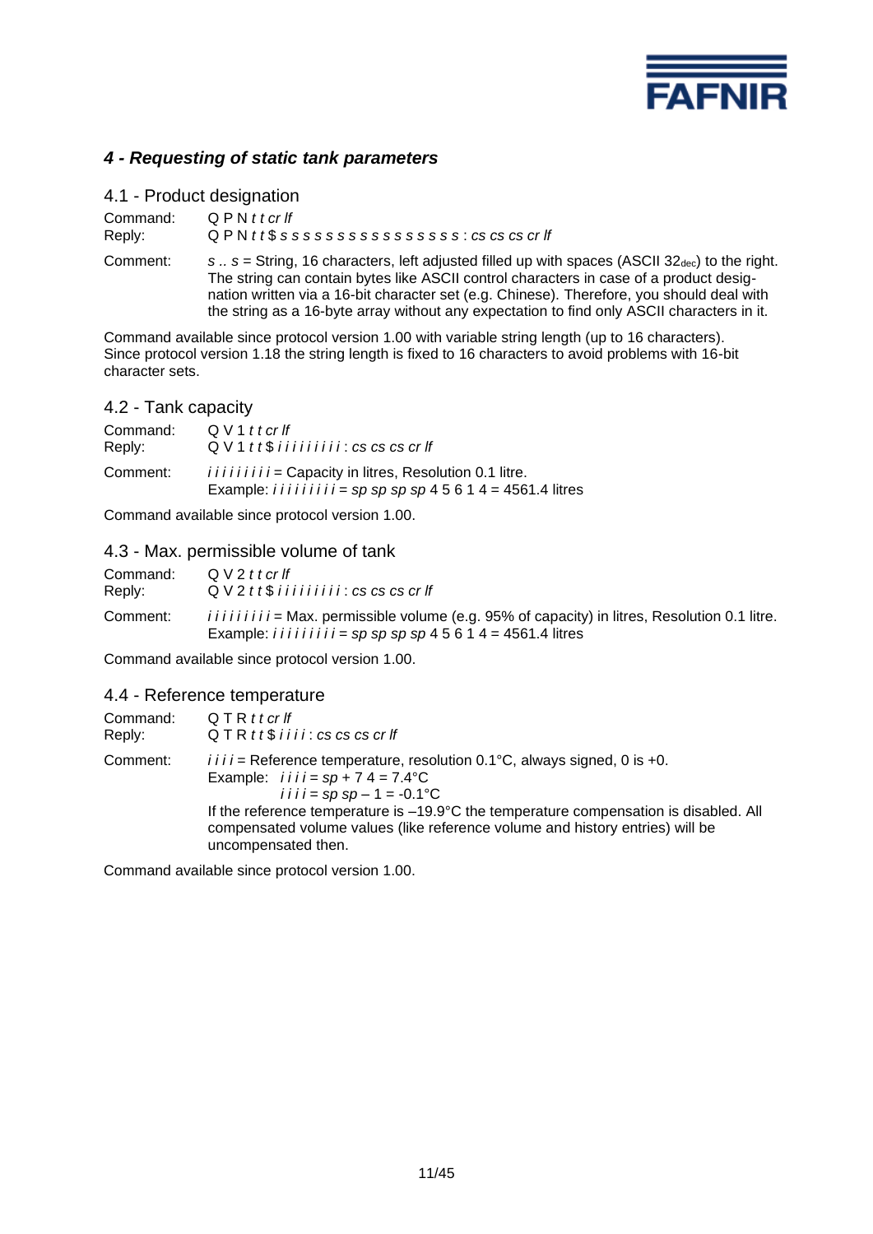

# *4 - Requesting of static tank parameters*

| 4.1 - Product designation |                                                                                                                                                                                                                                                                                                    |
|---------------------------|----------------------------------------------------------------------------------------------------------------------------------------------------------------------------------------------------------------------------------------------------------------------------------------------------|
| Command:                  | $QPMt$ t cr If                                                                                                                                                                                                                                                                                     |
| Reply:                    | $QPM$ tt\$ ssssssssssssssssss: $cs$ cs $cs$ cr $If$                                                                                                                                                                                                                                                |
| Comment:                  | s $s =$ String, 16 characters, left adjusted filled up with spaces (ASCII 32 <sub>dec</sub> ) to the right.<br>The string can contain bytes like ASCII control characters in case of a product desig-<br>nation written via a 16-bit character set (e.g. Chinese). Therefore, you should deal with |

Command available since protocol version 1.00 with variable string length (up to 16 characters). Since protocol version 1.18 the string length is fixed to 16 characters to avoid problems with 16-bit character sets.

the string as a 16-byte array without any expectation to find only ASCII characters in it.

# 4.2 - Tank capacity

| Command: | Q V 1 t t cr lf                                                                                                                                        |
|----------|--------------------------------------------------------------------------------------------------------------------------------------------------------|
| Reply:   | $QV1tt$$ iiiiiiii: cs cs cs cr If                                                                                                                      |
| Comment: | <i>iiiiiiii</i> = Capacity in litres, Resolution 0.1 litre.<br>Example: <i>i i i i i i i i i i i =</i> $sp$ $sp$ $sp$ $sp$ $4$ 5 6 1 4 = 4561.4 litres |

Command available since protocol version 1.00.

### 4.3 - Max. permissible volume of tank

| Command: | $QV2t$ t cr lf                                                                                                                                                                              |
|----------|---------------------------------------------------------------------------------------------------------------------------------------------------------------------------------------------|
| Reply:   | $QV2tt$$ iiiiiiiii: cs cs cs cr If                                                                                                                                                          |
| Comment: | <i>iiiiiiiii</i> = Max. permissible volume (e.g. 95% of capacity) in litres, Resolution 0.1 litre.<br>Example: <i>i i i i i i i i i i =</i> $sp$ $sp$ $sp$ $sp$ $4$ 5 6 1 4 = 4561.4 litres |

Command available since protocol version 1.00.

#### 4.4 - Reference temperature

| Command:<br>Reply: | QTRttcrlf<br>$QTR tt$$ iiii: $cs$ $cs$ $cs$ $cr$ if                                                                                                                                                     |
|--------------------|---------------------------------------------------------------------------------------------------------------------------------------------------------------------------------------------------------|
| Comment:           | $i i i j$ = Reference temperature, resolution 0.1°C, always signed, 0 is +0.<br>Example: $i i i j = sp + 74 = 7.4$ °C<br><i>i i i i</i> = sp sp - 1 = -0.1°C                                            |
|                    | If the reference temperature is $-19.9^{\circ}$ C the temperature compensation is disabled. All<br>compensated volume values (like reference volume and history entries) will be<br>uncompensated then. |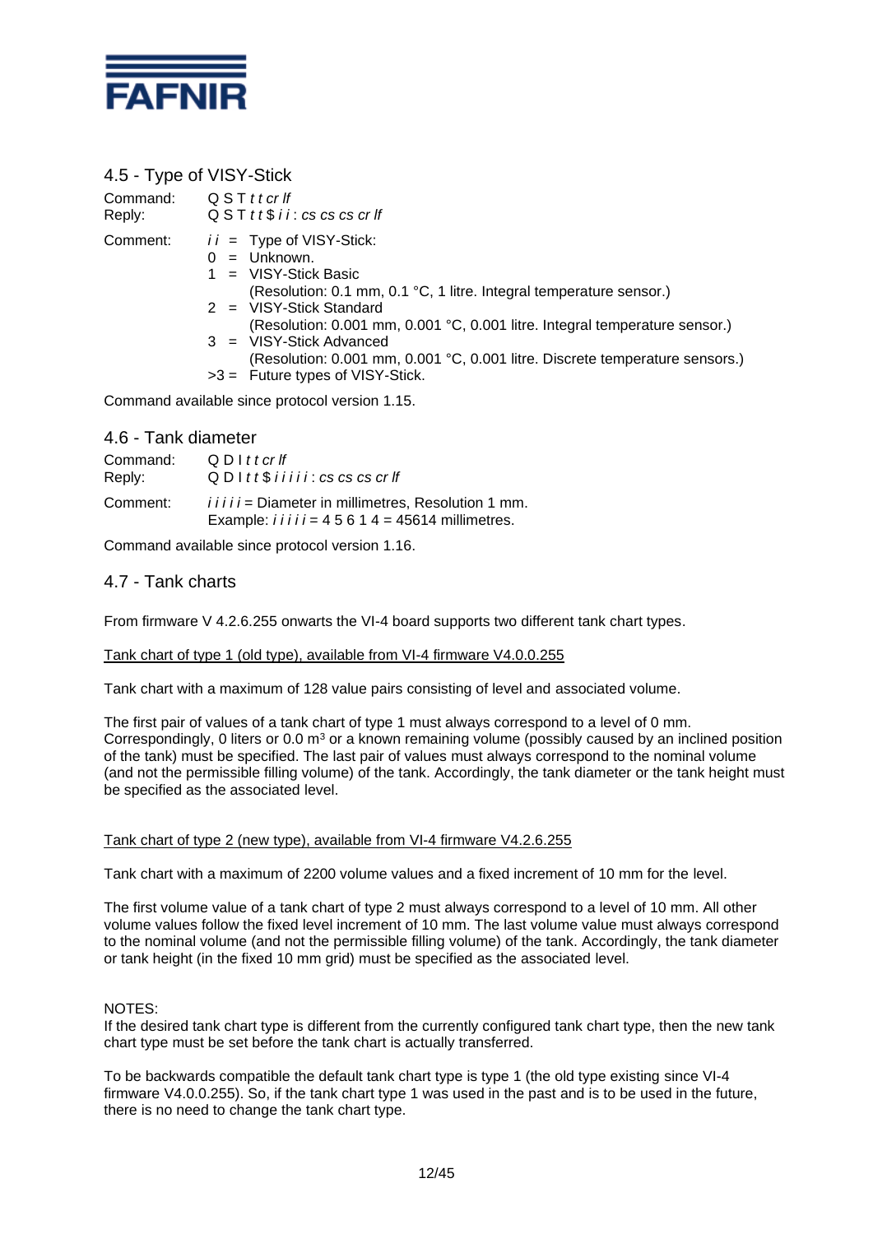

# 4.5 - Type of VISY-Stick

| Command:<br>Reply:  | QSTttcrlf<br>$QST$ tt\$ i i : cs cs cs cr If                                                                                                                                                                                                                                                                                                                                                                 |
|---------------------|--------------------------------------------------------------------------------------------------------------------------------------------------------------------------------------------------------------------------------------------------------------------------------------------------------------------------------------------------------------------------------------------------------------|
| Comment:            | $ii =$ Type of VISY-Stick:<br>$0 =$ Unknown.<br>$1 = VISY-Stick Basic$<br>(Resolution: 0.1 mm, 0.1 °C, 1 litre. Integral temperature sensor.)<br>$2 = VISY-Stick Standard$<br>(Resolution: 0.001 mm, 0.001 °C, 0.001 litre. Integral temperature sensor.)<br>$3 = VISY-Stick Advanced$<br>(Resolution: 0.001 mm, 0.001 °C, 0.001 litre. Discrete temperature sensors.)<br>$>3$ = Future types of VISY-Stick. |
|                     | Command available since protocol version 1.15.                                                                                                                                                                                                                                                                                                                                                               |
| 4.6 - Tank diameter |                                                                                                                                                                                                                                                                                                                                                                                                              |

| Command: | $Q$ D I t t cr If                                                                                                 |
|----------|-------------------------------------------------------------------------------------------------------------------|
| Reply:   | $Q$ D I t t $$$ i i i i i : cs cs cs cr If                                                                        |
| Comment: | <i>iiiii</i> = Diameter in millimetres, Resolution 1 mm.<br>Example: $i i i i j = 4 5 6 1 4 = 45614$ millimetres. |

Command available since protocol version 1.16.

### 4.7 - Tank charts

From firmware V 4.2.6.255 onwarts the VI-4 board supports two different tank chart types.

#### Tank chart of type 1 (old type), available from VI-4 firmware V4.0.0.255

Tank chart with a maximum of 128 value pairs consisting of level and associated volume.

The first pair of values of a tank chart of type 1 must always correspond to a level of 0 mm. Correspondingly, 0 liters or 0.0  $m<sup>3</sup>$  or a known remaining volume (possibly caused by an inclined position of the tank) must be specified. The last pair of values must always correspond to the nominal volume (and not the permissible filling volume) of the tank. Accordingly, the tank diameter or the tank height must be specified as the associated level.

#### Tank chart of type 2 (new type), available from VI-4 firmware V4.2.6.255

Tank chart with a maximum of 2200 volume values and a fixed increment of 10 mm for the level.

The first volume value of a tank chart of type 2 must always correspond to a level of 10 mm. All other volume values follow the fixed level increment of 10 mm. The last volume value must always correspond to the nominal volume (and not the permissible filling volume) of the tank. Accordingly, the tank diameter or tank height (in the fixed 10 mm grid) must be specified as the associated level.

#### NOTES:

If the desired tank chart type is different from the currently configured tank chart type, then the new tank chart type must be set before the tank chart is actually transferred.

To be backwards compatible the default tank chart type is type 1 (the old type existing since VI-4 firmware V4.0.0.255). So, if the tank chart type 1 was used in the past and is to be used in the future, there is no need to change the tank chart type.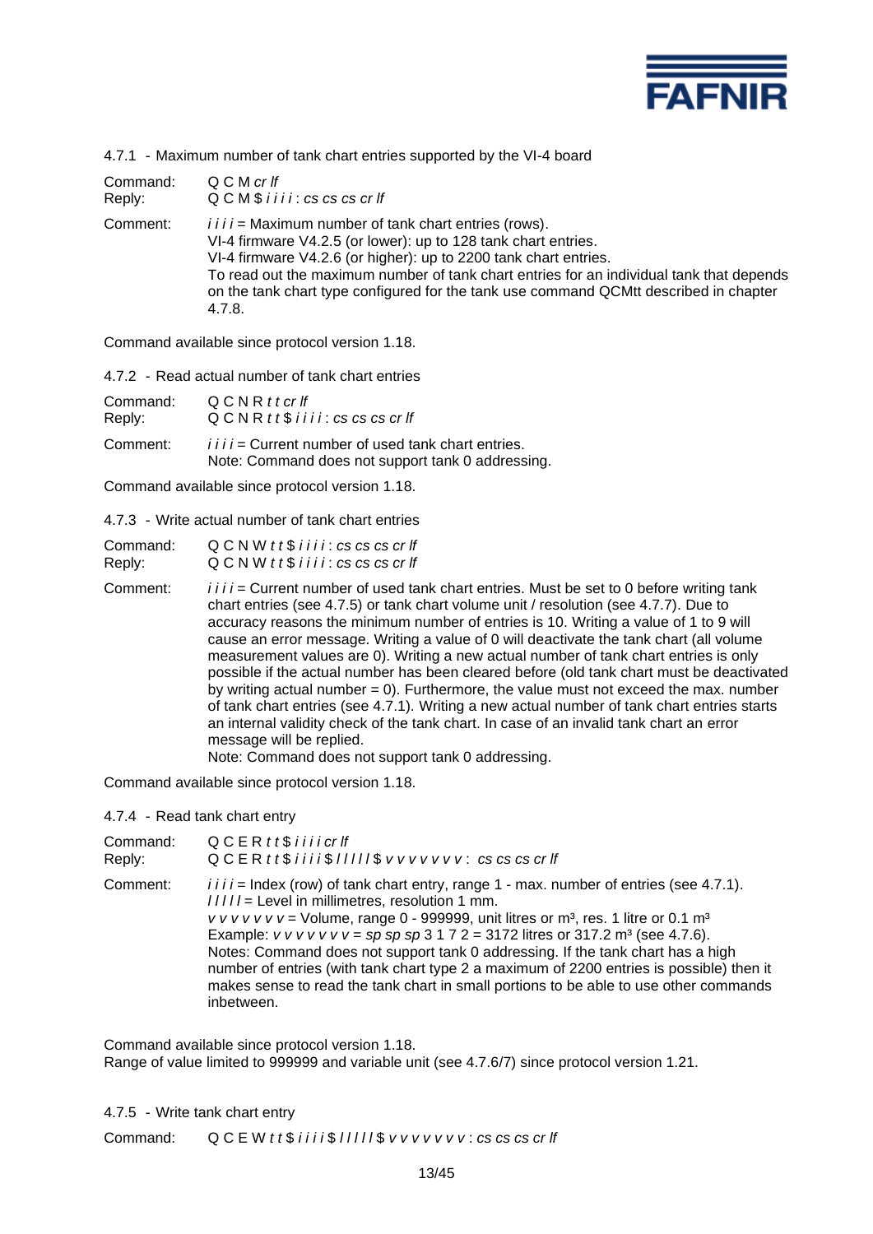

4.7.1 - Maximum number of tank chart entries supported by the VI-4 board

| Command: | Q C M cr If                                                                                                                                                                                                                                                                                                                                                                                   |
|----------|-----------------------------------------------------------------------------------------------------------------------------------------------------------------------------------------------------------------------------------------------------------------------------------------------------------------------------------------------------------------------------------------------|
| Reply:   | $Q$ $C$ $M$ $$$ $i$ $i$ $i$ $i$ $:$ $cs$ $cs$ $cs$ $cr$ $If$                                                                                                                                                                                                                                                                                                                                  |
| Comment: | $i i i j$ = Maximum number of tank chart entries (rows).<br>VI-4 firmware V4.2.5 (or lower): up to 128 tank chart entries.<br>VI-4 firmware V4.2.6 (or higher): up to 2200 tank chart entries.<br>To read out the maximum number of tank chart entries for an individual tank that depends<br>on the tank chart type configured for the tank use command QCMtt described in chapter<br>4.7.8. |

Command available since protocol version 1.18.

4.7.2 - Read actual number of tank chart entries

| Command: | QCNRttcrlf                                                                                                  |
|----------|-------------------------------------------------------------------------------------------------------------|
| Reply:   | $QCDRE$ tt\$ i i i i : cs cs cs cr If                                                                       |
| Comment: | $i i i j$ = Current number of used tank chart entries.<br>Note: Command does not support tank 0 addressing. |

Command available since protocol version 1.18.

4.7.3 - Write actual number of tank chart entries

| Command: | $QCDW$ tt $$$ i i i i : cs cs cs cr If                                                                                                                                                                                                                                                                                                                                                                                                                                                                                                                                                                                                                                                                                                                                                                                                                                                                                                 |
|----------|----------------------------------------------------------------------------------------------------------------------------------------------------------------------------------------------------------------------------------------------------------------------------------------------------------------------------------------------------------------------------------------------------------------------------------------------------------------------------------------------------------------------------------------------------------------------------------------------------------------------------------------------------------------------------------------------------------------------------------------------------------------------------------------------------------------------------------------------------------------------------------------------------------------------------------------|
| Reply:   | $QCDW$ tt $$$ i i i i : cs cs cs cr If                                                                                                                                                                                                                                                                                                                                                                                                                                                                                                                                                                                                                                                                                                                                                                                                                                                                                                 |
| Comment: | <i>i i i i</i> = Current number of used tank chart entries. Must be set to 0 before writing tank<br>chart entries (see 4.7.5) or tank chart volume unit / resolution (see 4.7.7). Due to<br>accuracy reasons the minimum number of entries is 10. Writing a value of 1 to 9 will<br>cause an error message. Writing a value of 0 will deactivate the tank chart (all volume<br>measurement values are 0). Writing a new actual number of tank chart entries is only<br>possible if the actual number has been cleared before (old tank chart must be deactivated<br>by writing actual number $= 0$ ). Furthermore, the value must not exceed the max. number<br>of tank chart entries (see 4.7.1). Writing a new actual number of tank chart entries starts<br>an internal validity check of the tank chart. In case of an invalid tank chart an error<br>message will be replied.<br>Note: Command does not support tank 0 addressing |

Note: Command does not support tank 0 addressing.

Command available since protocol version 1.18.

4.7.4 - Read tank chart entry

| Command: | $QCERtt$$ iiicrlf                                                                                                                                                                                                                                                                                                                                                                                                                                                                                                                                                                                                                 |
|----------|-----------------------------------------------------------------------------------------------------------------------------------------------------------------------------------------------------------------------------------------------------------------------------------------------------------------------------------------------------------------------------------------------------------------------------------------------------------------------------------------------------------------------------------------------------------------------------------------------------------------------------------|
| Reply:   | QCERtt\$iiii\$ /////\$ vvvvvvv: cs cs cs cr lf                                                                                                                                                                                                                                                                                                                                                                                                                                                                                                                                                                                    |
| Comment: | $i i i j =$ Index (row) of tank chart entry, range 1 - max. number of entries (see 4.7.1).<br>/////= Level in millimetres, resolution 1 mm.<br>v v v v v v v = Volume, range 0 - 999999, unit litres or $m^3$ , res. 1 litre or 0.1 $m^3$<br>Example: $v v v v v v v = sp sp sp 3 1 7 2 = 3172$ litres or 317.2 m <sup>3</sup> (see 4.7.6).<br>Notes: Command does not support tank 0 addressing. If the tank chart has a high<br>number of entries (with tank chart type 2 a maximum of 2200 entries is possible) then it<br>makes sense to read the tank chart in small portions to be able to use other commands<br>inbetween. |

Command available since protocol version 1.18. Range of value limited to 999999 and variable unit (see 4.7.6/7) since protocol version 1.21.

4.7.5 - Write tank chart entry

Command: Q C E W *t t* \$ *i* i i i \$ *l* l l l l \$  $v v v v v v v v$  : *cs cs cs cr lf*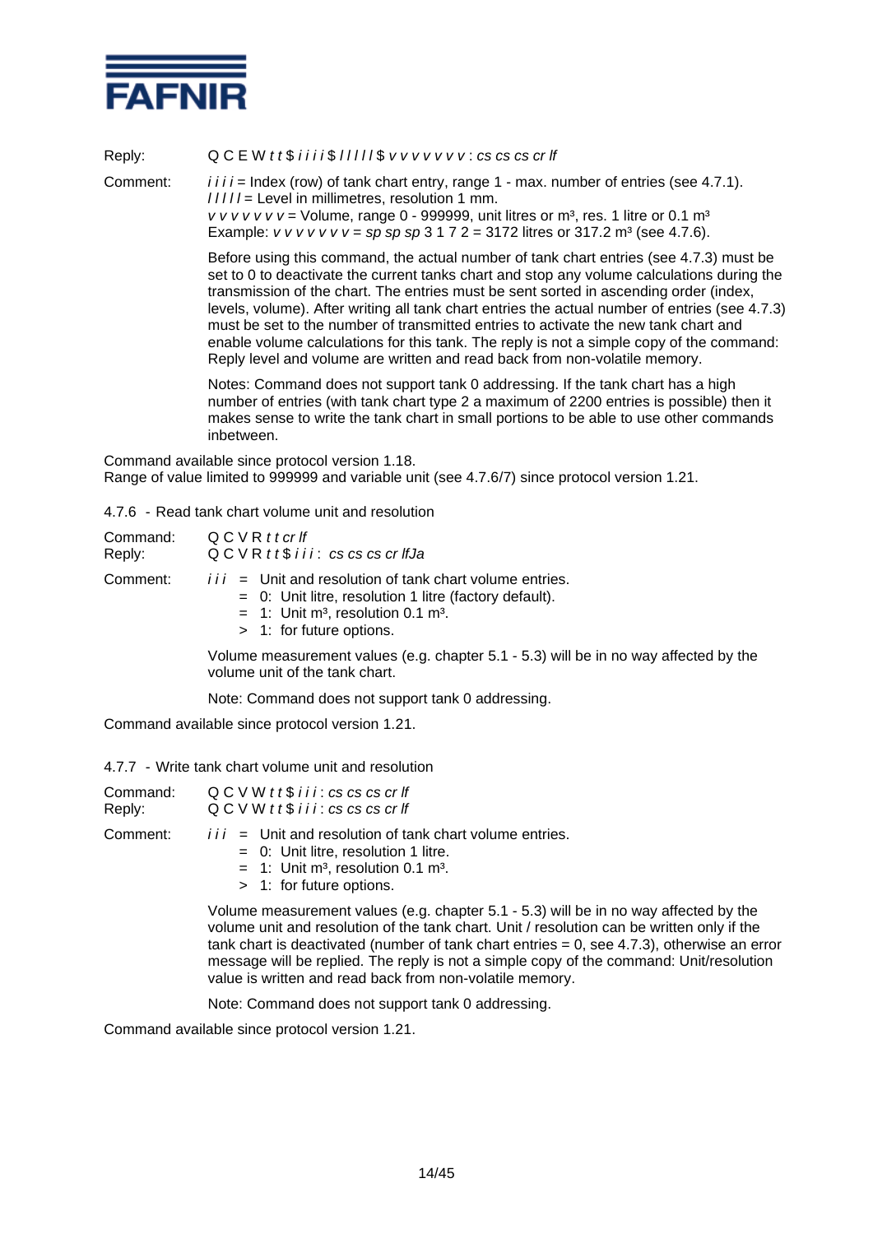

Reply: Q C E W *t t* \$ *i i i i* \$ *l l l l l* \$ *v v v v v v v* : *cs cs cs cr lf* Comment: *i i i i =* Index (row) of tank chart entry, range 1 - max. number of entries (see 4.7.1). *l l l l l* = Level in millimetres, resolution 1 mm.  $v v v v v v =$  Volume, range 0 - 999999, unit litres or  $m<sup>3</sup>$ , res. 1 litre or 0.1  $m<sup>3</sup>$ Example:  $v v v v v v v = sp sp sp 3 1 7 2 = 3172$  litres or 317.2 m<sup>3</sup> (see 4.7.6).

> Before using this command, the actual number of tank chart entries (see 4.7.3) must be set to 0 to deactivate the current tanks chart and stop any volume calculations during the transmission of the chart. The entries must be sent sorted in ascending order (index, levels, volume). After writing all tank chart entries the actual number of entries (see 4.7.3) must be set to the number of transmitted entries to activate the new tank chart and enable volume calculations for this tank. The reply is not a simple copy of the command: Reply level and volume are written and read back from non-volatile memory.

Notes: Command does not support tank 0 addressing. If the tank chart has a high number of entries (with tank chart type 2 a maximum of 2200 entries is possible) then it makes sense to write the tank chart in small portions to be able to use other commands inbetween.

Command available since protocol version 1.18. Range of value limited to 999999 and variable unit (see 4.7.6/7) since protocol version 1.21.

| 4.7.6 - Read tank chart volume unit and resolution |  |  |  |  |  |  |  |  |  |
|----------------------------------------------------|--|--|--|--|--|--|--|--|--|
|----------------------------------------------------|--|--|--|--|--|--|--|--|--|

| Command:<br>Reply: | QCVRttcrlf<br>$QCVRtt$$ iii: $cs$ $cs$ $cs$ $cr$ $HJa$                                                                                                                                                            |
|--------------------|-------------------------------------------------------------------------------------------------------------------------------------------------------------------------------------------------------------------|
| Comment:           | $iii =$ Unit and resolution of tank chart volume entries.<br>$=$ 0: Unit litre, resolution 1 litre (factory default).<br>$=$ 1: Unit m <sup>3</sup> , resolution 0.1 m <sup>3</sup> .<br>> 1: for future options. |
|                    | Volume measurement values (e.g. chapter 5.1 - 5.3) will be in no way affected by the<br>volume unit of the tank chart.                                                                                            |

Note: Command does not support tank 0 addressing.

Command available since protocol version 1.21.

4.7.7 - Write tank chart volume unit and resolution

| Command:<br>Reply: | $QCVW$ t t $$iii: cs$ cs cs cr If<br>$QCVW$ t t $$iii:cs$ cs cs cs cr If                                                                                                                                                                                                                                                                                                        |  |  |  |
|--------------------|---------------------------------------------------------------------------------------------------------------------------------------------------------------------------------------------------------------------------------------------------------------------------------------------------------------------------------------------------------------------------------|--|--|--|
| Comment:           | $iii =$ Unit and resolution of tank chart volume entries.<br>$=$ 0: Unit litre, resolution 1 litre.<br>$= 1$ : Unit m <sup>3</sup> , resolution 0.1 m <sup>3</sup> .<br>> 1: for future options.                                                                                                                                                                                |  |  |  |
|                    | Volume measurement values (e.g. chapter 5.1 - 5.3) will be in no way affected by the<br>volume unit and resolution of the tank chart. Unit / resolution can be written only if the<br>tank chart is deactivated (number of tank chart entries $= 0$ , see 4.7.3), otherwise an error<br>message will be replied. The reply is not a simple copy of the command: Unit/resolution |  |  |  |

value is written and read back from non-volatile memory. Note: Command does not support tank 0 addressing.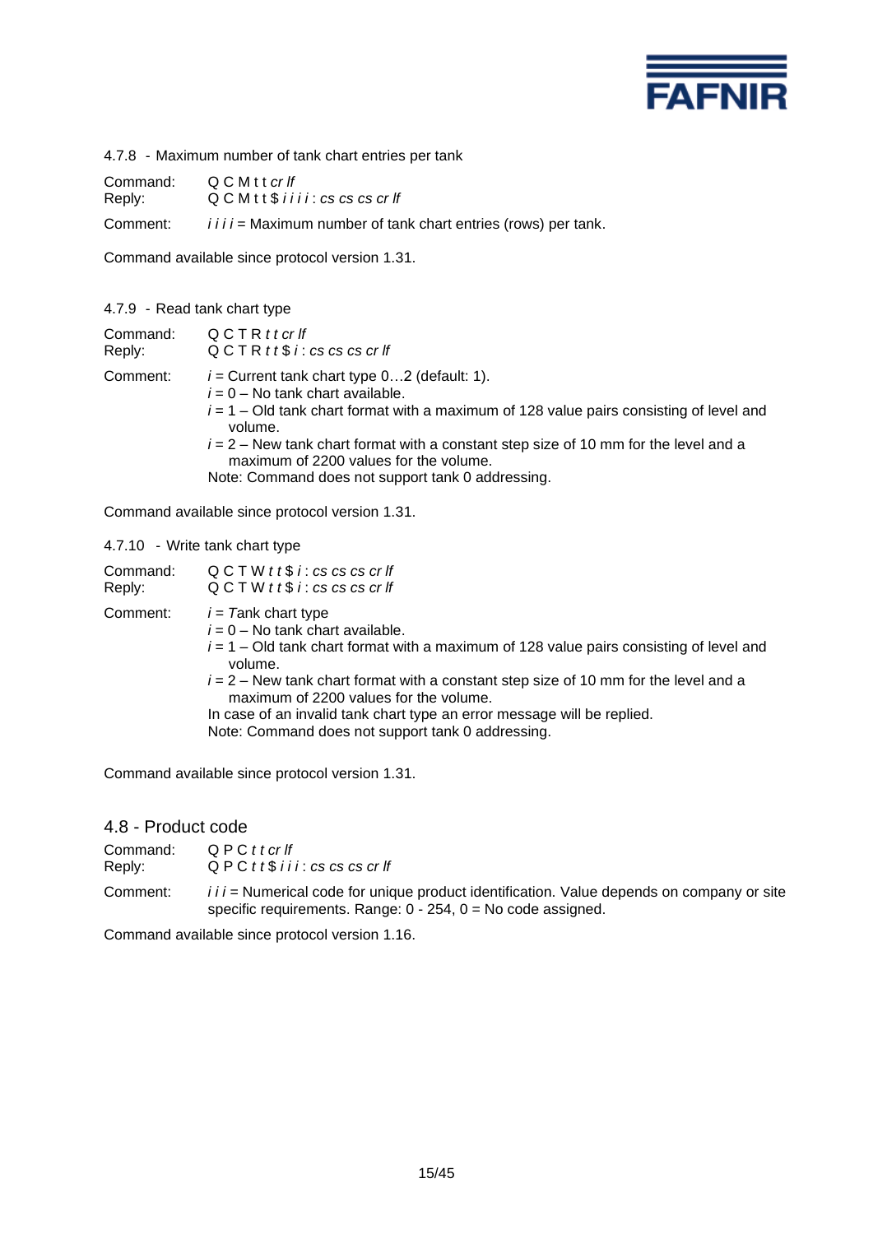

4.7.8 - Maximum number of tank chart entries per tank

Command: Q C M t t *cr lf* Reply: Q C M t t \$ *i i i i* : *cs cs cs cr lf*

Comment: *iiii* = Maximum number of tank chart entries (rows) per tank.

Command available since protocol version 1.31.

#### 4.7.9 - Read tank chart type

| Command: | QCTRttcrlf                                                                                                                                                                                                                                                                                                                                                                            |
|----------|---------------------------------------------------------------------------------------------------------------------------------------------------------------------------------------------------------------------------------------------------------------------------------------------------------------------------------------------------------------------------------------|
| Reply:   | $QCTR$ t t $$i$ : cs cs cs cr If                                                                                                                                                                                                                                                                                                                                                      |
| Comment: | $i$ = Current tank chart type 02 (default: 1).<br>$i = 0 - No$ tank chart available.<br>$i = 1 -$ Old tank chart format with a maximum of 128 value pairs consisting of level and<br>volume.<br>$i = 2$ – New tank chart format with a constant step size of 10 mm for the level and a<br>maximum of 2200 values for the volume.<br>Note: Command does not support tank 0 addressing. |

Command available since protocol version 1.31.

### 4.7.10 - Write tank chart type

| Command: | $QCTW$ t t $$i: cs$ cs cs cr If                                                                                                                                                                                                                                                                                                                                                                                                          |
|----------|------------------------------------------------------------------------------------------------------------------------------------------------------------------------------------------------------------------------------------------------------------------------------------------------------------------------------------------------------------------------------------------------------------------------------------------|
| Reply:   | $QCTW$ t t $$i: cs$ cs cs cr If                                                                                                                                                                                                                                                                                                                                                                                                          |
| Comment: | $i = 7$ ank chart type<br>$i = 0 -$ No tank chart available.<br>$i = 1 - Old$ tank chart format with a maximum of 128 value pairs consisting of level and<br>volume.<br>$i = 2$ – New tank chart format with a constant step size of 10 mm for the level and a<br>maximum of 2200 values for the volume.<br>In case of an invalid tank chart type an error message will be replied.<br>Note: Command does not support tank 0 addressing. |

Command available since protocol version 1.31.

# 4.8 - Product code

| Command: | QPCttcrlf                            |
|----------|--------------------------------------|
| Reply:   | $QPC$ t t $$$ i i i : cs cs cs cr If |

Comment: *i i i =* Numerical code for unique product identification. Value depends on company or site specific requirements. Range: 0 - 254, 0 = No code assigned.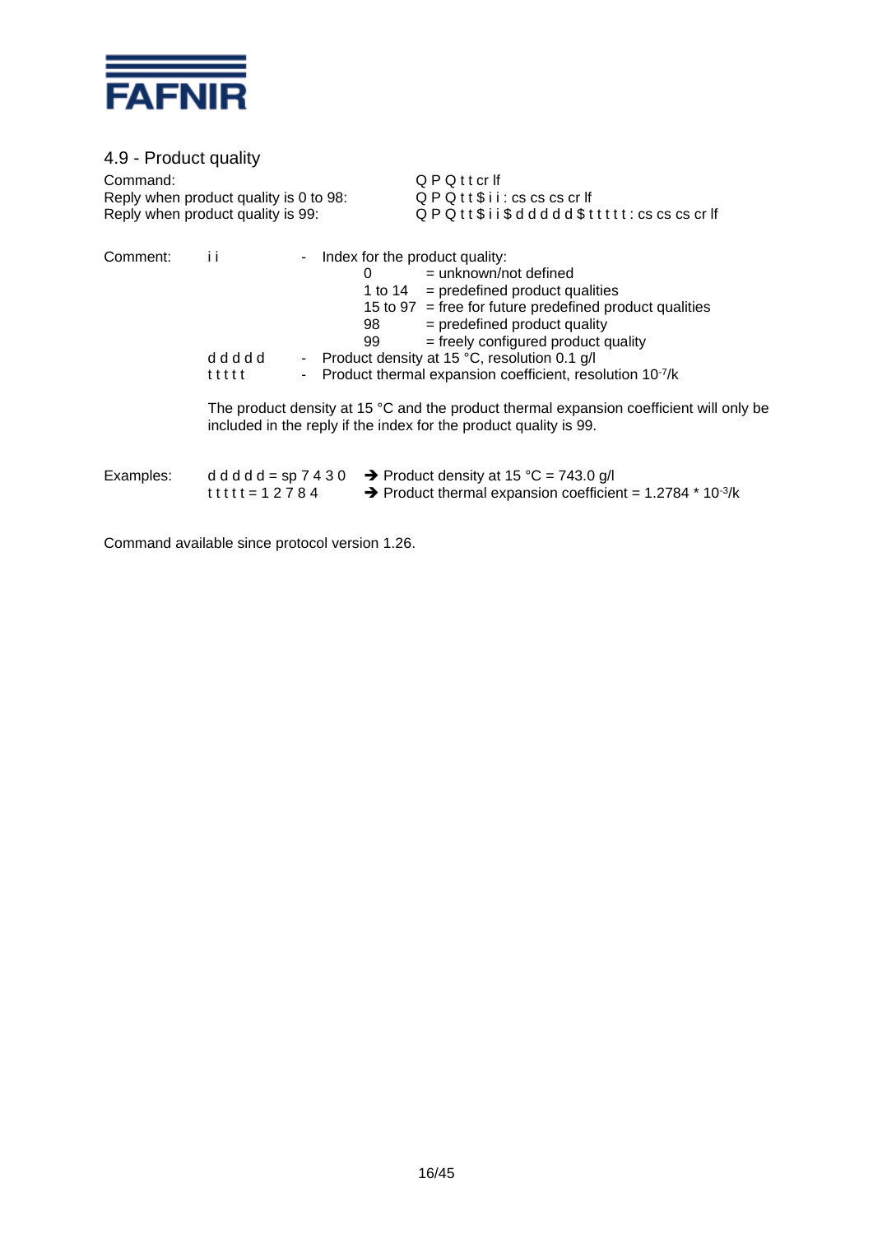

4.9 - Product quality Command:  $QPQt$  t cr lf<br>Reply when product quality is 0 to 98:  $QPQt$  t \$ i i : cs cs cs cr lf Reply when product quality is 0 to 98: Reply when product quality is 99:  $Q P Q t t $i i $ d d d d d $ t t t t t : cs cs cs cr ff$ Comment: i i - Index for the product quality:  $0 =$  unknown/not defined 1 to  $14$  = predefined product qualities 15 to 97 = free for future predefined product qualities  $98$  = predefined product quality<br> $99$  = freely configured product q  $=$  freely configured product quality d d d d d - Product density at 15 °C, resolution 0.1 g/l  $t$  t t t t t  $t$  - Product thermal expansion coefficient, resolution  $10^{-7}/k$ 

The product density at 15 °C and the product thermal expansion coefficient will only be included in the reply if the index for the product quality is 99.

| Examples: |                       | d d d d d = sp 7 4 3 0 $\rightarrow$ Product density at 15 °C = 743.0 g/l            |
|-----------|-----------------------|--------------------------------------------------------------------------------------|
|           | t t t t t = 1 2 7 8 4 | $\rightarrow$ Product thermal expansion coefficient = 1.2784 $*$ 10 <sup>-3</sup> /k |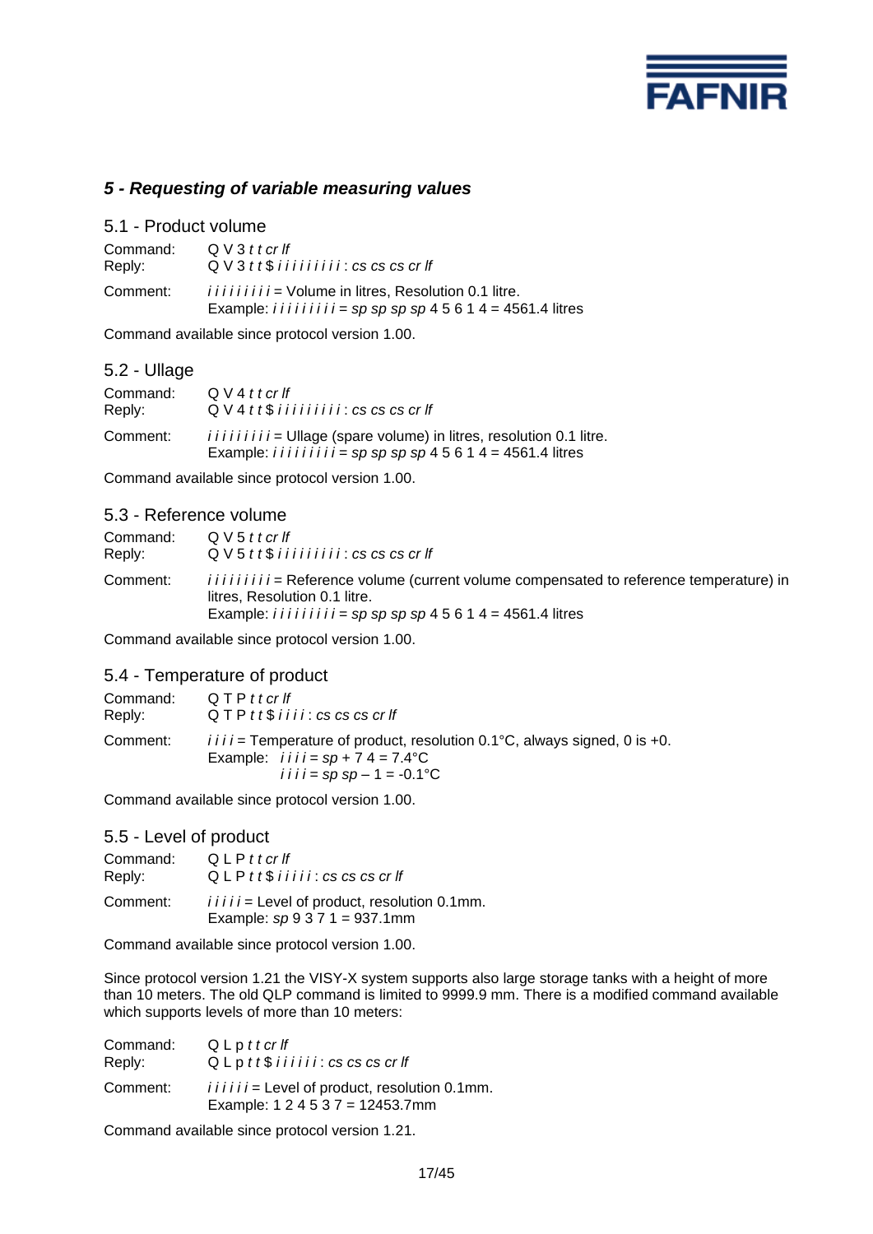

# *5 - Requesting of variable measuring values*

#### 5.1 - Product volume

| Command: | $QV3t$ t cr lf                                                                                                                                            |
|----------|-----------------------------------------------------------------------------------------------------------------------------------------------------------|
| Reply:   | $QV3tt$$ iiiiiiii: $cs$ $cs$ $cs$ $cr$ $lf$                                                                                                               |
| Comment: | <i>iiiiiiiii</i> = Volume in litres, Resolution 0.1 litre.<br>Example: <i>i i i i i i i i i i i =</i> $sp$ $sp$ $sp$ $sp$ $4$ 5 $6$ 1 $4$ = 4561.4 litres |

Command available since protocol version 1.00.

# 5.2 - Ullage

| Command: | Q V 4 t t c r f f                                                                                                                                                       |
|----------|-------------------------------------------------------------------------------------------------------------------------------------------------------------------------|
| Reply:   | $Q V 4 t t$ \$ i i i i i i i i i i $\mathcal{E}$ i $\mathcal{E}$ cs cs cs cr If                                                                                         |
| Comment: | $i i i i i i i j =$ Ullage (spare volume) in litres, resolution 0.1 litre.<br>Example: <i>i i i i i i i i i i =</i> $sp$ $sp$ $sp$ $sp$ $4$ 5 $6$ 1 $4$ = 4561.4 litres |

Command available since protocol version 1.00.

### 5.3 - Reference volume

| Command: | $QV5ttor$ If                                                                                                                                                                                                             |
|----------|--------------------------------------------------------------------------------------------------------------------------------------------------------------------------------------------------------------------------|
| Reply:   | $QV5tt$$ iiiiiiii: $cs$ $cs$ $cs$ $cr$ $lf$                                                                                                                                                                              |
| Comment: | <i>iiiiiiiii</i> = Reference volume (current volume compensated to reference temperature) in<br>litres. Resolution 0.1 litre.<br>Example: <i>i i i i i i i i i i i =</i> $sp$ $sp$ $sp$ $sp$ $4$ 5 6 1 4 = 4561.4 litres |

Command available since protocol version 1.00.

# 5.4 - Temperature of product

| Command: | Q T P t t cr lf                                                                                                                                                                                        |
|----------|--------------------------------------------------------------------------------------------------------------------------------------------------------------------------------------------------------|
| Reply:   | $QTP$ t t $$$ i i i i : cs cs cs cr If                                                                                                                                                                 |
| Comment: | $i \overline{i}$ i $i =$ Temperature of product, resolution 0.1°C, always signed, 0 is +0.<br>Example: $i \, i \, i \, i = sp + 7 \, 4 = 7.4^{\circ} \text{C}$<br><i>i i i i</i> = sp sp - 1 = -0.1 °C |

Command available since protocol version 1.00.

# 5.5 - Level of product

| Command: | QLPttcrlf                                                                             |
|----------|---------------------------------------------------------------------------------------|
| Reply:   | $QLP$ t t $$$ i i i i i : cs cs cs cr If                                              |
| Comment: | $i i i i j =$ Level of product, resolution 0.1mm.<br>Example: $sp 9 3 7 1 = 937.1$ mm |

Command available since protocol version 1.00.

Since protocol version 1.21 the VISY-X system supports also large storage tanks with a height of more than 10 meters. The old QLP command is limited to 9999.9 mm. There is a modified command available which supports levels of more than 10 meters:

| Command: | QLpttcrlf                                                                             |
|----------|---------------------------------------------------------------------------------------|
| Reply:   | $Q$ L p $tt$ $$$ $i$ $ii$ $ii$ $i$ $:$ $cs$ $cs$ $cs$ $cr$ $If$                       |
| Comment: | $i i i i i j =$ Level of product, resolution 0.1mm.<br>Example: $124537 = 12453.7$ mm |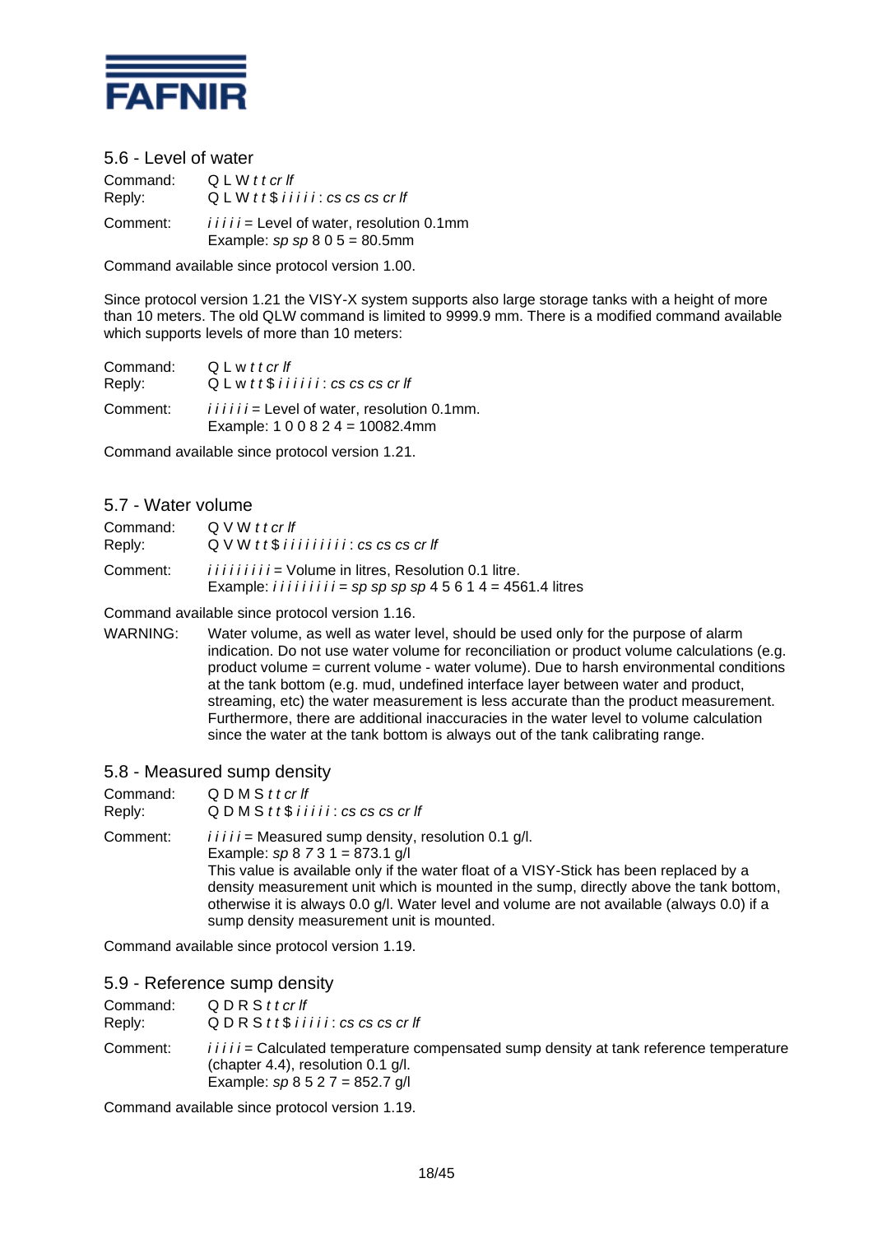

5.6 - Level of water

Command: Q L W *t t cr lf* Reply: Q L W *t t* \$ *i i i i i* : *cs cs cs cr lf* Comment: *i i i i i =* Level of water, resolution 0.1mm Example: *sp sp* 8 0 5 = 80.5mm

Command available since protocol version 1.00.

Since protocol version 1.21 the VISY-X system supports also large storage tanks with a height of more than 10 meters. The old QLW command is limited to 9999.9 mm. There is a modified command available which supports levels of more than 10 meters:

| Command: | QLwttcrlf                                                                         |
|----------|-----------------------------------------------------------------------------------|
| Reply:   | $QLw$ t t $$$ i i i i i i $:$ cs cs cs cr If                                      |
| Comment: | $i i i i j =$ Level of water, resolution 0.1mm.<br>Example: $100824 = 10082.4$ mm |

Command available since protocol version 1.21.

# 5.7 - Water volume

| Command: | Q V W t t cr If                                                                                                                    |
|----------|------------------------------------------------------------------------------------------------------------------------------------|
| Reply:   | $QVM$ tt\$ iiiiiiii: cs cs cs cr If                                                                                                |
| Comment: | <i>iiiiiiiii</i> = Volume in litres. Resolution 0.1 litre.<br>Example: $i i i i i i i i i = sp sp sp sp 4 5 6 1 4 = 4561.4$ litres |

Command available since protocol version 1.16.

WARNING: Water volume, as well as water level, should be used only for the purpose of alarm indication. Do not use water volume for reconciliation or product volume calculations (e.g. product volume = current volume - water volume). Due to harsh environmental conditions at the tank bottom (e.g. mud, undefined interface layer between water and product, streaming, etc) the water measurement is less accurate than the product measurement. Furthermore, there are additional inaccuracies in the water level to volume calculation since the water at the tank bottom is always out of the tank calibrating range.

5.8 - Measured sump density

| Command: | QDMSttcrIf                                                                                                                                                                                                                                                                                                                                                                                                                |
|----------|---------------------------------------------------------------------------------------------------------------------------------------------------------------------------------------------------------------------------------------------------------------------------------------------------------------------------------------------------------------------------------------------------------------------------|
| Reply:   | $Q$ D M S $tt$ $$$ $i$ $ii$ $ii$ $:$ $cs$ $cs$ $cs$ $cr$ $If$                                                                                                                                                                                                                                                                                                                                                             |
| Comment: | $i i i i =$ Measured sump density, resolution 0.1 g/l.<br>Example: $sp 8 73 1 = 873.1 g/l$<br>This value is available only if the water float of a VISY-Stick has been replaced by a<br>density measurement unit which is mounted in the sump, directly above the tank bottom,<br>otherwise it is always 0.0 g/l. Water level and volume are not available (always 0.0) if a<br>sump density measurement unit is mounted. |

Command available since protocol version 1.19.

# 5.9 - Reference sump density

| Command: | QDRSttcrlf                                                                                                                                                             |
|----------|------------------------------------------------------------------------------------------------------------------------------------------------------------------------|
| Reply:   | $QDRS$ tt\$ i i i i i : cs cs cs cr If                                                                                                                                 |
| Comment: | $i i i i j =$ Calculated temperature compensated sump density at tank reference temperature<br>(chapter 4.4), resolution 0.1 g/l.<br>Example: $sp 8 5 2 7 = 852.7$ g/l |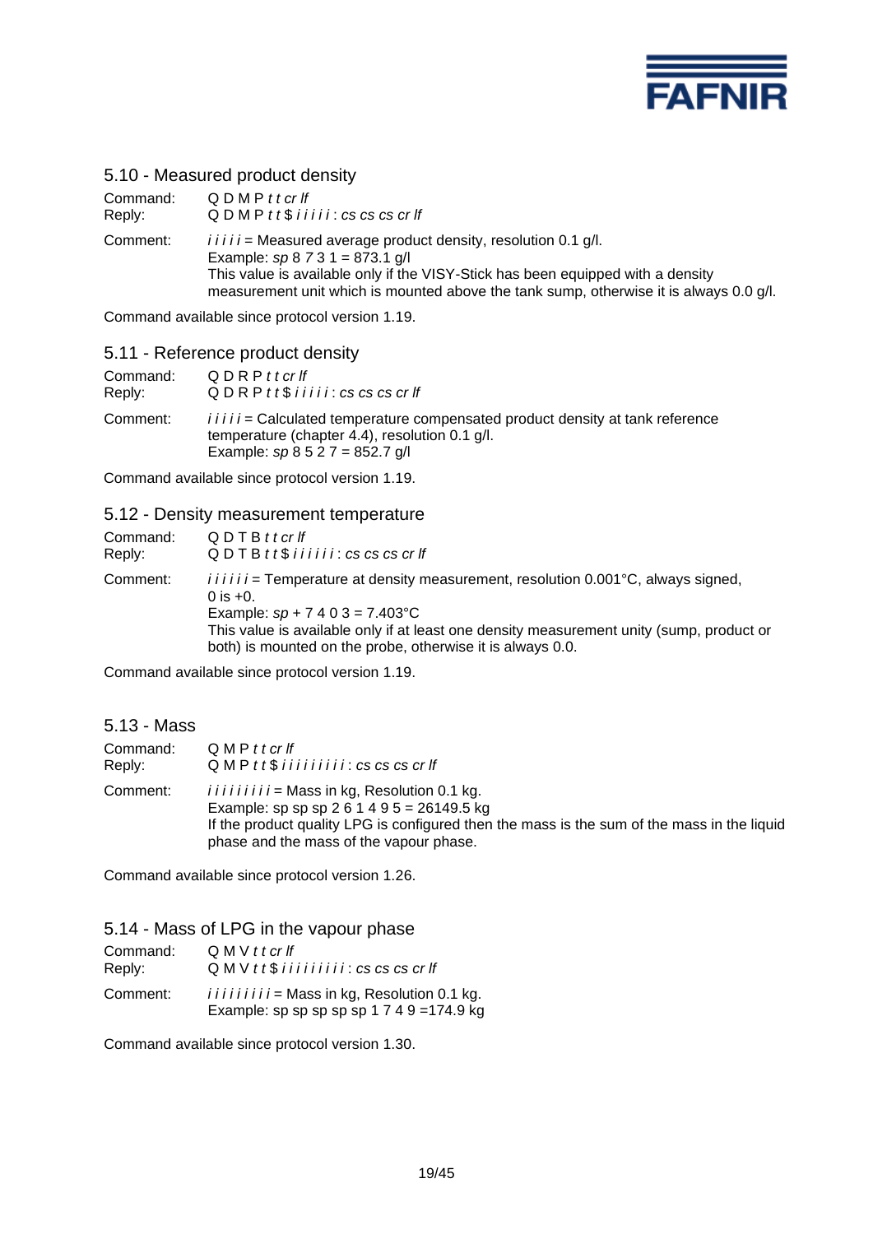

# 5.10 - Measured product density

| Command: | QDMPttcrlf                                                                                                                                                                                                                                                                           |
|----------|--------------------------------------------------------------------------------------------------------------------------------------------------------------------------------------------------------------------------------------------------------------------------------------|
| Reply:   | $Q$ D M P $t$ t $$$ $i$ $i$ $i$ $i$ $i$ $:$ $cs$ $cs$ $cs$ $cr$ $\ddot{r}$                                                                                                                                                                                                           |
| Comment: | $i i i i j$ = Measured average product density, resolution 0.1 g/l.<br>Example: $sp 8 73 1 = 873.1 g/l$<br>This value is available only if the VISY-Stick has been equipped with a density<br>measurement unit which is mounted above the tank sump, otherwise it is always 0.0 g/l. |

Command available since protocol version 1.19.

### 5.11 - Reference product density

| Command: | QDRPttcrlf                                                                                                                                                                |
|----------|---------------------------------------------------------------------------------------------------------------------------------------------------------------------------|
| Reply:   | $Q$ D R P $t$ t $$$ $i$ $i$ $i$ $i$ $i$ $:$ $cs$ $cs$ $cs$ $cr$ $If$                                                                                                      |
| Comment: | <i>iiii</i> = Calculated temperature compensated product density at tank reference<br>temperature (chapter 4.4), resolution 0.1 g/l.<br>Example: $sp 8 5 2 7 = 852.7 g/l$ |

Command available since protocol version 1.19.

#### 5.12 - Density measurement temperature

| Command:<br>Reply: | QDTBttcrlf<br>$Q$ D T B $t$ t $$$ $i$ $i$ $i$ $i$ $i$ $i$ $s$ $cs$ $cs$ $cs$ $cr$ $ff$                                                                 |
|--------------------|--------------------------------------------------------------------------------------------------------------------------------------------------------|
| Comment:           | $i i i i j =$ Temperature at density measurement, resolution 0.001 °C, always signed,<br>0 is $+0$ .<br>Example: $sp + 7403 = 7.403^{\circ}$ C         |
|                    | This value is available only if at least one density measurement unity (sump, product or<br>both) is mounted on the probe, otherwise it is always 0.0. |

Command available since protocol version 1.19.

| 5.13 - Mass        |                                                                                                                                                                                                                                            |
|--------------------|--------------------------------------------------------------------------------------------------------------------------------------------------------------------------------------------------------------------------------------------|
| Command:<br>Reply: | $QMPt$ cr If<br>$QMPtt$$ iiiiiiii: $cs$ $cs$ $cs$ $cr$ $H$                                                                                                                                                                                 |
| Comment:           | $i i i i i i i j =$ Mass in kg, Resolution 0.1 kg.<br>Example: sp sp sp 2 6 1 4 9 5 = 26149.5 kg<br>If the product quality LPG is configured then the mass is the sum of the mass in the liquid<br>phase and the mass of the vapour phase. |

Command available since protocol version 1.26.

5.14 - Mass of LPG in the vapour phase

| Command: | Q M V t t cr If                                                                                      |
|----------|------------------------------------------------------------------------------------------------------|
| Reply:   | $Q$ M V $tt$ $$$ $ii$ $ii$ $ii$ $ii$ $i$ $i$ $s$ $cs$ $cs$ $cr$ $If$                                 |
| Comment: | $i i i i i i i j =$ Mass in kg, Resolution 0.1 kg.<br>Example: sp sp sp sp sp 1 $7$ 4 $9$ = 174.9 kg |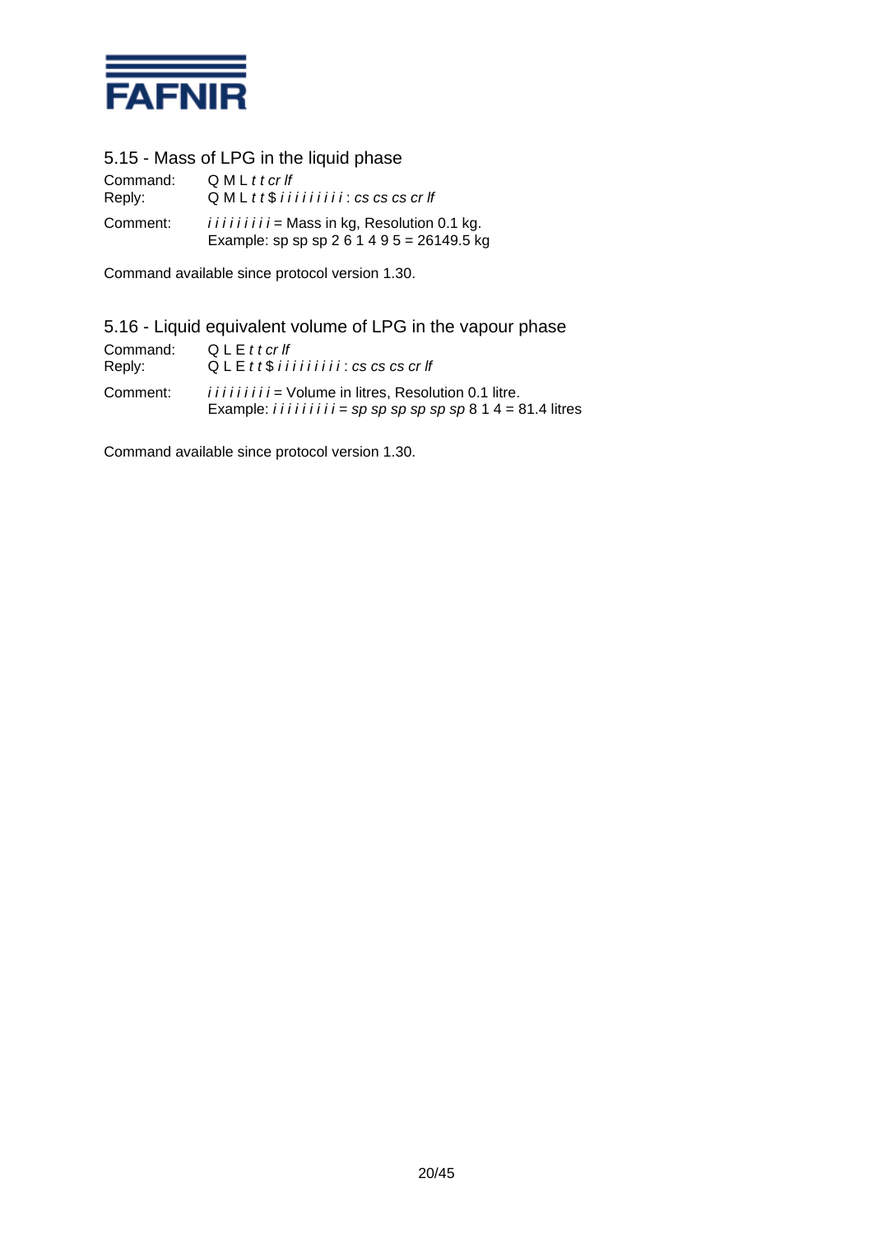

5.15 - Mass of LPG in the liquid phase

| Command: | $QMLt$ t cr If                                                                                   |
|----------|--------------------------------------------------------------------------------------------------|
| Reply:   | $QML$ t t $$$ i i i i i i i i i i $:$ cs cs cs cr If                                             |
| Comment: | $i i i i i i i j =$ Mass in kg, Resolution 0.1 kg.<br>Example: sp sp sp 2 6 1 4 9 5 = 26149.5 kg |

Command available since protocol version 1.30.

# 5.16 - Liquid equivalent volume of LPG in the vapour phase

| Command: | Q L E t t c r f f                                                                                                                            |
|----------|----------------------------------------------------------------------------------------------------------------------------------------------|
| Reply:   | $QLE$ tt\$ iiiiiiii: cs cs cs cr If                                                                                                          |
| Comment: | <i>iiiiiiiii</i> = Volume in litres, Resolution 0.1 litre.<br>Example: <i>i i i i i i i i i i i = sp sp sp sp sp sp 8</i> $14 = 81.4$ litres |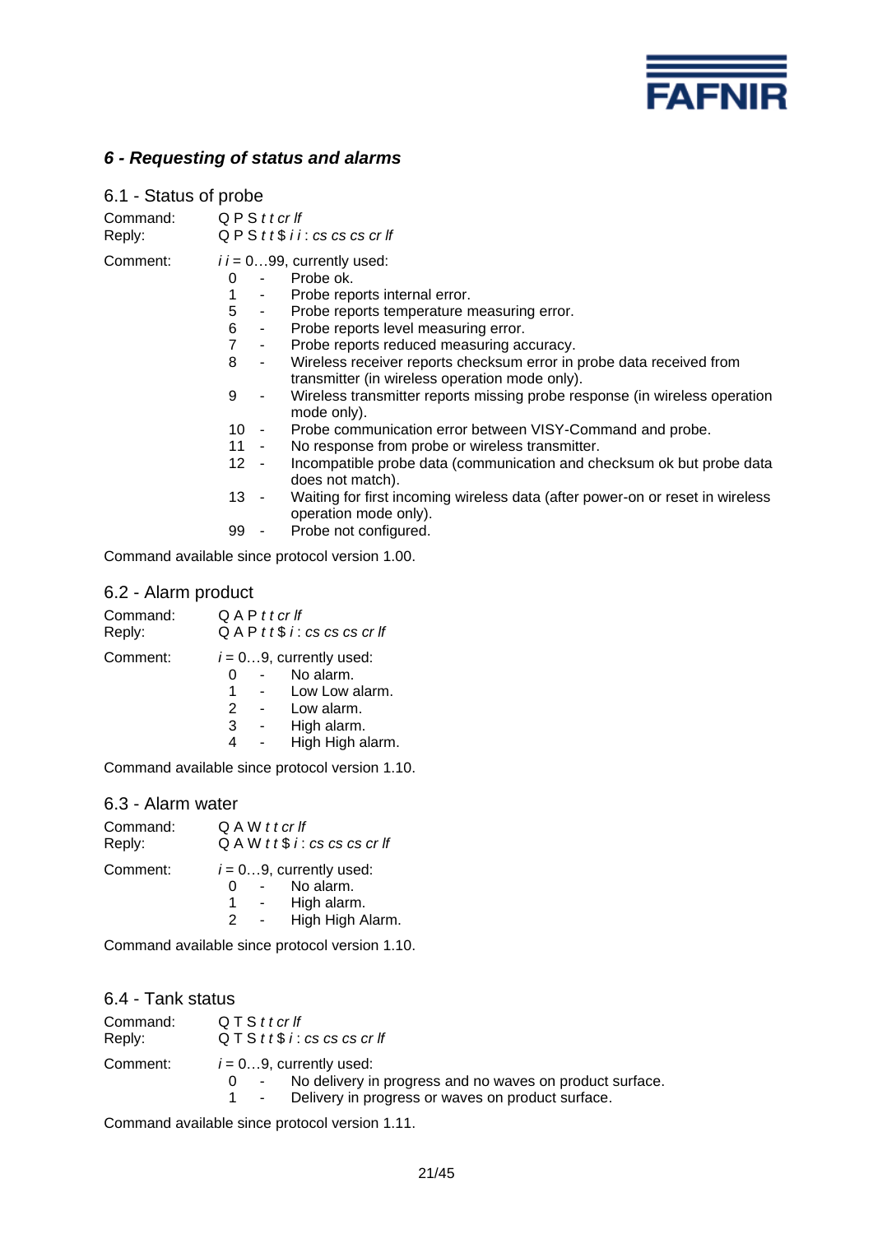

# *6 - Requesting of status and alarms*

| 6.1 - Status of probe |                                                                                                                                                                                                                                                                                                                                                                                                                                                                                                                                                                                                                                                                                                                                                                                                                                                                                                                                                                                                                                        |
|-----------------------|----------------------------------------------------------------------------------------------------------------------------------------------------------------------------------------------------------------------------------------------------------------------------------------------------------------------------------------------------------------------------------------------------------------------------------------------------------------------------------------------------------------------------------------------------------------------------------------------------------------------------------------------------------------------------------------------------------------------------------------------------------------------------------------------------------------------------------------------------------------------------------------------------------------------------------------------------------------------------------------------------------------------------------------|
| Command:<br>Reply:    | Q P S t t cr lf<br>$Q \, P \, S \, t \, t \, \$ \, i \, i : cs \, cs \, cs \, cr \, lf$                                                                                                                                                                                                                                                                                                                                                                                                                                                                                                                                                                                                                                                                                                                                                                                                                                                                                                                                                |
| Comment:              | $i = 099$ , currently used:<br>Probe ok.<br>0<br>1<br>Probe reports internal error.<br>$\blacksquare$<br>5<br>Probe reports temperature measuring error.<br>$\sim$<br>6<br>Probe reports level measuring error.<br>$\sigma_{\rm{max}}$<br>$\overline{7}$<br>Probe reports reduced measuring accuracy.<br>$\sim 10$<br>8<br>Wireless receiver reports checksum error in probe data received from<br>$\blacksquare$<br>transmitter (in wireless operation mode only).<br>Wireless transmitter reports missing probe response (in wireless operation<br>9<br>$\overline{\phantom{a}}$<br>mode only).<br>Probe communication error between VISY-Command and probe.<br>10<br><b>Contract Contract</b><br>11<br>No response from probe or wireless transmitter.<br>12 <sup>°</sup><br>Incompatible probe data (communication and checksum ok but probe data<br>$\sim$<br>does not match).<br>13 -<br>Waiting for first incoming wireless data (after power-on or reset in wireless<br>operation mode only).<br>Probe not configured.<br>99 - |
|                       | Command available since protocol version 1.00.                                                                                                                                                                                                                                                                                                                                                                                                                                                                                                                                                                                                                                                                                                                                                                                                                                                                                                                                                                                         |

# 6.2 - Alarm product

| Command:<br>Reply: | Q A P t t cr lf  | $QAP$ tt\$ i: cs cs cs cr If                                                                               |
|--------------------|------------------|------------------------------------------------------------------------------------------------------------|
| Comment:           | O<br>1<br>2<br>3 | $i = 09$ , currently used:<br>No alarm.<br>Low Low alarm.<br>Low alarm.<br>High alarm.<br>High High alarm. |

Command available since protocol version 1.10.

### 6.3 - Alarm water

| Command:<br>Reply: | Q A W t t cr If | Q A W t t \$i : cs cs cs cr                                                |
|--------------------|-----------------|----------------------------------------------------------------------------|
| Comment:           | 1.<br>2         | $i = 09$ , currently used:<br>No alarm.<br>High alarm.<br>High High Alarm. |

Command available since protocol version 1.10.

# 6.4 - Tank status

| Command: | QTSttcrlf                                                                                                                                           |
|----------|-----------------------------------------------------------------------------------------------------------------------------------------------------|
| Reply:   | $QTS$ t t $$i$ : cs cs cs cr If                                                                                                                     |
| Comment: | $i = 09$ , currently used:<br>0 - No delivery in progress and no waves on product surface.<br>1 - Delivery in progress or waves on product surface. |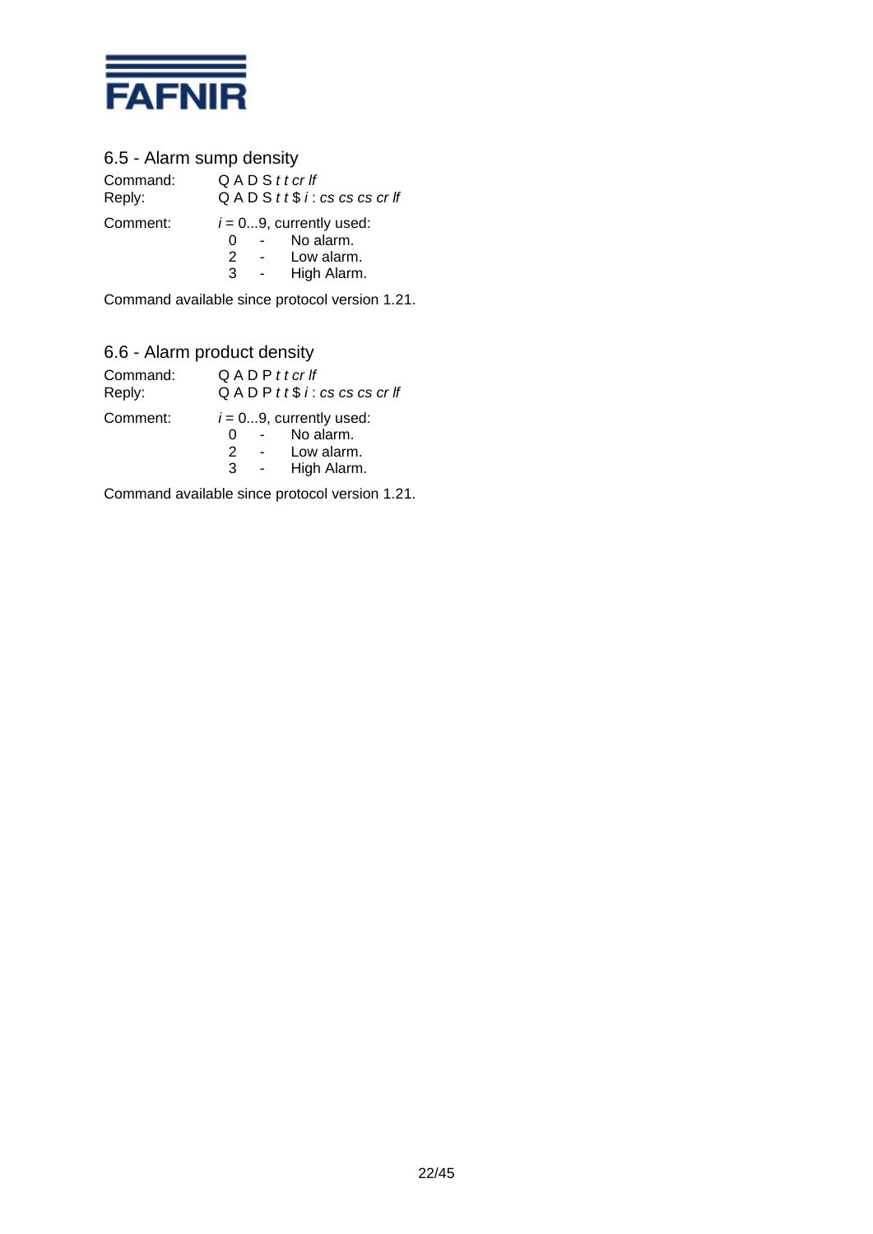

# 6.5 - Alarm sump density

Command: Q A D S *t t cr lf* Reply: Q A D S *t t* \$ *i* : *cs cs cs cr lf* Comment:  $i = 0...9$ , currently used: 0 - No alarm.

2 - Low alarm. 3 - High Alarm.

Command available since protocol version 1.21.

# 6.6 - Alarm product density

| Command:<br>Reply: |             | $Q$ A D P $t$ t cr If<br>$Q$ A D P $t$ t $$$ $i$ : cs cs cs cr If    |
|--------------------|-------------|----------------------------------------------------------------------|
| Comment:           | O<br>2<br>3 | $i = 09$ , currently used:<br>No alarm.<br>Low alarm.<br>High Alarm. |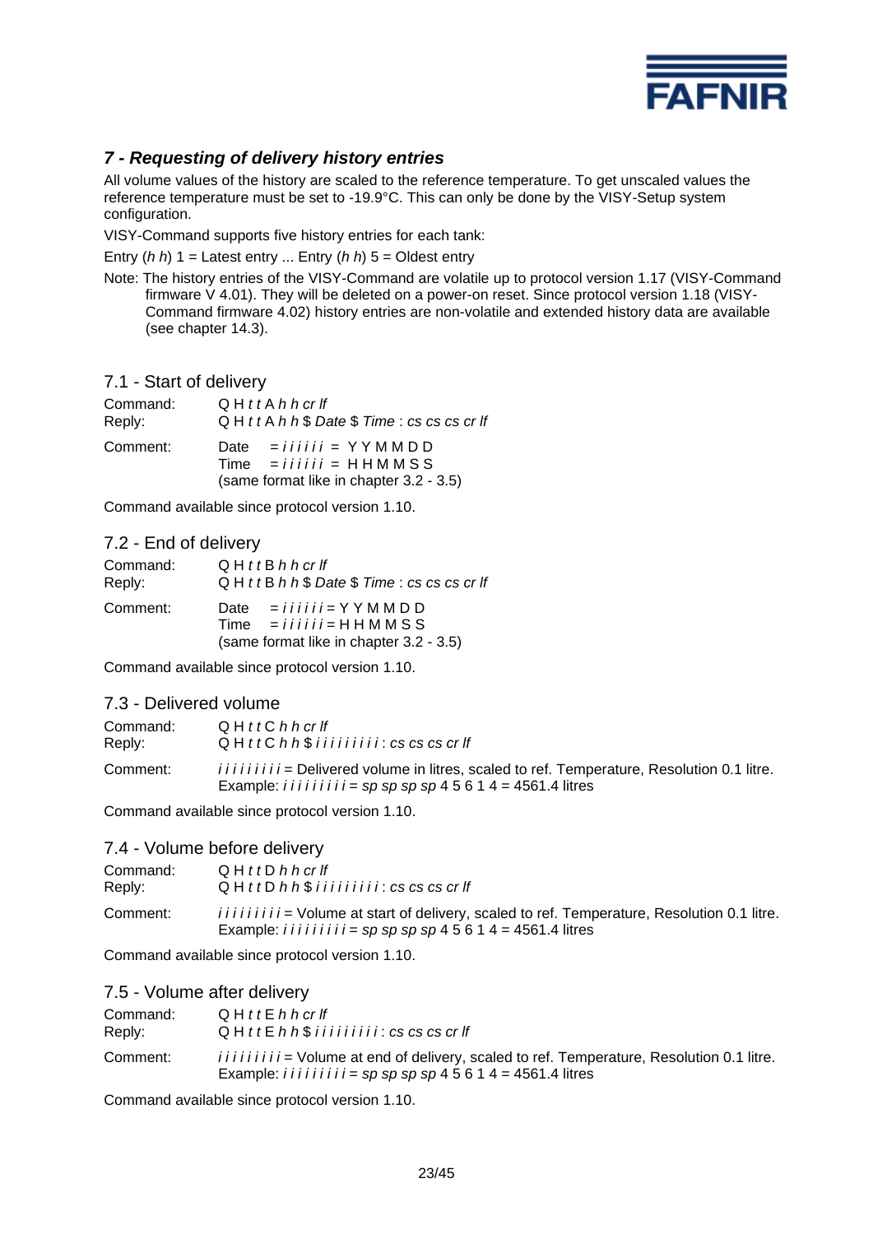

# *7 - Requesting of delivery history entries*

All volume values of the history are scaled to the reference temperature. To get unscaled values the reference temperature must be set to -19.9°C. This can only be done by the VISY-Setup system configuration.

VISY-Command supports five history entries for each tank:

Entry (*h h*) 1 = Latest entry ... Entry (*h h*) 5 = Oldest entry

Note: The history entries of the VISY-Command are volatile up to protocol version 1.17 (VISY-Command firmware V 4.01). They will be deleted on a power-on reset. Since protocol version 1.18 (VISY-Command firmware 4.02) history entries are non-volatile and extended history data are available (see chapter 14.3).

7.1 - Start of delivery

| Command: | $Q$ H $t$ t A $h$ h $cr$ If                                                                                                          |
|----------|--------------------------------------------------------------------------------------------------------------------------------------|
| Reply:   | $Q$ H $t$ t A h h $$$ Date $$$ Time : cs cs cs cr li                                                                                 |
| Comment: | Date = $i \, i \, i \, i \, i \, i = Y Y M M D D$<br>$Time$ = $i i i i i j = H H M M S S$<br>(same format like in chapter 3.2 - 3.5) |

Command available since protocol version 1.10.

# 7.2 - End of delivery

| Command: | $Q$ H $t$ t B $h$ h $cr$ If                                                                                                                                          |
|----------|----------------------------------------------------------------------------------------------------------------------------------------------------------------------|
| Reply:   | $Q$ H $t$ t B $h$ h $\$$ Date $\$$ Time : cs cs cs cr If                                                                                                             |
| Comment: | Date = $i \text{ } i \text{ } i \text{ } i \text{ } j = Y Y M M D D$<br>$Time = i \, i \, i \, i \, i \, i = H H M M S S$<br>(same format like in chapter 3.2 - 3.5) |

Command available since protocol version 1.10.

# 7.3 - Delivered volume

| Command: | $Q$ H $tt$ C h h cr If                                                                                                                                                             |
|----------|------------------------------------------------------------------------------------------------------------------------------------------------------------------------------------|
| Reply:   | $QH$ tt C $h$ $h$ $\$$ $i$ $i$ $i$ $i$ $i$ $i$ $i$ $i$ $i$ $s$ $c$ $s$ $c$ $s$ $c$ $r$ $f$                                                                                         |
| Comment: | <i>iiiiiiiii</i> = Delivered volume in litres, scaled to ref. Temperature, Resolution 0.1 litre.<br>Example: <i>i i i i i i i i i i i =</i> $sp$ $sp$ $sp$ $45614$ = 4561.4 litres |

Command available since protocol version 1.10.

#### 7.4 - Volume before delivery

| Command: | $Q$ H $t$ t D $h$ h $cr$ If                                                                                                                                                       |
|----------|-----------------------------------------------------------------------------------------------------------------------------------------------------------------------------------|
| Reply:   | $Q$ H $t$ t D $h$ $h$ $\frac{6}{3}$ i i i i i i i i i $i$ : $cs$ $cs$ $cs$ $cr$ $If$                                                                                              |
| Comment: | <i>iiiiiiiii</i> = Volume at start of delivery, scaled to ref. Temperature, Resolution 0.1 litre.<br>Example: <i>i i i i i i i i i i =</i> $sp$ $sp$ $sp$ $45614$ = 4561.4 litres |

Command available since protocol version 1.10.

#### 7.5 - Volume after delivery

| Command: | $Q$ H $t$ t E $h$ h cr If                                                                                                                                                                    |
|----------|----------------------------------------------------------------------------------------------------------------------------------------------------------------------------------------------|
| Reply:   | $Q$ H $ttE$ h $h$ $$$ i i i i i i i i i $i$ : $cs$ $cs$ $cs$ $cr$ $ff$                                                                                                                       |
| Comment: | <i>iiiiiiiii</i> = Volume at end of delivery, scaled to ref. Temperature, Resolution 0.1 litre.<br>Example: <i>i i i i i i i i i i =</i> $sp$ $sp$ $sp$ $sp$ $4$ 5 $6$ 1 $4$ = 4561.4 litres |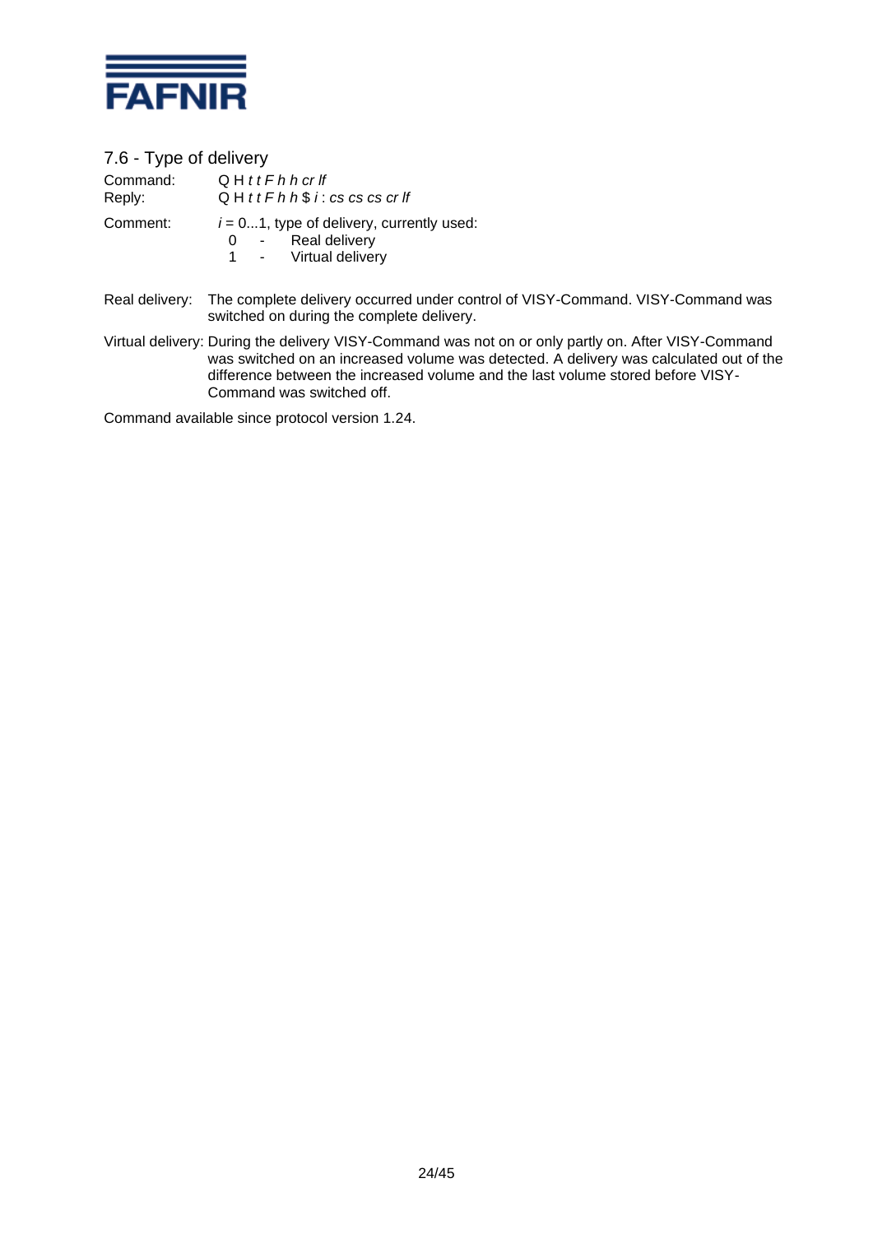

7.6 - Type of delivery

| Command: | $Q$ H t t F h h cr If                                                                          |
|----------|------------------------------------------------------------------------------------------------|
| Reply:   | $Q$ H $t$ t $F$ h $h$ $\$$ $i$ : $cs$ $cs$ $cs$ $cs$ $cr$ $If$                                 |
| Comment: | $i = 01$ , type of delivery, currently used:<br>Real delivery<br>$0 -$<br>1 - Virtual delivery |

- Real delivery: The complete delivery occurred under control of VISY-Command. VISY-Command was switched on during the complete delivery.
- Virtual delivery: During the delivery VISY-Command was not on or only partly on. After VISY-Command was switched on an increased volume was detected. A delivery was calculated out of the difference between the increased volume and the last volume stored before VISY-Command was switched off.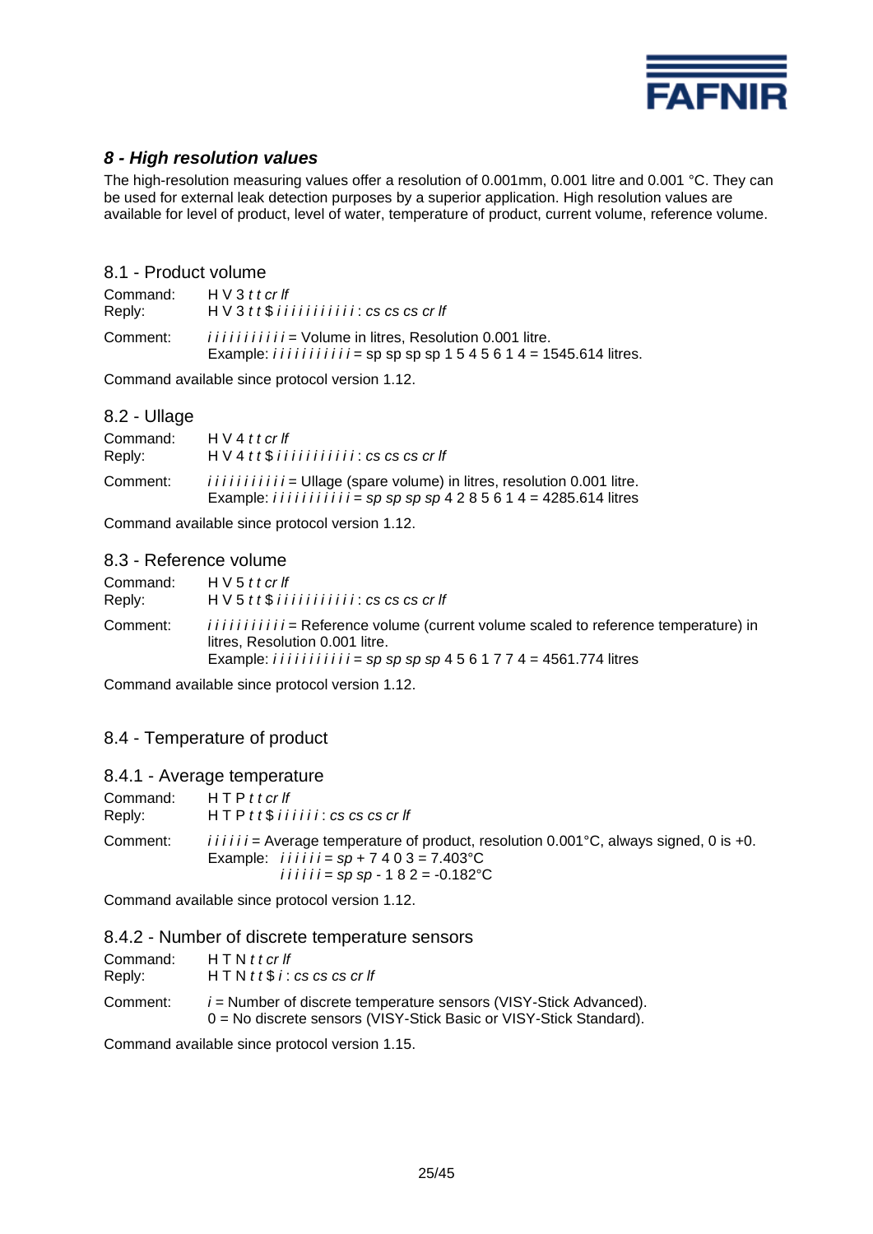

# *8 - High resolution values*

The high-resolution measuring values offer a resolution of 0.001mm, 0.001 litre and 0.001 °C. They can be used for external leak detection purposes by a superior application. High resolution values are available for level of product, level of water, temperature of product, current volume, reference volume.

### 8.1 - Product volume

| Command: | H V 3 t t c r f f                                                                                                                           |
|----------|---------------------------------------------------------------------------------------------------------------------------------------------|
| Reply:   | $H V 3 t t$ \$ i i i i i i i i i i i i $i$ : cs cs cs cr If                                                                                 |
| Comment: | <i>iiiiiiiiiii</i> = Volume in litres, Resolution 0.001 litre.<br>Example: <i>iiiiiiiiii</i> = sp sp sp sp 1 5 4 5 6 1 4 = 1545.614 litres. |

Command available since protocol version 1.12.

# 8.2 - Ullage

| Command:<br>Reply: | H V 4 t t cr lf<br>$H V 4 t t$ \$ iiiiiiiiii: cs cs cs cr If                                                                                                   |
|--------------------|----------------------------------------------------------------------------------------------------------------------------------------------------------------|
| Comment:           | <i>iiiiiiiiiii</i> = Ullage (spare volume) in litres, resolution 0.001 litre.<br>Example: <i>iiiiiiiiii</i> = $sp$ $sp$ $sp$ $4$ 2 8 5 6 1 4 = 4285.614 litres |

Command available since protocol version 1.12.

### 8.3 - Reference volume

| Command: | H V 5 t t c r f f                                                                                                                                                                                                     |
|----------|-----------------------------------------------------------------------------------------------------------------------------------------------------------------------------------------------------------------------|
| Reply:   | $H V 5 t t$ \$ i i i i i i i i i i i i $\mathcal{L}$ i $\mathcal{L}$ cs cs cs cr If                                                                                                                                   |
| Comment: | <i>iiiiiiiiiii</i> = Reference volume (current volume scaled to reference temperature) in<br>litres, Resolution 0.001 litre.<br>Example: <i>i i i i i i i i i i i i i i = sp sp sp sp</i> $4561774 = 4561.774$ litres |

Command available since protocol version 1.12.

# 8.4 - Temperature of product

#### 8.4.1 - Average temperature

| Command: | $HTPt$ t cr If                                                                                                                                                                       |
|----------|--------------------------------------------------------------------------------------------------------------------------------------------------------------------------------------|
| Reply:   | $HTP$ tt $$$ i i i i i i : cs cs cs cr If                                                                                                                                            |
| Comment: | $i i i i j =$ Average temperature of product, resolution 0.001 °C, always signed, 0 is +0.<br>Example: $i i i i i j = sp + 7 4 0 3 = 7.403$ °C<br>iiiiii = sp sp - 1 8 2 = -0.182 °C |

Command available since protocol version 1.12.

#### 8.4.2 - Number of discrete temperature sensors

| Command: | $HTNt$ t cr If                                                                                                                            |
|----------|-------------------------------------------------------------------------------------------------------------------------------------------|
| Reply:   | $HTN$ t t $$i$ : cs cs cs cr If                                                                                                           |
| Comment: | $i$ = Number of discrete temperature sensors (VISY-Stick Advanced).<br>0 = No discrete sensors (VISY-Stick Basic or VISY-Stick Standard). |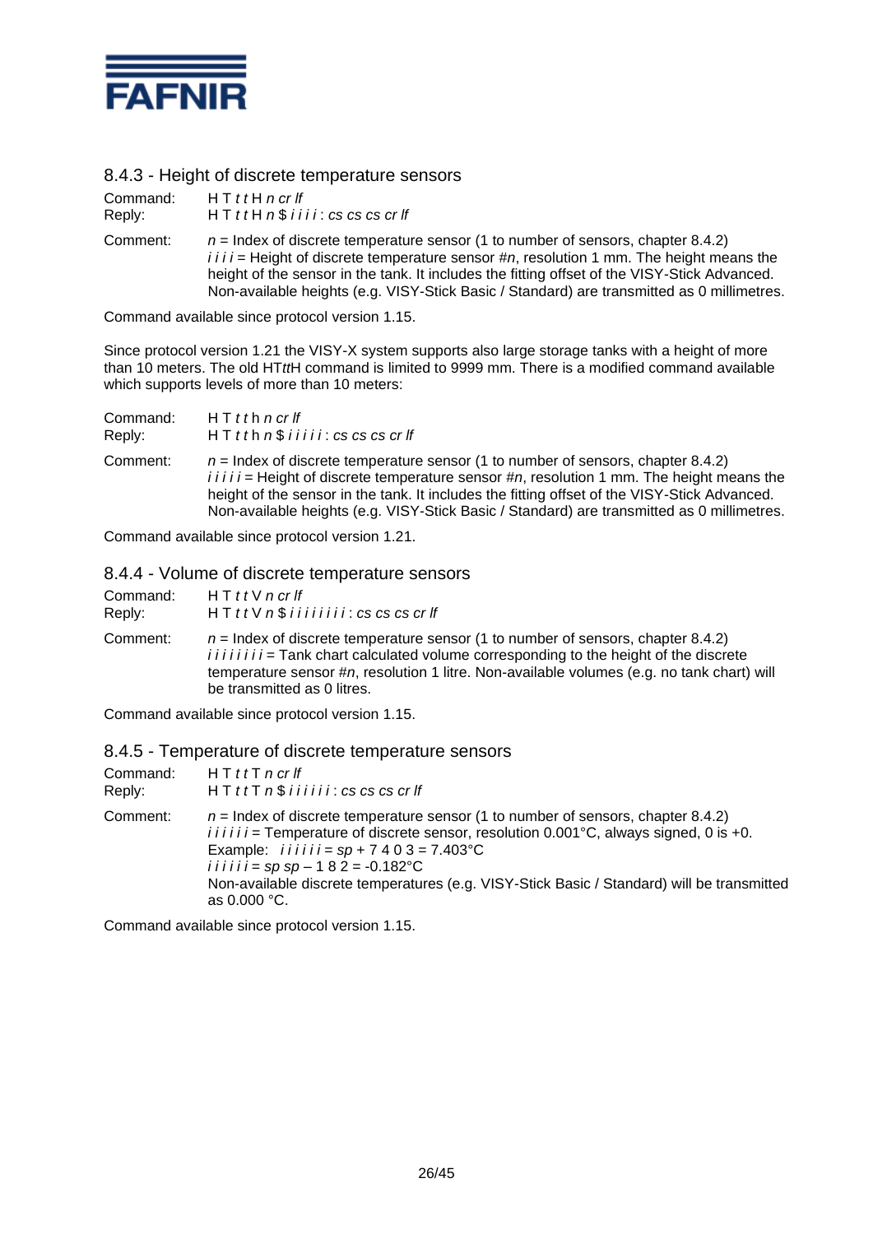

# 8.4.3 - Height of discrete temperature sensors

| Command: | H T t H n c r H                                                                                                                                                                                                                                                                                                                                                                 |
|----------|---------------------------------------------------------------------------------------------------------------------------------------------------------------------------------------------------------------------------------------------------------------------------------------------------------------------------------------------------------------------------------|
| Reply:   | $HT$ t t H $n$ \$ i i i i : cs cs cs cr If                                                                                                                                                                                                                                                                                                                                      |
| Comment: | $n =$ Index of discrete temperature sensor (1 to number of sensors, chapter 8.4.2)<br>$i i i j$ = Height of discrete temperature sensor #n, resolution 1 mm. The height means the<br>height of the sensor in the tank. It includes the fitting offset of the VISY-Stick Advanced.<br>Non-available heights (e.g. VISY-Stick Basic / Standard) are transmitted as 0 millimetres. |

Command available since protocol version 1.15.

Since protocol version 1.21 the VISY-X system supports also large storage tanks with a height of more than 10 meters. The old HT*tt*H command is limited to 9999 mm. There is a modified command available which supports levels of more than 10 meters:

| Command: | $HTtth$ n cr If                                                                                                                                                                                                                                                                                                                                                                   |
|----------|-----------------------------------------------------------------------------------------------------------------------------------------------------------------------------------------------------------------------------------------------------------------------------------------------------------------------------------------------------------------------------------|
| Reply:   | $HT$ th $n$ \$ i i i i i : cs cs cs cr If                                                                                                                                                                                                                                                                                                                                         |
| Comment: | $n =$ Index of discrete temperature sensor (1 to number of sensors, chapter 8.4.2)<br>$i i i i j$ = Height of discrete temperature sensor #n, resolution 1 mm. The height means the<br>height of the sensor in the tank. It includes the fitting offset of the VISY-Stick Advanced.<br>Non-available heights (e.g. VISY-Stick Basic / Standard) are transmitted as 0 millimetres. |

Command available since protocol version 1.21.

### 8.4.4 - Volume of discrete temperature sensors

| Command: | H T t t V n c r f f                                                                                                                                                                                                                                                                                          |
|----------|--------------------------------------------------------------------------------------------------------------------------------------------------------------------------------------------------------------------------------------------------------------------------------------------------------------|
| Reply:   | $HT$ t t V $n$ \$ i i i i i i i i : cs cs cs cr If                                                                                                                                                                                                                                                           |
| Comment: | $n =$ Index of discrete temperature sensor (1 to number of sensors, chapter 8.4.2)<br><i>iiiiiii</i> = Tank chart calculated volume corresponding to the height of the discrete<br>temperature sensor #n, resolution 1 litre. Non-available volumes (e.g. no tank chart) will<br>be transmitted as 0 litres. |

Command available since protocol version 1.15.

### 8.4.5 - Temperature of discrete temperature sensors

| Command: | H T t t T n c r f f                                                                                                                                                                                                                                                                                                                                                                      |
|----------|------------------------------------------------------------------------------------------------------------------------------------------------------------------------------------------------------------------------------------------------------------------------------------------------------------------------------------------------------------------------------------------|
| Reply:   | $HT$ tt $T$ n $$$ i i i i i i : cs cs cs cr If                                                                                                                                                                                                                                                                                                                                           |
| Comment: | $n =$ Index of discrete temperature sensor (1 to number of sensors, chapter 8.4.2)<br>$i i i i i =$ Temperature of discrete sensor, resolution 0.001°C, always signed, 0 is +0.<br>Example: $i i i i i = sp + 7 4 0 3 = 7.403$ °C<br>iiiiii = sp sp - 1 8 2 = -0.182 °C<br>Non-available discrete temperatures (e.g. VISY-Stick Basic / Standard) will be transmitted<br>as $0.000 °C$ . |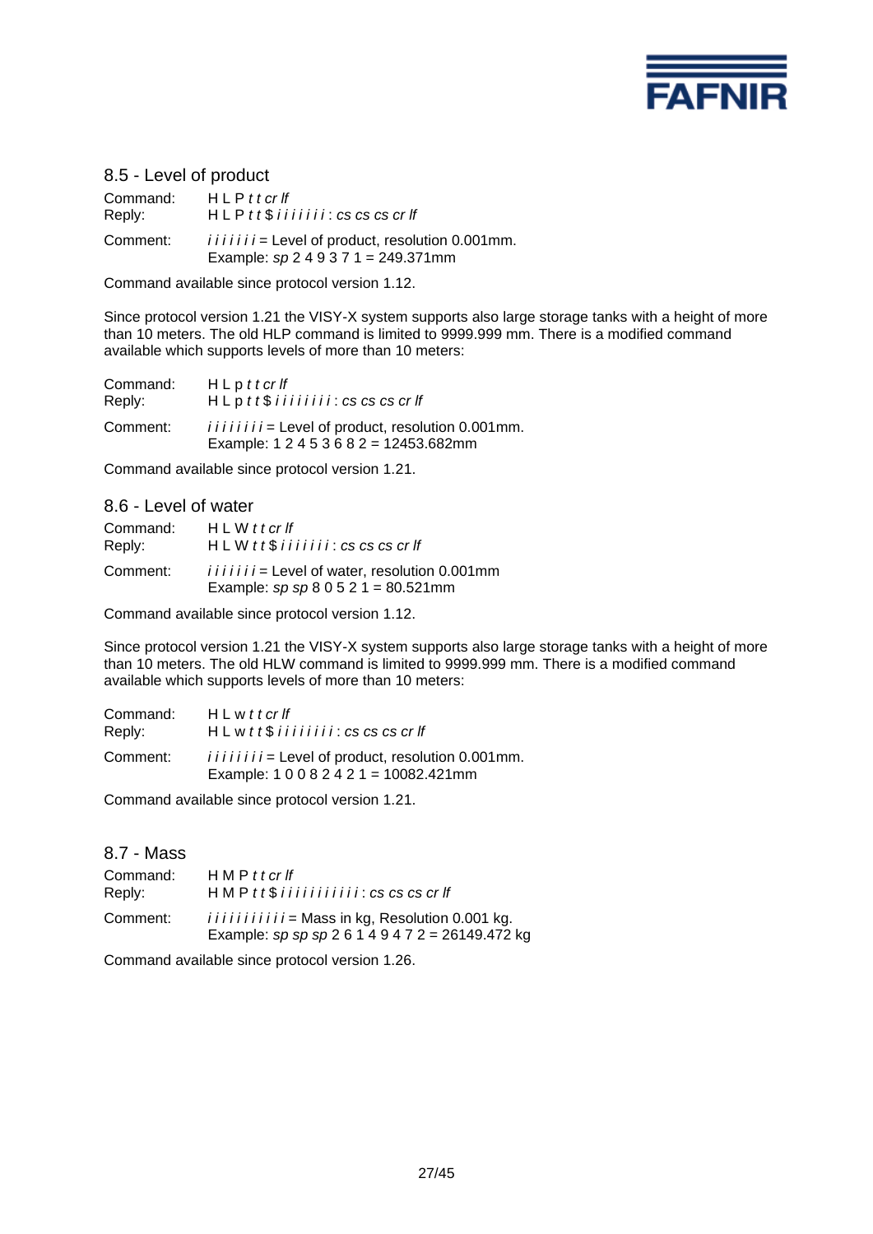

# 8.5 - Level of product

Command: H L P *t t cr lf* Reply: H L P *t t* \$ *i i i i i i i* : *cs cs cs cr lf* Comment: *iiiiii* = Level of product, resolution 0.001mm. Example: *sp* 2 4 9 3 7 1 = 249.371mm

Command available since protocol version 1.12.

Since protocol version 1.21 the VISY-X system supports also large storage tanks with a height of more than 10 meters. The old HLP command is limited to 9999.999 mm. There is a modified command available which supports levels of more than 10 meters:

| Command: | $H \mathsf{L} p t t c r f f$                                                                   |
|----------|------------------------------------------------------------------------------------------------|
| Reply:   | $HL$ p $tt$ $$$ i i i i i i i i $i$ : $cs$ $cs$ $cs$ $cr$ $H$                                  |
| Comment: | $i i i i i i j =$ Level of product, resolution 0.001 mm.<br>Example: $12453682 = 12453.682$ mm |

Command available since protocol version 1.21.

#### 8.6 - Level of water

| Command: | $H \, L \, W \, t \, t \, c \, r \, f$                                                       |
|----------|----------------------------------------------------------------------------------------------|
| Reply:   | $HL W t t$ \$ i i i i i i i $i : cs$ cs cs cr If                                             |
| Comment: | $i i i i j i =$ Level of water, resolution 0.001mm<br>Example: $sp sp 8 0 5 2 1 = 80.521$ mm |

Command available since protocol version 1.12.

Since protocol version 1.21 the VISY-X system supports also large storage tanks with a height of more than 10 meters. The old HLW command is limited to 9999.999 mm. There is a modified command available which supports levels of more than 10 meters:

| Command: | $H \mathsf{L}$ w t t cr If                                                                     |
|----------|------------------------------------------------------------------------------------------------|
| Reply:   | $HLw$ tt $$$ i i i i i i i i i $:$ cs cs cs cr If                                              |
| Comment: | $i i i i i i j =$ Level of product, resolution 0.001 mm.<br>Example: $10082421 = 10082.421$ mm |

Command available since protocol version 1.21.

#### 8.7 - Mass

| Command: | HMPtterff                                                                                                |
|----------|----------------------------------------------------------------------------------------------------------|
| Reply:   | $HMP$ tt\$ iiiiiiiiii: cs cs cs cr If                                                                    |
| Comment: | <i>iiiiiiiiii</i> = Mass in kg, Resolution 0.001 kg.<br>Example: sp sp sp 2 6 1 4 9 4 7 2 = 26149.472 kg |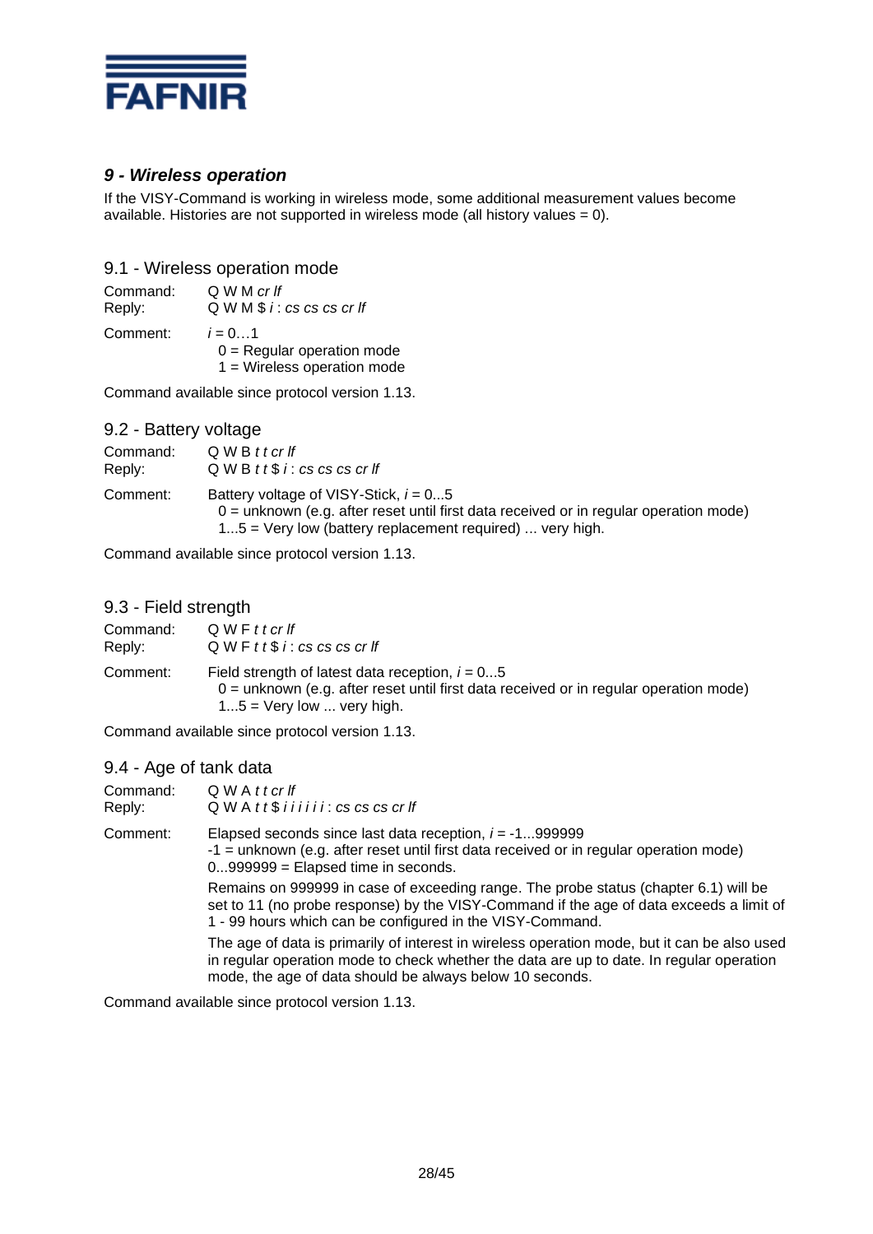

# *9 - Wireless operation*

If the VISY-Command is working in wireless mode, some additional measurement values become available. Histories are not supported in wireless mode (all history values = 0).

# 9.1 - Wireless operation mode

| Command: | Q W M cr If                                                               |
|----------|---------------------------------------------------------------------------|
| Reply:   | QWM \$i: cs cs cs cr If                                                   |
| Comment: | $i = 01$<br>$0 =$ Regular operation mode<br>$1$ = Wireless operation mode |

Command available since protocol version 1.13.

### 9.2 - Battery voltage

| Command:<br>Reply: | Q W B t t cr If<br>$QWB$ tt\$ i: cs cs cs cr If                                                                                                                                                  |
|--------------------|--------------------------------------------------------------------------------------------------------------------------------------------------------------------------------------------------|
| Comment:           | Battery voltage of VISY-Stick, $i = 05$<br>$0 =$ unknown (e.g. after reset until first data received or in regular operation mode)<br>$15$ = Very low (battery replacement required)  very high. |

Command available since protocol version 1.13.

# 9.3 - Field strength

| Command: | QWFttcrlf                                                                                                                                                                   |
|----------|-----------------------------------------------------------------------------------------------------------------------------------------------------------------------------|
| Reply:   | $QWF$ t t $$i$ : cs cs cs cr If                                                                                                                                             |
| Comment: | Field strength of latest data reception, $i = 05$<br>$0 =$ unknown (e.g. after reset until first data received or in regular operation mode)<br>$15$ = Very low  very high. |

Command available since protocol version 1.13.

### 9.4 - Age of tank data

| $5.1$ $.95$ $.001$ $.001$ |                                                                                                                                                                                                                                                      |
|---------------------------|------------------------------------------------------------------------------------------------------------------------------------------------------------------------------------------------------------------------------------------------------|
| Command:<br>Reply:        | $QWA$ t t cr If<br>$QWA$ tt\$ iiiiii: $cs$ cs cs cr If                                                                                                                                                                                               |
| Comment:                  | Elapsed seconds since last data reception, $i = -1999999$<br>-1 = unknown (e.g. after reset until first data received or in regular operation mode)<br>$0999999 =$ Elapsed time in seconds.                                                          |
|                           | Remains on 999999 in case of exceeding range. The probe status (chapter 6.1) will be<br>set to 11 (no probe response) by the VISY-Command if the age of data exceeds a limit of<br>1 - 99 hours which can be configured in the VISY-Command.         |
|                           | The age of data is primarily of interest in wireless operation mode, but it can be also used<br>in regular operation mode to check whether the data are up to date. In regular operation<br>mode, the age of data should be always below 10 seconds. |
|                           |                                                                                                                                                                                                                                                      |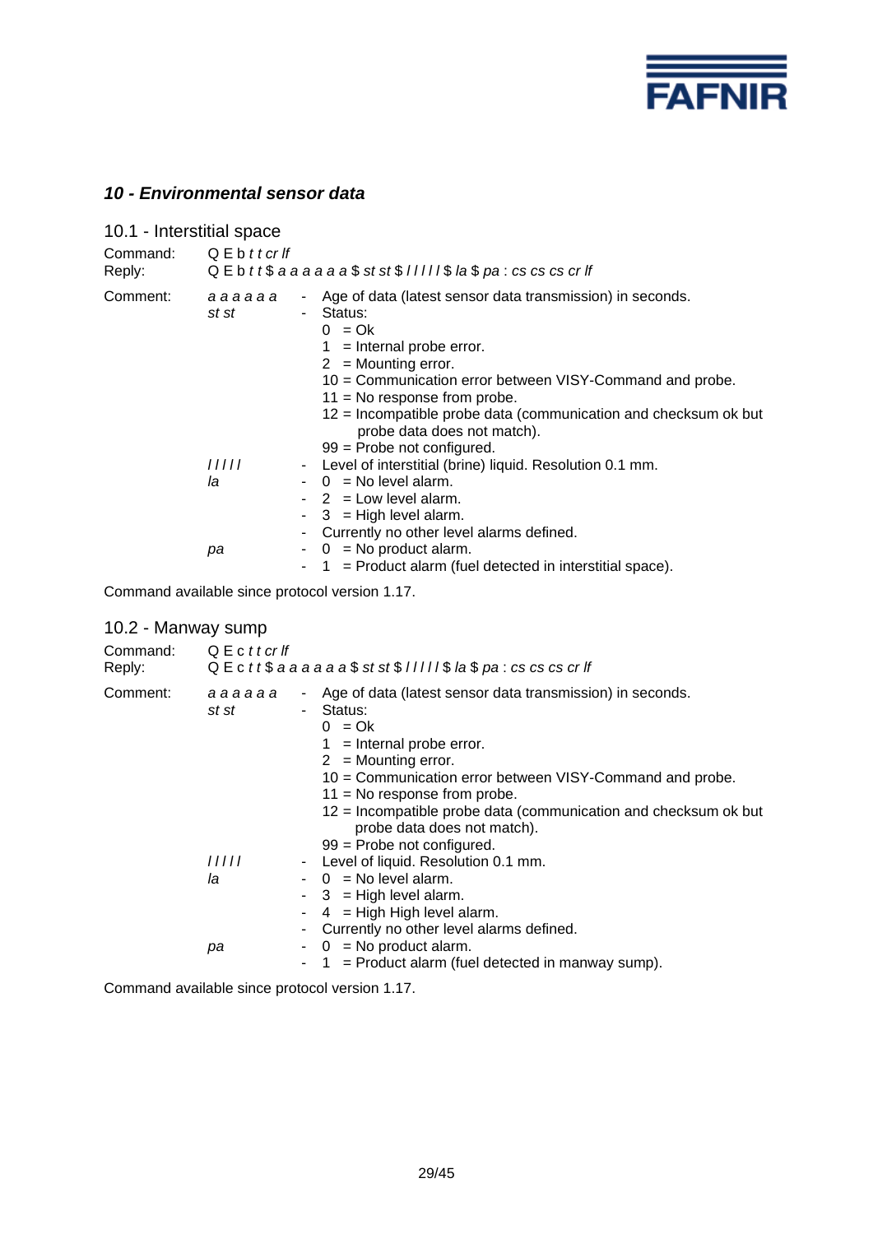

# *10 - Environmental sensor data*

| 10.1 - Interstitial space    |                 |            |                                                                                                                                                                                                                                                                                                                                                                            |
|------------------------------|-----------------|------------|----------------------------------------------------------------------------------------------------------------------------------------------------------------------------------------------------------------------------------------------------------------------------------------------------------------------------------------------------------------------------|
| Command: QEbttcrlf<br>Reply: |                 |            | $Q \to t$ t $\$ a a a a a $a \circ \$ st st $\frac{1}{2}$ ///// $\frac{1}{2}$ la $\frac{1}{2}$ pa : cs cs cs cr If                                                                                                                                                                                                                                                         |
| Comment:                     | aaaaaa<br>st st | $\sim 100$ | - Age of data (latest sensor data transmission) in seconds.<br>Status:<br>$0 = Ok$<br>$1 =$ Internal probe error.<br>$2 =$ Mounting error.<br>10 = Communication error between VISY-Command and probe.<br>$11$ = No response from probe.<br>12 = Incompatible probe data (communication and checksum ok but<br>probe data does not match).<br>$99$ = Probe not configured. |
|                              | 11111<br>la     |            | - Level of interstitial (brine) liquid. Resolution 0.1 mm.<br>$- 0 = No level alarm.$<br>$-2$ = Low level alarm.<br>$-3$ = High level alarm.<br>- Currently no other level alarms defined.                                                                                                                                                                                 |
|                              | рa              |            | $-$ 0 = No product alarm.<br>$-1$ = Product alarm (fuel detected in interstitial space).                                                                                                                                                                                                                                                                                   |

Command available since protocol version 1.17.

# 10.2 - Manway sump

| Command:<br>Reply: | Q E c <i>t t cr lf</i><br>$Q \to C$ tt\$ a a a a a a $\frac{1}{2}$ st st\$ l l l l l \$ la \$ pa : cs cs cs cr lf |                                                                                                                                                                                                                                                                                                                                                                                                                                                                                                                                                                                                                                                   |  |  |
|--------------------|-------------------------------------------------------------------------------------------------------------------|---------------------------------------------------------------------------------------------------------------------------------------------------------------------------------------------------------------------------------------------------------------------------------------------------------------------------------------------------------------------------------------------------------------------------------------------------------------------------------------------------------------------------------------------------------------------------------------------------------------------------------------------------|--|--|
| Comment:           | aaaaaa<br>st st<br>11111<br>la<br>рa                                                                              | - Age of data (latest sensor data transmission) in seconds.<br>- Status:<br>$0 = Ok$<br>$1 =$ Internal probe error.<br>$2 =$ Mounting error.<br>10 = Communication error between VISY-Command and probe.<br>$11 = No$ response from probe.<br>12 = Incompatible probe data (communication and checksum ok but<br>probe data does not match).<br>$99$ = Probe not configured.<br>Level of liquid. Resolution 0.1 mm.<br>٠<br>$-$ 0 = No level alarm.<br>$-3$ = High level alarm.<br>$4 =$ High High level alarm.<br>- Currently no other level alarms defined.<br>$-$ 0 = No product alarm.<br>$1 =$ Product alarm (fuel detected in manway sump). |  |  |
|                    |                                                                                                                   |                                                                                                                                                                                                                                                                                                                                                                                                                                                                                                                                                                                                                                                   |  |  |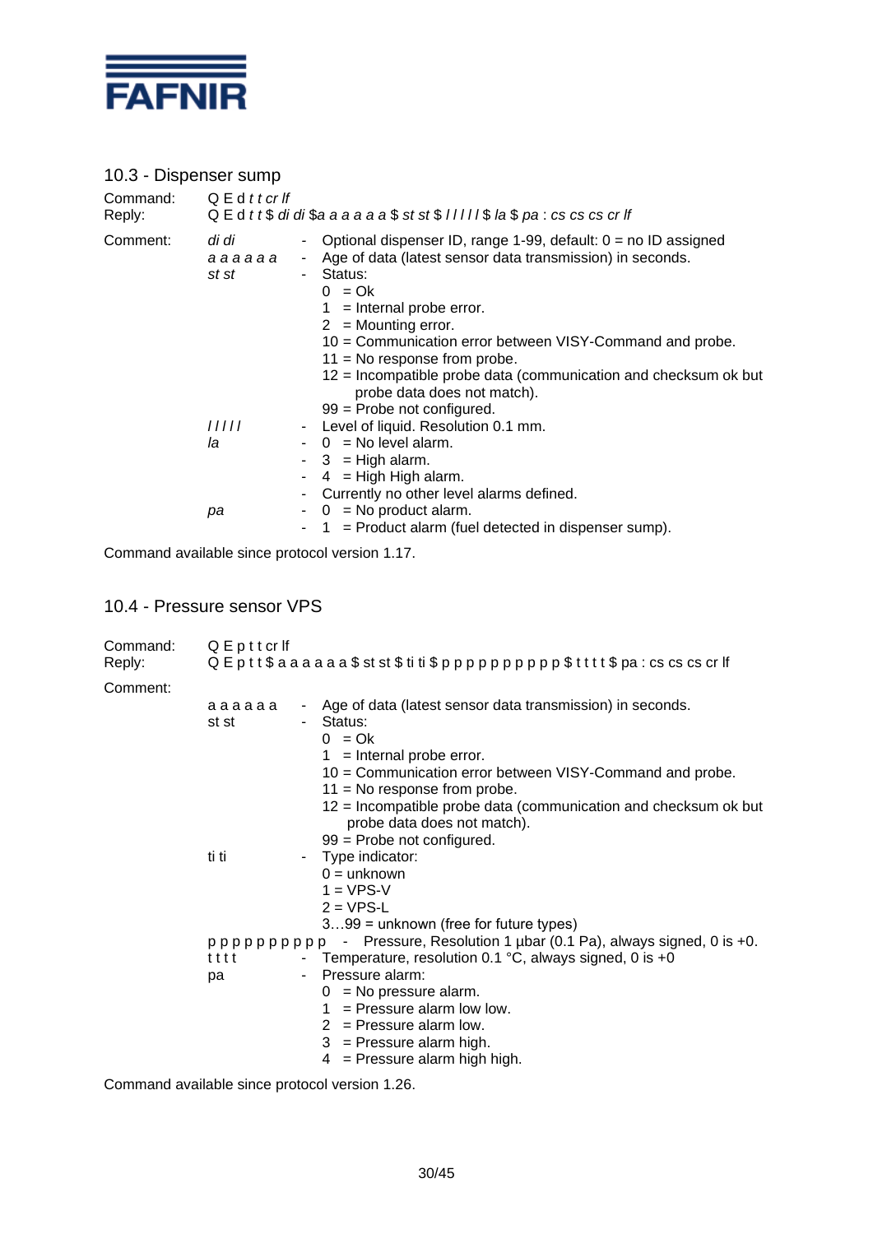

# 10.3 - Dispenser sump

| Command:<br>Reply: | $Q \mathsf{E}$ d t t cr If<br>$Q \nightharpoonup$ d t t $\frac{6}{3}$ di di $\frac{6}{3}$ a a a a a $\frac{6}{3}$ st st $\frac{6}{3}$ l l l l l $\frac{6}{3}$ l a $\frac{6}{3}$ pa : cs cs cs cr lf |                                                                                                                                                                                                                                                                                                                                                                                                                                                    |  |  |  |
|--------------------|-----------------------------------------------------------------------------------------------------------------------------------------------------------------------------------------------------|----------------------------------------------------------------------------------------------------------------------------------------------------------------------------------------------------------------------------------------------------------------------------------------------------------------------------------------------------------------------------------------------------------------------------------------------------|--|--|--|
| Comment:           | di di<br>аааааа<br>st st                                                                                                                                                                            | - Optional dispenser ID, range 1-99, default: $0 =$ no ID assigned<br>- Age of data (latest sensor data transmission) in seconds.<br>- Status:<br>$0 = Ok$<br>$1 =$ Internal probe error.<br>$2 =$ Mounting error.<br>10 = Communication error between VISY-Command and probe.<br>$11 = No$ response from probe.<br>12 = Incompatible probe data (communication and checksum ok but<br>probe data does not match).<br>$99$ = Probe not configured. |  |  |  |
|                    | 11111<br>la<br>рa                                                                                                                                                                                   | - Level of liquid. Resolution 0.1 mm.<br>$-$ 0 = No level alarm.<br>$-3$ = High alarm.<br>$-4$ = High High alarm.<br>- Currently no other level alarms defined.<br>$-0$ = No product alarm.<br>$1 =$ Product alarm (fuel detected in dispenser sump).                                                                                                                                                                                              |  |  |  |

Command available since protocol version 1.17.

# 10.4 - Pressure sensor VPS

| Command:<br>Reply: | QEpttcrlf       | $Q \nvdash p$ t t $\$$ a a a a a a $\$$ st st $\$$ ti ti $\$$ p p p p p p p p p p $\$$ t t t $\$$ pa : cs cs cs cr lf                                                                                             |  |  |
|--------------------|-----------------|-------------------------------------------------------------------------------------------------------------------------------------------------------------------------------------------------------------------|--|--|
| Comment:           |                 |                                                                                                                                                                                                                   |  |  |
|                    | aaaaaa<br>st st | - Age of data (latest sensor data transmission) in seconds.<br>- Status:<br>$0 = Ok$<br>$1 =$ Internal probe error.<br>10 = Communication error between VISY-Command and probe.<br>$11 = No$ response from probe. |  |  |
|                    |                 | 12 = Incompatible probe data (communication and checksum ok but<br>probe data does not match).<br>$99$ = Probe not configured.                                                                                    |  |  |
|                    | ti ti           | - Type indicator:<br>$0 =$ unknown<br>$1 = VPS-V$<br>$2 = VPS-L$<br>$399$ = unknown (free for future types)                                                                                                       |  |  |
|                    |                 | pppppppppp - Pressure, Resolution 1 ubar (0.1 Pa), always signed, 0 is +0.                                                                                                                                        |  |  |
|                    | tttt            | - Temperature, resolution 0.1 $^{\circ}$ C, always signed, 0 is +0                                                                                                                                                |  |  |
|                    | рa              | - Pressure alarm:<br>$0 = No pressure alarm.$<br>$=$ Pressure alarm low low.<br>1.<br>$2$ = Pressure alarm low.<br>$3$ = Pressure alarm high.<br>$4 =$ Pressure alarm high high.                                  |  |  |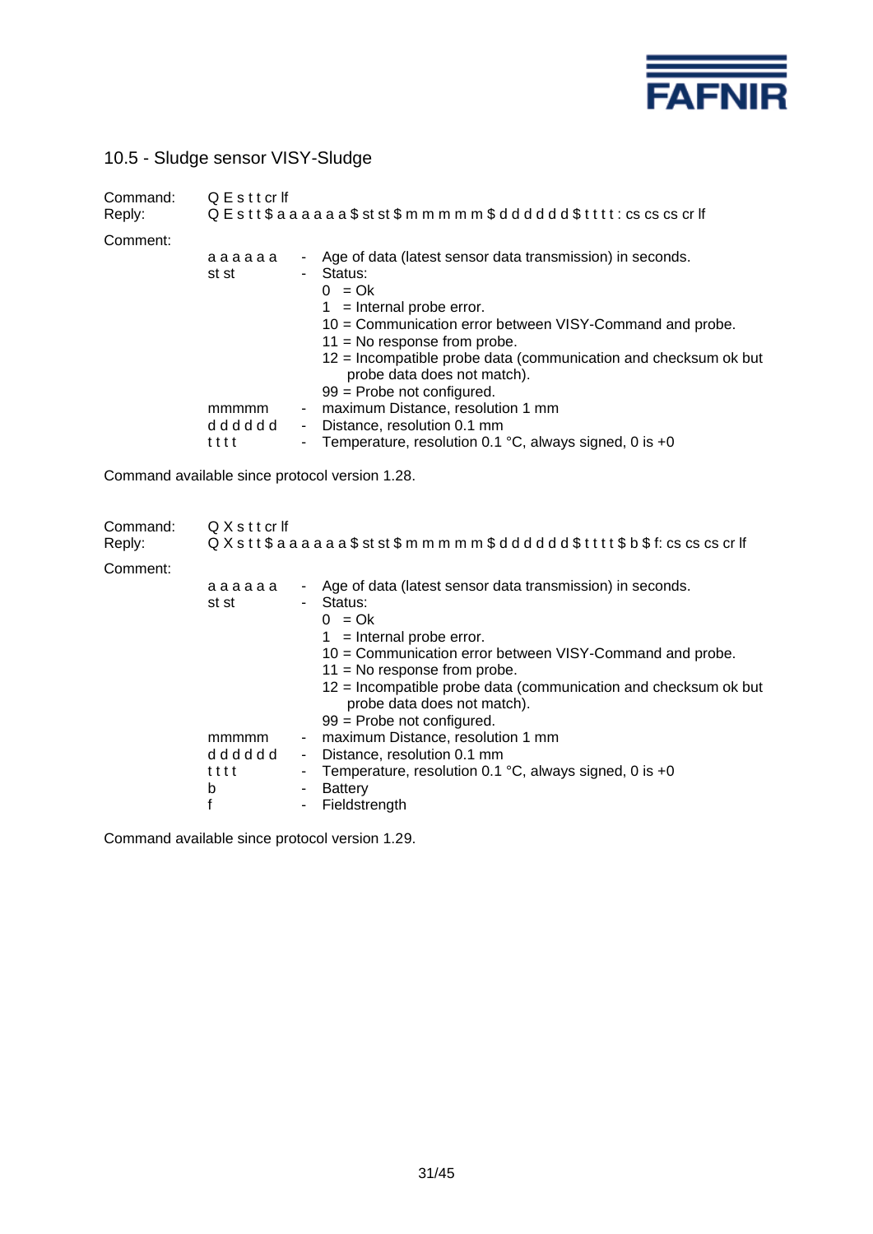

10.5 - Sludge sensor VISY-Sludge

| Command:<br>Reply: | QEsttcrlf<br>$Q$ E s t t $\$$ a a a a a a $\$$ st st $\$$ m m m m m $\$$ d d d d d d $\$$ t t t t : cs cs cs cr lf |                                                                                                                                                                                                                                                                                                                                                                                                                                                                                                                                                       |  |  |
|--------------------|--------------------------------------------------------------------------------------------------------------------|-------------------------------------------------------------------------------------------------------------------------------------------------------------------------------------------------------------------------------------------------------------------------------------------------------------------------------------------------------------------------------------------------------------------------------------------------------------------------------------------------------------------------------------------------------|--|--|
| Comment:           | аааааа<br>st st<br>mmmmm<br>dddddd<br>tttt                                                                         | Age of data (latest sensor data transmission) in seconds.<br>$\blacksquare$<br>Status:<br>$\blacksquare$<br>$0 = Ok$<br>$1 =$ Internal probe error.<br>10 = Communication error between VISY-Command and probe.<br>$11 = No$ response from probe.<br>12 = Incompatible probe data (communication and checksum ok but<br>probe data does not match).<br>99 = Probe not configured.<br>maximum Distance, resolution 1 mm<br>$\blacksquare$<br>- Distance, resolution 0.1 mm<br>Temperature, resolution 0.1 °C, always signed, 0 is +0<br>$\blacksquare$ |  |  |
|                    |                                                                                                                    | Command available since protocol version 1.28.                                                                                                                                                                                                                                                                                                                                                                                                                                                                                                        |  |  |
| Command:<br>Reply: | QXsttcrlf                                                                                                          | $Q$ $X$ $s$ t t $\$$ a a a a a a $\$$ st st $\$$ m m m m m $\$$ d d d d d d $\$$ t t t t $\$$ b $\$$ f: cs cs cs cr lf                                                                                                                                                                                                                                                                                                                                                                                                                                |  |  |
| Comment:           |                                                                                                                    | Assault deta (latest sepesar deta transmission) in sesende                                                                                                                                                                                                                                                                                                                                                                                                                                                                                            |  |  |

| vuillielli. |        |        |                                                                                                |
|-------------|--------|--------|------------------------------------------------------------------------------------------------|
|             | aaaaaa | $\sim$ | Age of data (latest sensor data transmission) in seconds.                                      |
|             | st st  | ۰.     | Status:                                                                                        |
|             |        |        | $0 = Qk$                                                                                       |
|             |        |        | $1 =$ Internal probe error.                                                                    |
|             |        |        | 10 = Communication error between VISY-Command and probe.                                       |
|             |        |        | $11 = No$ response from probe.                                                                 |
|             |        |        | 12 = Incompatible probe data (communication and checksum ok but<br>probe data does not match). |
|             |        |        | $99$ = Probe not configured.                                                                   |
|             | mmmmm  | ٠      | maximum Distance, resolution 1 mm                                                              |
|             | dddddd | $\sim$ | Distance, resolution 0.1 mm                                                                    |
|             | tttt   | ۰      | Temperature, resolution 0.1 $^{\circ}$ C, always signed, 0 is +0                               |
|             | b      | ۰      | Battery                                                                                        |
|             |        |        | Fieldstrength                                                                                  |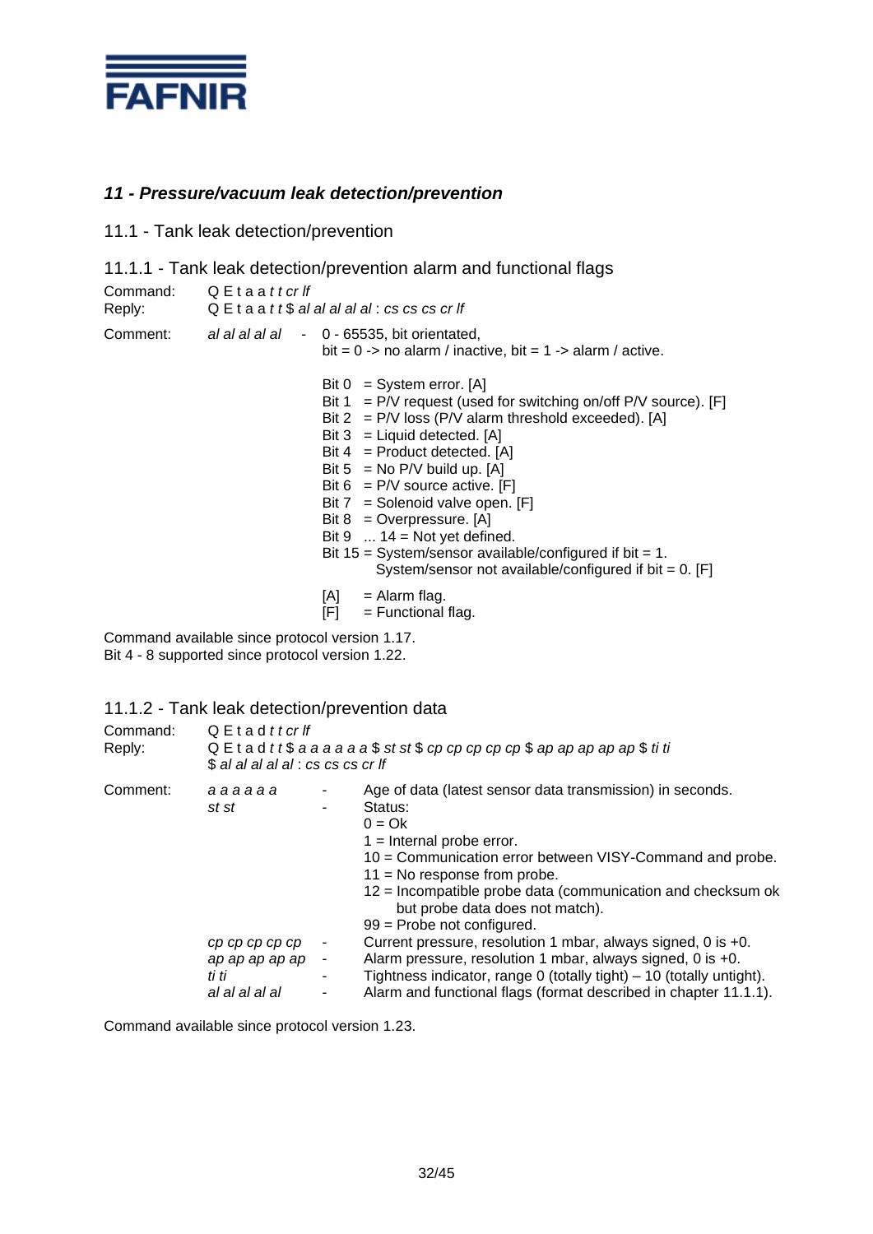

# *11 - Pressure/vacuum leak detection/prevention*

### 11.1 - Tank leak detection/prevention

11.1.1 - Tank leak detection/prevention alarm and functional flags

| Command:<br>Reply: | QEtaattcrlf | $QE$ ta a tt\$ al al al al al : cs cs cs cr lf                                                                                                                                                                                                                                                                                                                                                                                                                                                                                                       |
|--------------------|-------------|------------------------------------------------------------------------------------------------------------------------------------------------------------------------------------------------------------------------------------------------------------------------------------------------------------------------------------------------------------------------------------------------------------------------------------------------------------------------------------------------------------------------------------------------------|
| Comment:           |             | al al al al al - 0 - 65535, bit orientated,<br>bit = $0 \rightarrow$ no alarm / inactive, bit = $1 \rightarrow$ alarm / active.                                                                                                                                                                                                                                                                                                                                                                                                                      |
|                    |             | Bit $0 = System error. [A]$<br>Bit $1 = P/V$ request (used for switching on/off $P/V$ source). [F]<br>Bit $2 = P/V$ loss (P/V alarm threshold exceeded). [A]<br>Bit $3 =$ Liquid detected. [A]<br>Bit $4 =$ Product detected. [A]<br>Bit $5 = No P/V$ build up. [A]<br>Bit 6 = $P/V$ source active. [F]<br>Bit $7 =$ Solenoid valve open. [F]<br>Bit $8 =$ Overpressure. [A]<br>Bit $9 \dots 14 = \text{Not yet defined.}$<br>Bit $15 = System/sensor available/confidence$ if bit = 1.<br>System/sensor not available/configured if bit = $0$ . [F] |

- $[A]$  = Alarm flag.
- $[F]$  = Functional flag.

Command available since protocol version 1.17. Bit 4 - 8 supported since protocol version 1.22.

# 11.1.2 - Tank leak detection/prevention data

| Command:<br>Reply: | $QE$ tad t t cr lf<br>Q E t a d t t $\$$ a a a a a a $\$$ st st $\$$ cp cp cp cp cp $\$$ ap ap ap ap ap $\$$ ti ti<br>\$ al al al al al : cs cs cs cr lf |                                              |                                                                                                                                                                                                                                                                                                                                                                                                                                                                                                                                                                                                                                |
|--------------------|----------------------------------------------------------------------------------------------------------------------------------------------------------|----------------------------------------------|--------------------------------------------------------------------------------------------------------------------------------------------------------------------------------------------------------------------------------------------------------------------------------------------------------------------------------------------------------------------------------------------------------------------------------------------------------------------------------------------------------------------------------------------------------------------------------------------------------------------------------|
| Comment:           | aaaaaa<br>st st<br>cp cp cp cp cp<br>ap ap ap ap ap<br>ti ti<br>al al al al al                                                                           | ۰<br>٠<br>٠<br>۰<br>$\overline{\phantom{a}}$ | Age of data (latest sensor data transmission) in seconds.<br>Status:<br>$0 = Ok$<br>$1 =$ Internal probe error.<br>10 = Communication error between VISY-Command and probe.<br>$11 = No$ response from probe.<br>$12$ = Incompatible probe data (communication and checksum ok<br>but probe data does not match).<br>$99$ = Probe not configured.<br>Current pressure, resolution 1 mbar, always signed, 0 is +0.<br>Alarm pressure, resolution 1 mbar, always signed, 0 is $+0$ .<br>Tightness indicator, range 0 (totally tight) – 10 (totally untight).<br>Alarm and functional flags (format described in chapter 11.1.1). |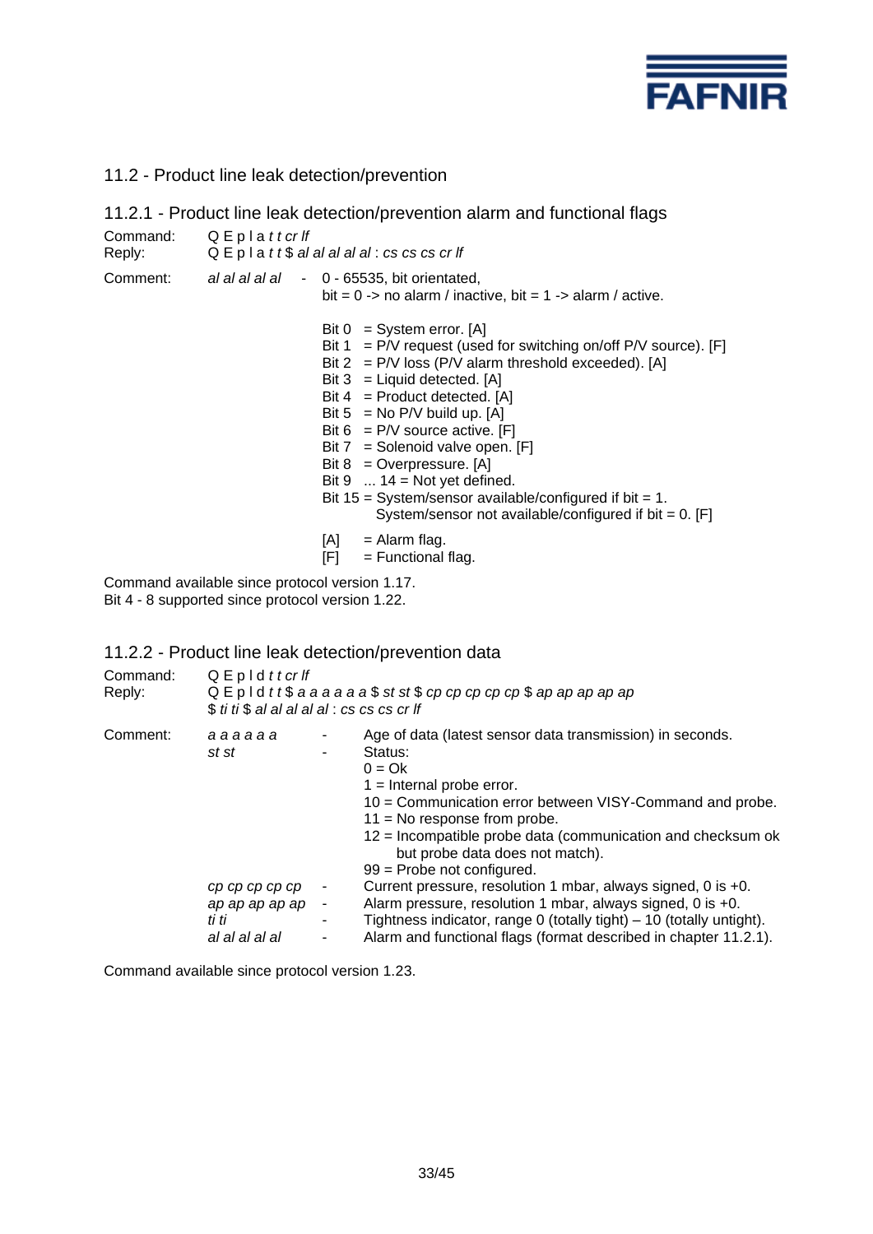

11.2 - Product line leak detection/prevention

|                                                  |                                                                                                                                          | 11.2.1 - Product line leak detection/prevention alarm and functional flags                                                                                                                                                                                                                                                                                                                                                                                                                                                                |  |
|--------------------------------------------------|------------------------------------------------------------------------------------------------------------------------------------------|-------------------------------------------------------------------------------------------------------------------------------------------------------------------------------------------------------------------------------------------------------------------------------------------------------------------------------------------------------------------------------------------------------------------------------------------------------------------------------------------------------------------------------------------|--|
| Command: $Q \nightharpoonup Q$ E p l a t t cr If | Reply: $Q \nightharpoonup Q$ $\vdash p \mid a \mid t \mid \mathcal{S}$ al al al al al : cs cs cs cr If                                   |                                                                                                                                                                                                                                                                                                                                                                                                                                                                                                                                           |  |
|                                                  | Comment: al al al al al - 0 - 65535, bit orientated,<br>bit = $0 \rightarrow$ no alarm / inactive, bit = $1 \rightarrow$ alarm / active. |                                                                                                                                                                                                                                                                                                                                                                                                                                                                                                                                           |  |
|                                                  |                                                                                                                                          | Bit $0 = System error.$ [A]<br>Bit 1 = P/V request (used for switching on/off P/V source). [F]<br>Bit $2 = P/V$ loss (P/V alarm threshold exceeded). [A]<br>Bit $3 =$ Liquid detected. [A]<br>Bit $4 =$ Product detected. [A]<br>Bit $5 = No P/V$ build up. [A]<br>Bit 6 = $P/V$ source active. [F]<br>Bit $7 =$ Solenoid valve open. [F]<br>Bit $8 =$ Overpressure. [A]<br>Bit $9 \dots 14 = Not$ yet defined.<br>Bit $15 =$ System/sensor available/configured if bit = 1.<br>System/sensor not available/configured if bit = $0$ . [F] |  |
|                                                  | [A]<br>[F]                                                                                                                               | = Alarm flag.<br>$=$ Functional flag.                                                                                                                                                                                                                                                                                                                                                                                                                                                                                                     |  |
|                                                  |                                                                                                                                          |                                                                                                                                                                                                                                                                                                                                                                                                                                                                                                                                           |  |

Command available since protocol version 1.17.

Bit 4 - 8 supported since protocol version 1.22.

# 11.2.2 - Product line leak detection/prevention data

| Command:<br>Reply: | $Q \nightharpoonup p \mid d \mid t \mid cr \mid f$                             | $Q \nightharpoonup P$   d t t $\$$ a a a a a a $\$$ st st $\$$ cp cp cp cp cp $\$$ ap ap ap ap ap<br>\$ ti ti \$ al al al al al : cs cs cs cr lf |                                                                                                                                                                                                                                                                                                                                                                                                                                                                                                                                                                                                                                |  |
|--------------------|--------------------------------------------------------------------------------|--------------------------------------------------------------------------------------------------------------------------------------------------|--------------------------------------------------------------------------------------------------------------------------------------------------------------------------------------------------------------------------------------------------------------------------------------------------------------------------------------------------------------------------------------------------------------------------------------------------------------------------------------------------------------------------------------------------------------------------------------------------------------------------------|--|
| Comment:           | aaaaaa<br>st st<br>cp cp cp cp cp<br>ap ap ap ap ap<br>ti ti<br>al al al al al | ٠<br>۰<br>$\blacksquare$<br>٠<br>۰                                                                                                               | Age of data (latest sensor data transmission) in seconds.<br>Status:<br>$0 = Ok$<br>$1 =$ Internal probe error.<br>10 = Communication error between VISY-Command and probe.<br>$11 = No$ response from probe.<br>$12$ = Incompatible probe data (communication and checksum ok<br>but probe data does not match).<br>$99$ = Probe not configured.<br>Current pressure, resolution 1 mbar, always signed, 0 is +0.<br>Alarm pressure, resolution 1 mbar, always signed, 0 is $+0$ .<br>Tightness indicator, range 0 (totally tight) – 10 (totally untight).<br>Alarm and functional flags (format described in chapter 11.2.1). |  |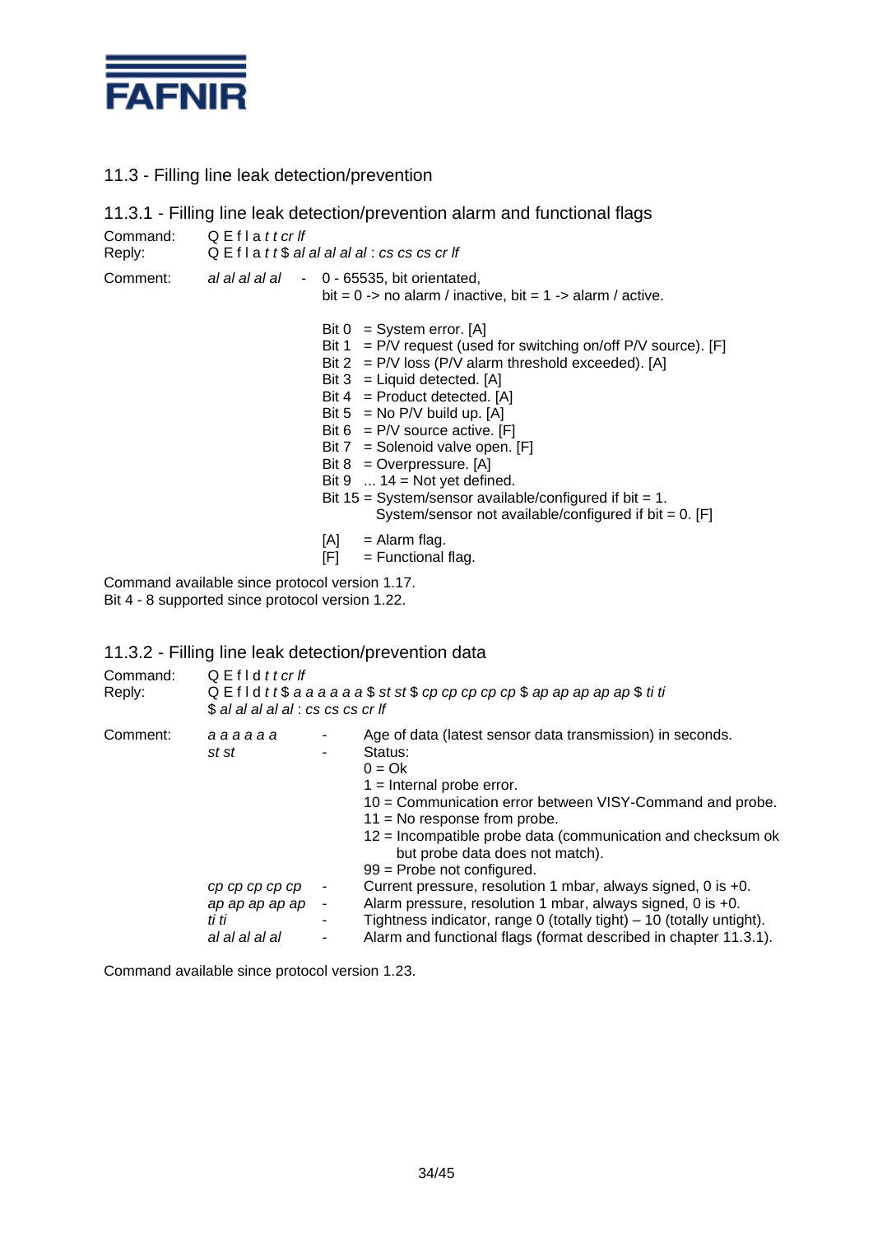

# 11.3 - Filling line leak detection/prevention

|                                                         |                      | 11.3.1 - Filling line leak detection/prevention alarm and functional flags                                                                                                                                                                                                                                                                                                                                                                                                                                                                                                                                |
|---------------------------------------------------------|----------------------|-----------------------------------------------------------------------------------------------------------------------------------------------------------------------------------------------------------------------------------------------------------------------------------------------------------------------------------------------------------------------------------------------------------------------------------------------------------------------------------------------------------------------------------------------------------------------------------------------------------|
| Reply:                                                  | Command: QEflattcrlf | Q E f I a $t$ t $\$$ al al al al al : cs cs cs cr If                                                                                                                                                                                                                                                                                                                                                                                                                                                                                                                                                      |
| Comment:<br>al al al al al - 0 - 65535, bit orientated, |                      | bit = $0 \rightarrow$ no alarm / inactive, bit = $1 \rightarrow$ alarm / active.                                                                                                                                                                                                                                                                                                                                                                                                                                                                                                                          |
|                                                         |                      | Bit $0 = System error.$ [A]<br>Bit $1 = P/V$ request (used for switching on/off P/V source). [F]<br>Bit $2 = P/V$ loss (P/V alarm threshold exceeded). [A]<br>Bit $3 =$ Liquid detected. [A]<br>Bit $4 =$ Product detected. [A]<br>Bit $5 = No P/V$ build up. [A]<br>Bit $6 = P/V$ source active. [F]<br>Bit $7 =$ Solenoid valve open. [F]<br>Bit $8 =$ Overpressure. [A]<br>Bit $9 \dots 14 = \text{Not yet defined.}$<br>Bit $15 = System/sensor available/confidence$ if bit = 1.<br>System/sensor not available/configured if bit = $0$ . [F]<br>= Alarm flag.<br>[A]<br>$=$ Functional flag.<br>[F] |

Command available since protocol version 1.17.

Bit 4 - 8 supported since protocol version 1.22.

# 11.3.2 - Filling line leak detection/prevention data

| Command:<br>Reply: | $Q$ E f I d t t cr If<br>$Q \nightharpoonup$ f l d t t $\$$ a a a a a a $\$$ st st $\$$ cp cp cp cp cp $\$$ ap ap ap ap ap $\$$ ti ti<br>\$ al al al al al : cs cs cs cr lf |                                                   |                                                                                                                                                                                                                                                                                                                                                                                                                                                                                                                                                                                                                            |
|--------------------|-----------------------------------------------------------------------------------------------------------------------------------------------------------------------------|---------------------------------------------------|----------------------------------------------------------------------------------------------------------------------------------------------------------------------------------------------------------------------------------------------------------------------------------------------------------------------------------------------------------------------------------------------------------------------------------------------------------------------------------------------------------------------------------------------------------------------------------------------------------------------------|
| Comment:           | aaaaaa<br>st st<br>cp cp cp cp cp<br>ap ap ap ap ap<br>ti ti<br>al al al al al                                                                                              | ۰<br>٠<br>٠<br>$\overline{\phantom{a}}$<br>٠<br>۰ | Age of data (latest sensor data transmission) in seconds.<br>Status:<br>$0 = Ok$<br>$1 =$ Internal probe error.<br>10 = Communication error between VISY-Command and probe.<br>$11 = No$ response from probe.<br>12 = Incompatible probe data (communication and checksum ok<br>but probe data does not match).<br>$99$ = Probe not configured.<br>Current pressure, resolution 1 mbar, always signed, 0 is +0.<br>Alarm pressure, resolution 1 mbar, always signed, 0 is +0.<br>Tightness indicator, range 0 (totally tight) $-10$ (totally untight).<br>Alarm and functional flags (format described in chapter 11.3.1). |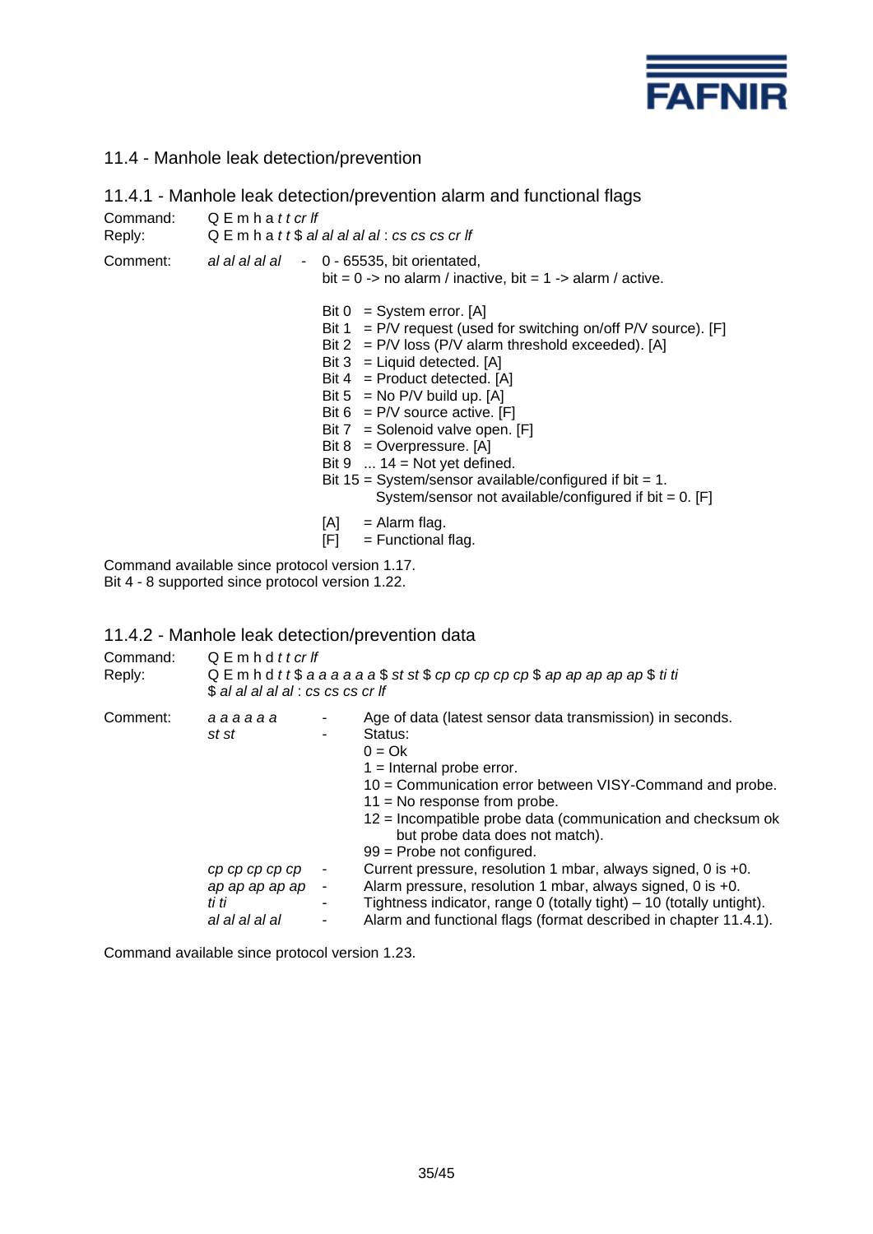

# 11.4 - Manhole leak detection/prevention

|                    |             |                                                                                                                                 | 11.4.1 - Manhole leak detection/prevention alarm and functional flags                                                                                                                                                                                                                                                                                                                                                                                                                                                                                               |  |
|--------------------|-------------|---------------------------------------------------------------------------------------------------------------------------------|---------------------------------------------------------------------------------------------------------------------------------------------------------------------------------------------------------------------------------------------------------------------------------------------------------------------------------------------------------------------------------------------------------------------------------------------------------------------------------------------------------------------------------------------------------------------|--|
| Command:<br>Reply: | QEmhattcrlf |                                                                                                                                 | $Q \mathsf{E}$ m h a t t $\$$ al al al al al : cs cs cs cr lf                                                                                                                                                                                                                                                                                                                                                                                                                                                                                                       |  |
| Comment:           |             | al al al al al - 0 - 65535, bit orientated,<br>bit = $0 \rightarrow$ no alarm / inactive, bit = $1 \rightarrow$ alarm / active. |                                                                                                                                                                                                                                                                                                                                                                                                                                                                                                                                                                     |  |
|                    |             | [A]                                                                                                                             | Bit $0 = System error. [A]$<br>Bit $1 = P/V$ request (used for switching on/off P/V source). [F]<br>Bit $2 = P/V$ loss (P/V alarm threshold exceeded). [A]<br>Bit $3 =$ Liquid detected. [A]<br>Bit $4 =$ Product detected. [A]<br>Bit $5 = No P/V$ build up. [A]<br>Bit $6 = P/V$ source active. [F]<br>Bit $7 =$ Solenoid valve open. [F]<br>Bit $8 =$ Overpressure. [A]<br>Bit $9 \dots 14 = \text{Not yet defined.}$<br>Bit $15 = System/sensor available/confidence$ if bit = 1.<br>System/sensor not available/configured if bit = $0$ . [F]<br>= Alarm flag. |  |
|                    |             | [F] I                                                                                                                           | $=$ Functional flag.                                                                                                                                                                                                                                                                                                                                                                                                                                                                                                                                                |  |

Command available since protocol version 1.17. Bit 4 - 8 supported since protocol version 1.22.

# 11.4.2 - Manhole leak detection/prevention data

| Command:<br>Reply: | $Q \nightharpoonup m$ h d t t cr If<br>QE m h d t t $$$ a a a a a a $$$ st st $$$ cp cp cp cp cp $$$ ap ap ap ap ap $$$ ti ti<br>\$ al al al al al : cs cs cs cr lf |                  |                                                                                                                                                                                                                                                                                                                                                                                                                                                                                                                                                                                                                           |  |
|--------------------|---------------------------------------------------------------------------------------------------------------------------------------------------------------------|------------------|---------------------------------------------------------------------------------------------------------------------------------------------------------------------------------------------------------------------------------------------------------------------------------------------------------------------------------------------------------------------------------------------------------------------------------------------------------------------------------------------------------------------------------------------------------------------------------------------------------------------------|--|
| Comment:           | aaaaaa<br>st st<br>cp cp cp cp cp<br>ap ap ap ap ap<br>ti ti<br>al al al al al                                                                                      | ۰<br>٠<br>٠<br>۰ | Age of data (latest sensor data transmission) in seconds.<br>Status:<br>$0 = Ok$<br>$1 =$ Internal probe error.<br>10 = Communication error between VISY-Command and probe.<br>$11 = No$ response from probe.<br>12 = Incompatible probe data (communication and checksum ok<br>but probe data does not match).<br>$99$ = Probe not configured.<br>Current pressure, resolution 1 mbar, always signed, 0 is +0.<br>Alarm pressure, resolution 1 mbar, always signed, 0 is +0.<br>Tightness indicator, range 0 (totally tight) – 10 (totally untight).<br>Alarm and functional flags (format described in chapter 11.4.1). |  |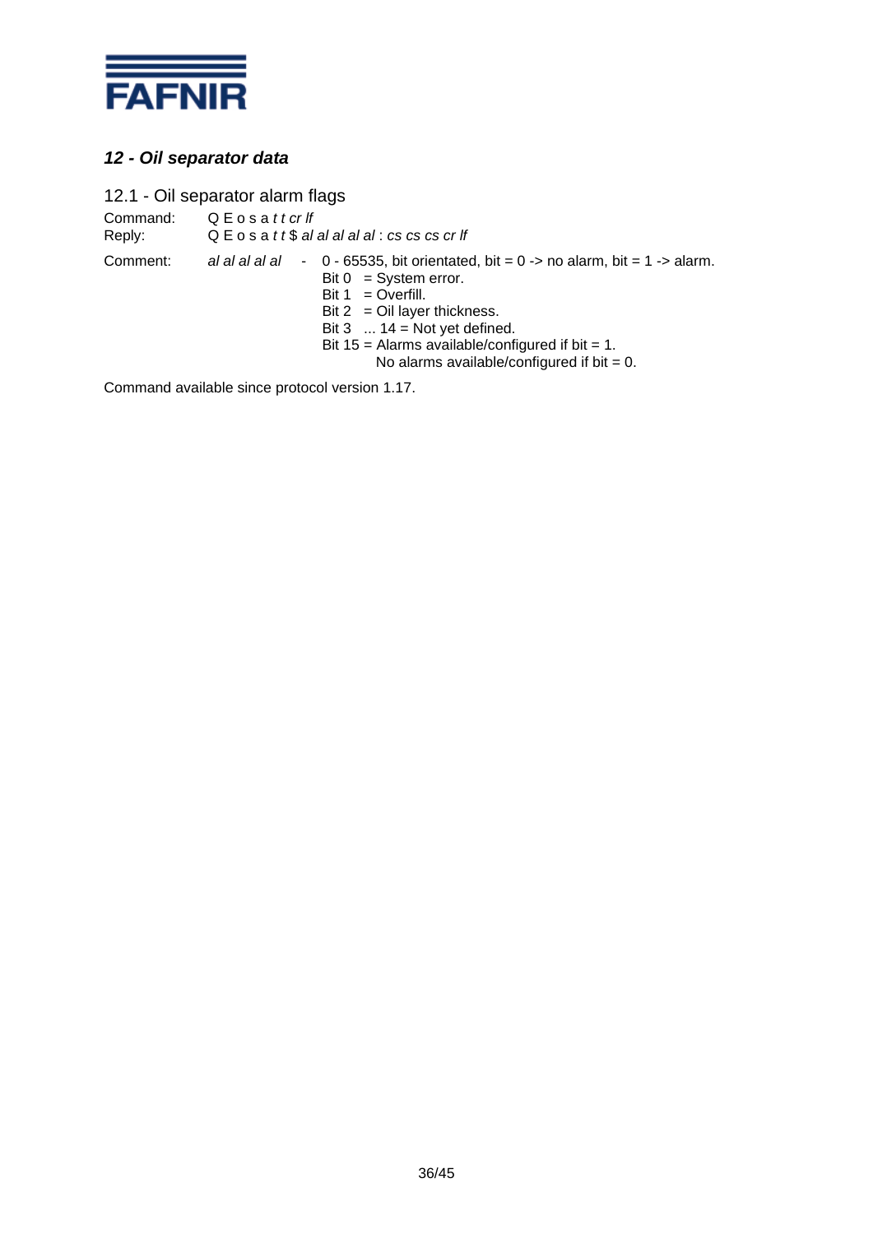

# *12 - Oil separator data*

12.1 - Oil separator alarm flags

Command: Q E o s a *t t cr lf*<br>Reply: Q E o s a *t t \$ al* Reply: Q E o s a *t t* \$ *al al al al al* : *cs cs cs cr lf* Comment: *al al al al al* - 0 - 65535, bit orientated, bit = 0 -> no alarm, bit = 1 -> alarm. Bit  $0 = System error$ . Bit  $1 = 0$ verfill. Bit  $2 =$  Oil layer thickness. Bit  $3 \dots 14 = \text{Not yet defined.}$ Bit 15 = Alarms available/configured if bit = 1. No alarms available/configured if bit  $= 0$ .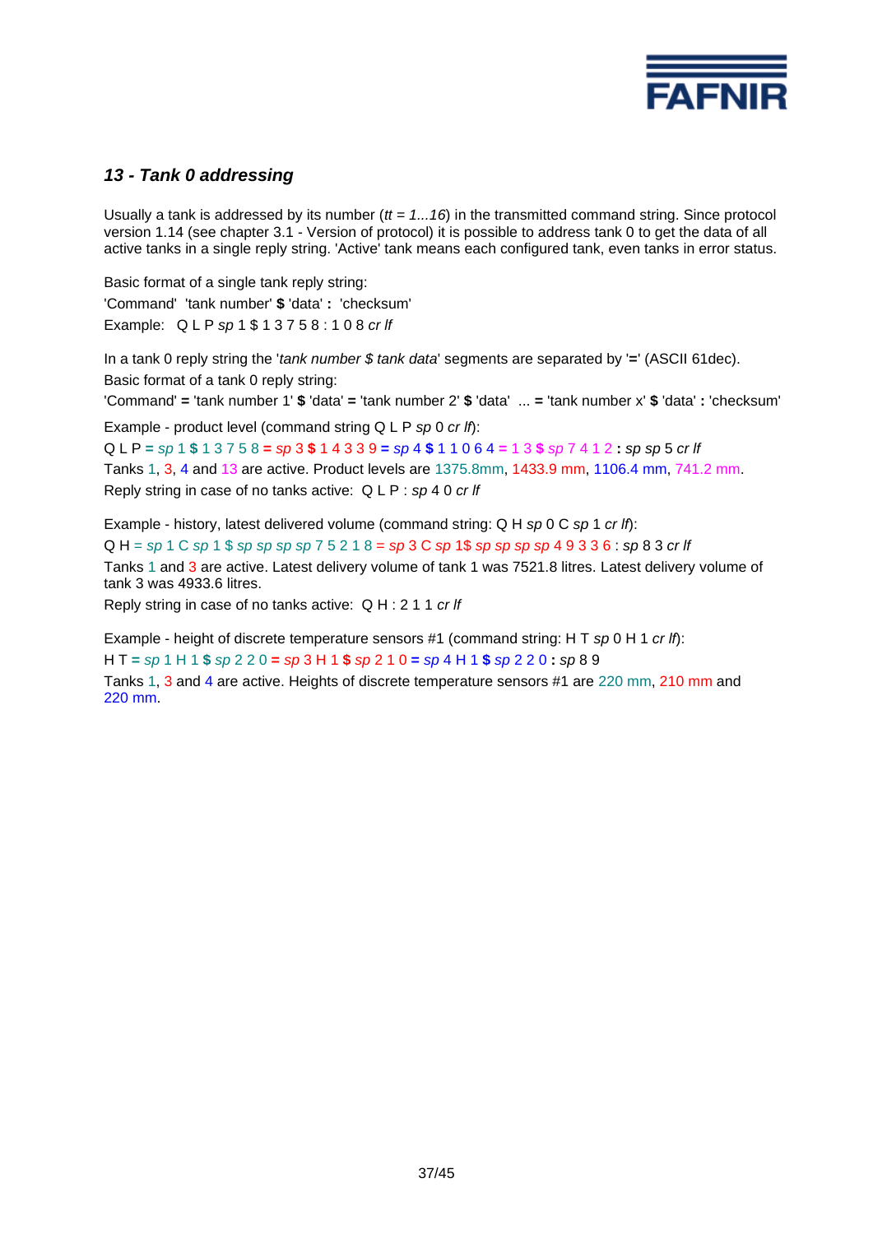

# *13 - Tank 0 addressing*

Usually a tank is addressed by its number ( $tt = 1...16$ ) in the transmitted command string. Since protocol version 1.14 (see chapter 3.1 - Version of protocol) it is possible to address tank 0 to get the data of all active tanks in a single reply string. 'Active' tank means each configured tank, even tanks in error status.

Basic format of a single tank reply string: 'Command' 'tank number' **\$** 'data' **:** 'checksum' Example: Q L P *sp* 1 \$ 1 3 7 5 8 : 1 0 8 *cr lf*

In a tank 0 reply string the '*tank number \$ tank data*' segments are separated by '**=**' (ASCII 61dec). Basic format of a tank 0 reply string:

'Command' **=** 'tank number 1' **\$** 'data' **=** 'tank number 2' **\$** 'data' ... **=** 'tank number x' **\$** 'data' **:** 'checksum'

Example - product level (command string Q L P *sp* 0 *cr lf*):

Q L P **=** *sp* 1 **\$** 1 3 7 5 8 **=** *sp* 3 **\$** 1 4 3 3 9 **=** *sp* 4 **\$** 1 1 0 6 4 **=** 1 3 **\$** *sp* 7 4 1 2 **:** *sp sp* 5 *cr lf* Tanks 1, 3, 4 and 13 are active. Product levels are 1375.8mm, 1433.9 mm, 1106.4 mm, 741.2 mm. Reply string in case of no tanks active: Q L P : *sp* 4 0 *cr lf*

Example - history, latest delivered volume (command string: Q H *sp* 0 C *sp* 1 *cr lf*): Q H = *sp* 1 C *sp* 1 \$ *sp sp sp sp* 7 5 2 1 8 = *sp* 3 C *sp* 1\$ *sp sp sp sp* 4 9 3 3 6 : *sp* 8 3 *cr lf* Tanks 1 and 3 are active. Latest delivery volume of tank 1 was 7521.8 litres. Latest delivery volume of tank 3 was 4933.6 litres.

Reply string in case of no tanks active: Q H : 2 1 1 *cr lf*

Example - height of discrete temperature sensors #1 (command string: H T *sp* 0 H 1 *cr lf*):

H T **=** *sp* 1 H 1 **\$** *sp* 2 2 0 **=** *sp* 3 H 1 **\$** *sp* 2 1 0 **=** *sp* 4 H 1 **\$** *sp* 2 2 0 **:** *sp* 8 9

Tanks 1, 3 and 4 are active. Heights of discrete temperature sensors #1 are 220 mm, 210 mm and 220 mm.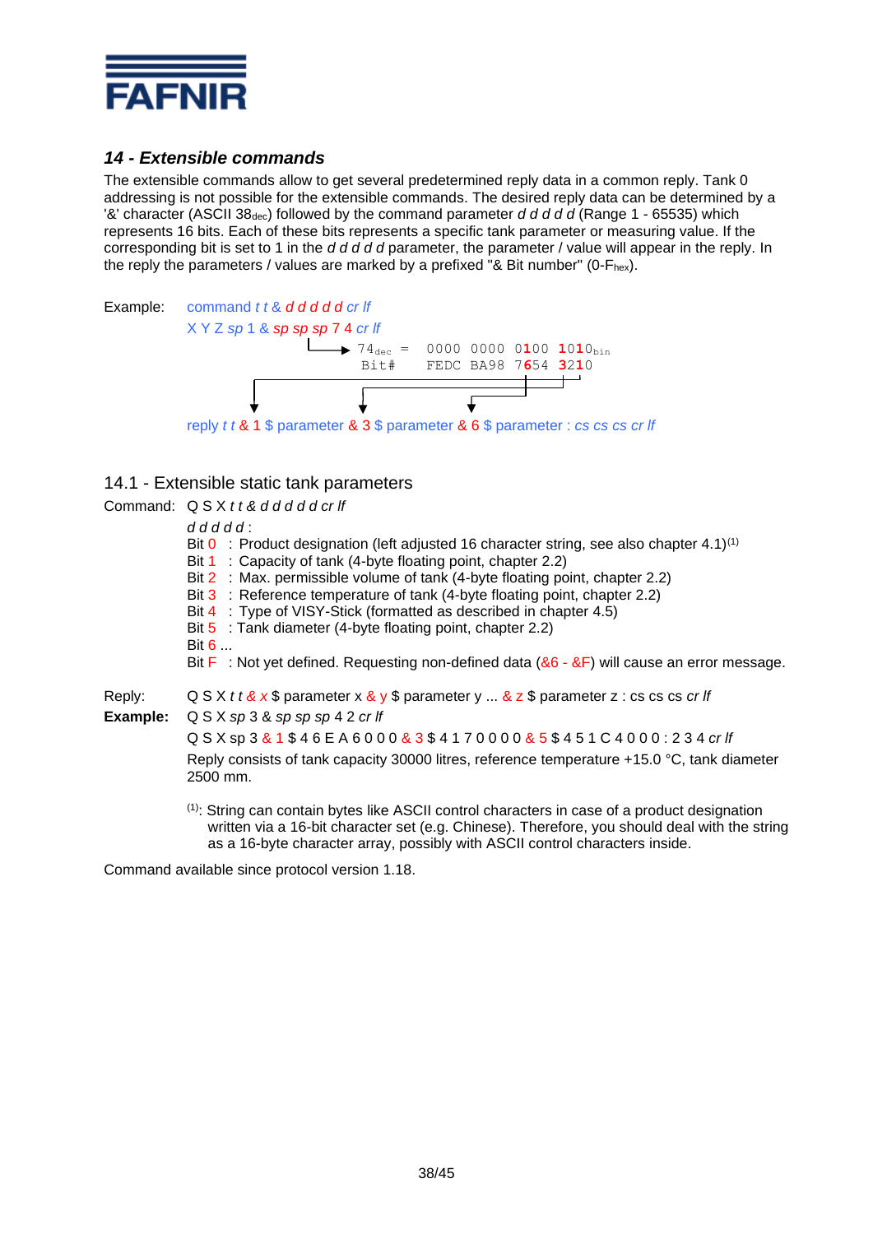

# *14 - Extensible commands*

The extensible commands allow to get several predetermined reply data in a common reply. Tank 0 addressing is not possible for the extensible commands. The desired reply data can be determined by a '&' character (ASCII 38dec) followed by the command parameter *d d d d d* (Range 1 - 65535) which represents 16 bits. Each of these bits represents a specific tank parameter or measuring value. If the corresponding bit is set to 1 in the *d d d d d* parameter, the parameter / value will appear in the reply. In the reply the parameters / values are marked by a prefixed "& Bit number" (0- $F_{hex}$ ).



# 14.1 - Extensible static tank parameters

Command: Q S X *t t & d d d d d cr lf*

#### *d d d d d* :

Bit 0 : Product designation (left adjusted 16 character string, see also chapter 4.1)<sup>(1)</sup>

Bit 1 : Capacity of tank (4-byte floating point, chapter 2.2)

Bit 2 : Max. permissible volume of tank (4-byte floating point, chapter 2.2)

- Bit 3 : Reference temperature of tank (4-byte floating point, chapter 2.2)
- Bit 4 : Type of VISY-Stick (formatted as described in chapter 4.5)

Bit 5 : Tank diameter (4-byte floating point, chapter 2.2)

Bit 6 ...

Bit F: Not yet defined. Requesting non-defined data (&6 - &F) will cause an error message.

Reply: Q S X *t t & x* \$ parameter x & y \$ parameter y ... & z \$ parameter z : cs cs cs *cr lf*

**Example:** Q S X *sp* 3 & *sp sp sp* 4 2 *cr lf*

Q S X sp 3 & 1 \$ 4 6 E A 6 0 0 0 & 3 \$ 4 1 7 0 0 0 0 & 5 \$ 4 5 1 C 4 0 0 0 : 2 3 4 *cr lf* Reply consists of tank capacity 30000 litres, reference temperature +15.0 °C, tank diameter 2500 mm.

(1): String can contain bytes like ASCII control characters in case of a product designation written via a 16-bit character set (e.g. Chinese). Therefore, you should deal with the string as a 16-byte character array, possibly with ASCII control characters inside.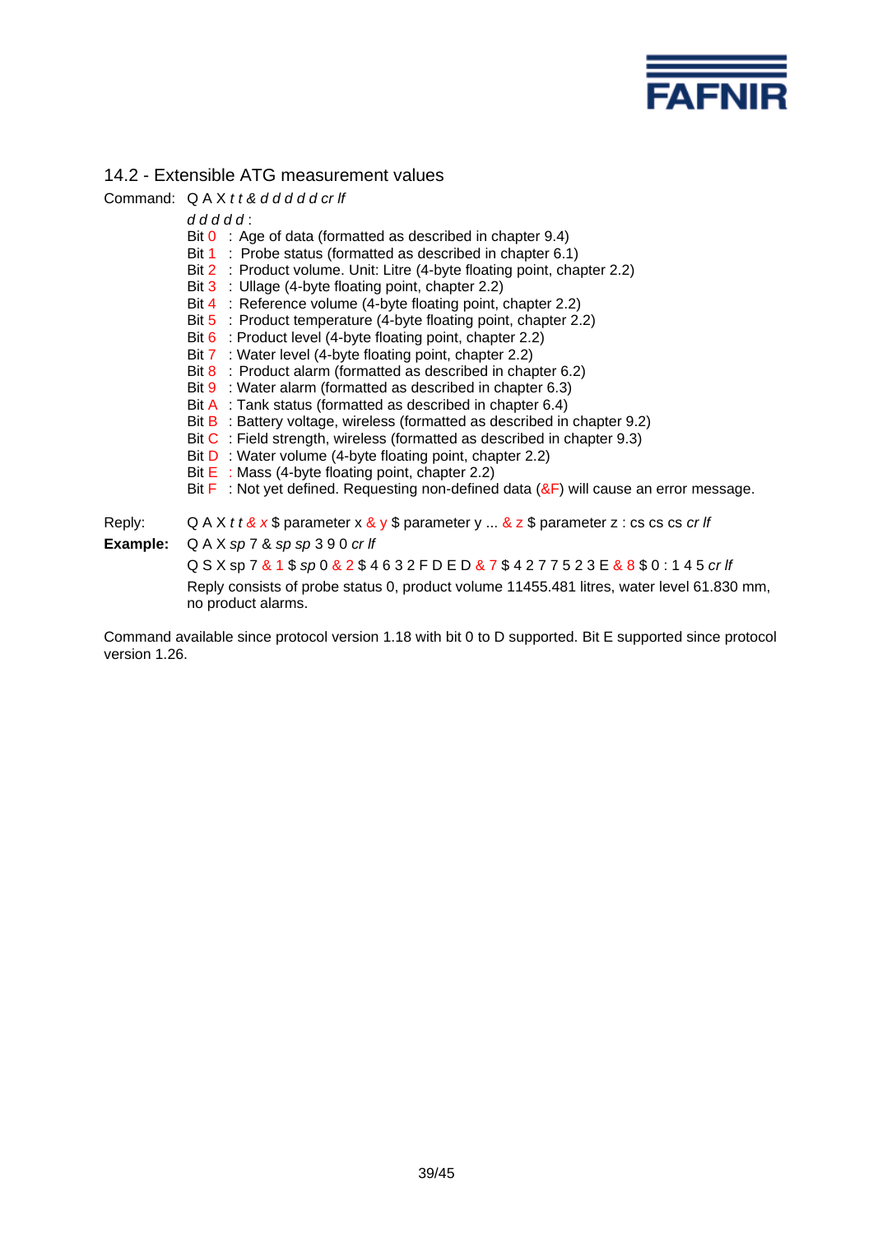

# 14.2 - Extensible ATG measurement values

Command: Q A X *t t & d d d d d cr lf d d d d d* : Bit 0 : Age of data (formatted as described in chapter 9.4) Bit 1 : Probe status (formatted as described in chapter 6.1) Bit 2 : Product volume. Unit: Litre (4-byte floating point, chapter 2.2) Bit 3 : Ullage (4-byte floating point, chapter 2.2) Bit 4 : Reference volume (4-byte floating point, chapter 2.2) Bit 5 : Product temperature (4-byte floating point, chapter 2.2) Bit 6 : Product level (4-byte floating point, chapter 2.2) Bit 7 : Water level (4-byte floating point, chapter 2.2) Bit 8 : Product alarm (formatted as described in chapter 6.2) Bit 9 : Water alarm (formatted as described in chapter 6.3) Bit A : Tank status (formatted as described in chapter 6.4) Bit  $\overline{B}$  : Battery voltage, wireless (formatted as described in chapter 9.2) Bit C : Field strength, wireless (formatted as described in chapter 9.3) Bit **D** : Water volume (4-byte floating point, chapter 2.2) Bit  $E$ : Mass (4-byte floating point, chapter 2.2) Bit  $\mathsf F$  : Not yet defined. Requesting non-defined data ( $\&\mathsf F$ ) will cause an error message. Reply: Q A X *t t & x* \$ parameter x & y \$ parameter y ... & z \$ parameter z : cs cs cs *cr lf* **Example:** Q A X *sp* 7 & *sp sp* 3 9 0 *cr lf* Q S X sp 7 & 1 \$ *sp* 0 & 2 \$ 4 6 3 2 F D E D & 7 \$ 4 2 7 7 5 2 3 E & 8 \$ 0 : 1 4 5 *cr lf* Reply consists of probe status 0, product volume 11455.481 litres, water level 61.830 mm, no product alarms.

Command available since protocol version 1.18 with bit 0 to D supported. Bit E supported since protocol version 1.26.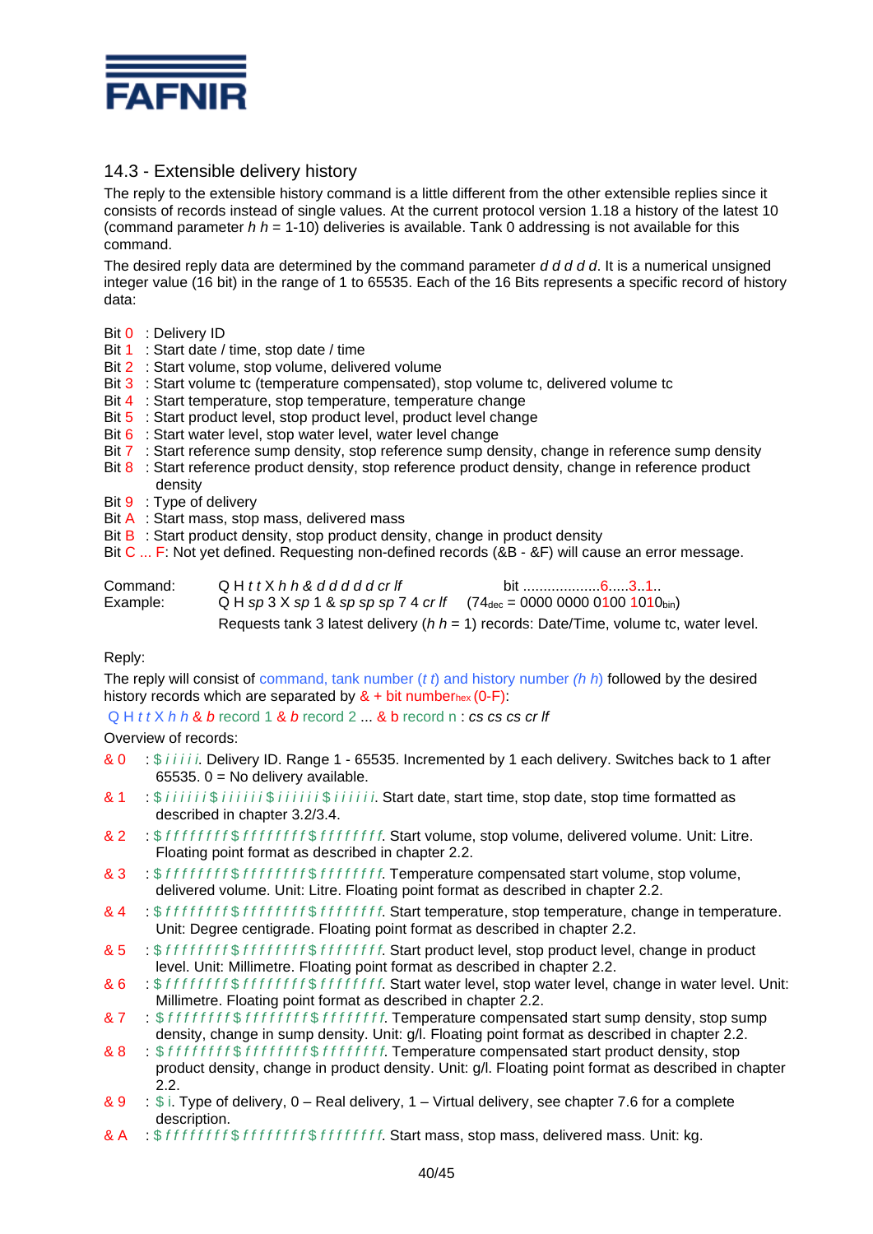

# 14.3 - Extensible delivery history

The reply to the extensible history command is a little different from the other extensible replies since it consists of records instead of single values. At the current protocol version 1.18 a history of the latest 10 (command parameter *h h* = 1-10) deliveries is available. Tank 0 addressing is not available for this command.

The desired reply data are determined by the command parameter *d d d d d*. It is a numerical unsigned integer value (16 bit) in the range of 1 to 65535. Each of the 16 Bits represents a specific record of history data:

- Bit 0 : Delivery ID
- Bit 1 : Start date / time, stop date / time
- Bit 2 : Start volume, stop volume, delivered volume
- Bit 3 : Start volume tc (temperature compensated), stop volume tc, delivered volume tc
- Bit 4 : Start temperature, stop temperature, temperature change
- Bit 5 : Start product level, stop product level, product level change
- Bit 6 : Start water level, stop water level, water level change
- Bit 7 : Start reference sump density, stop reference sump density, change in reference sump density
- Bit  $8$ : Start reference product density, stop reference product density, change in reference product density
- Bit 9 : Type of delivery
- Bit A : Start mass, stop mass, delivered mass
- Bit  $B$  : Start product density, stop product density, change in product density
- Bit C ... F: Not yet defined. Requesting non-defined records (&B &F) will cause an error message.

| Command: | $Q$ H $t$ t $X$ $h$ $h$ $\&$ $d$ $d$ $d$ $d$ $d$ $d$ $c$ r If                                  | bit …………………6……3…1…                                                                        |
|----------|------------------------------------------------------------------------------------------------|-------------------------------------------------------------------------------------------|
| Example: | Q H sp 3 X sp 1 & sp sp sp 7 4 cr If $(74_{\text{dec}} = 0000\,0000\,0100\,1010_{\text{bin}})$ |                                                                                           |
|          |                                                                                                | Requests tank 3 latest delivery ( $h h = 1$ ) records: Date/Time, volume tc, water level. |

#### Reply:

The reply will consist of command, tank number (*t t*) and history number *(h h*) followed by the desired history records which are separated by  $&+$  bit numberhex (0-F):

Q H *t t* X *h h* & *b* record 1 & *b* record 2 ... & b record n : *cs cs cs cr lf*

#### Overview of records:

- & 0 : \$ *i i i i i*. Delivery ID. Range 1 65535. Incremented by 1 each delivery. Switches back to 1 after 65535.  $0 =$  No delivery available.
- & 1 : \$ *i i i i i i* \$ *i i i i i i* \$ *i i i i i i* \$ *i i i i i i*. Start date, start time, stop date, stop time formatted as described in chapter 3.2/3.4.
- & 2 : \$ *f f f f f f f f* \$ *f f f f f f f f* \$ *f f f f f f f f*. Start volume, stop volume, delivered volume. Unit: Litre. Floating point format as described in chapter 2.2.
- & 3 : \$ *f f f f f f f f* \$ *f f f f f f f f* \$ *f f f f f f f f*. Temperature compensated start volume, stop volume, delivered volume. Unit: Litre. Floating point format as described in chapter 2.2.
- & 4 : \$ *f f f f f f f f* \$ *f f f f f f f f* \$ *f f f f f f f f*. Start temperature, stop temperature, change in temperature. Unit: Degree centigrade. Floating point format as described in chapter 2.2.
- & 5 : \$ *f f f f f f f f* \$ *f f f f f f f f* \$ *f f f f f f f f*. Start product level, stop product level, change in product level. Unit: Millimetre. Floating point format as described in chapter 2.2.
- & 6 : \$ *f f f f f f f f* \$ *f f f f f f f f* \$ *f f f f f f f f*. Start water level, stop water level, change in water level. Unit: Millimetre. Floating point format as described in chapter 2.2.
- & 7 : \$ *f f f f f f f f* \$ *f f f f f f f f* \$ *f f f f f f f f*. Temperature compensated start sump density, stop sump density, change in sump density. Unit: g/l. Floating point format as described in chapter 2.2.
- & 8 : \$ *f f f f f f f f* \$ *f f f f f f f f* \$ *f f f f f f f f*. Temperature compensated start product density, stop product density, change in product density. Unit: g/l. Floating point format as described in chapter 2.2.
- & 9 : \$ i. Type of delivery, 0 Real delivery, 1 Virtual delivery, see chapter 7.6 for a complete description.
- & A : \$ *f f f f f f f f* \$ *f f f f f f f f* \$ *f f f f f f f f*. Start mass, stop mass, delivered mass. Unit: kg.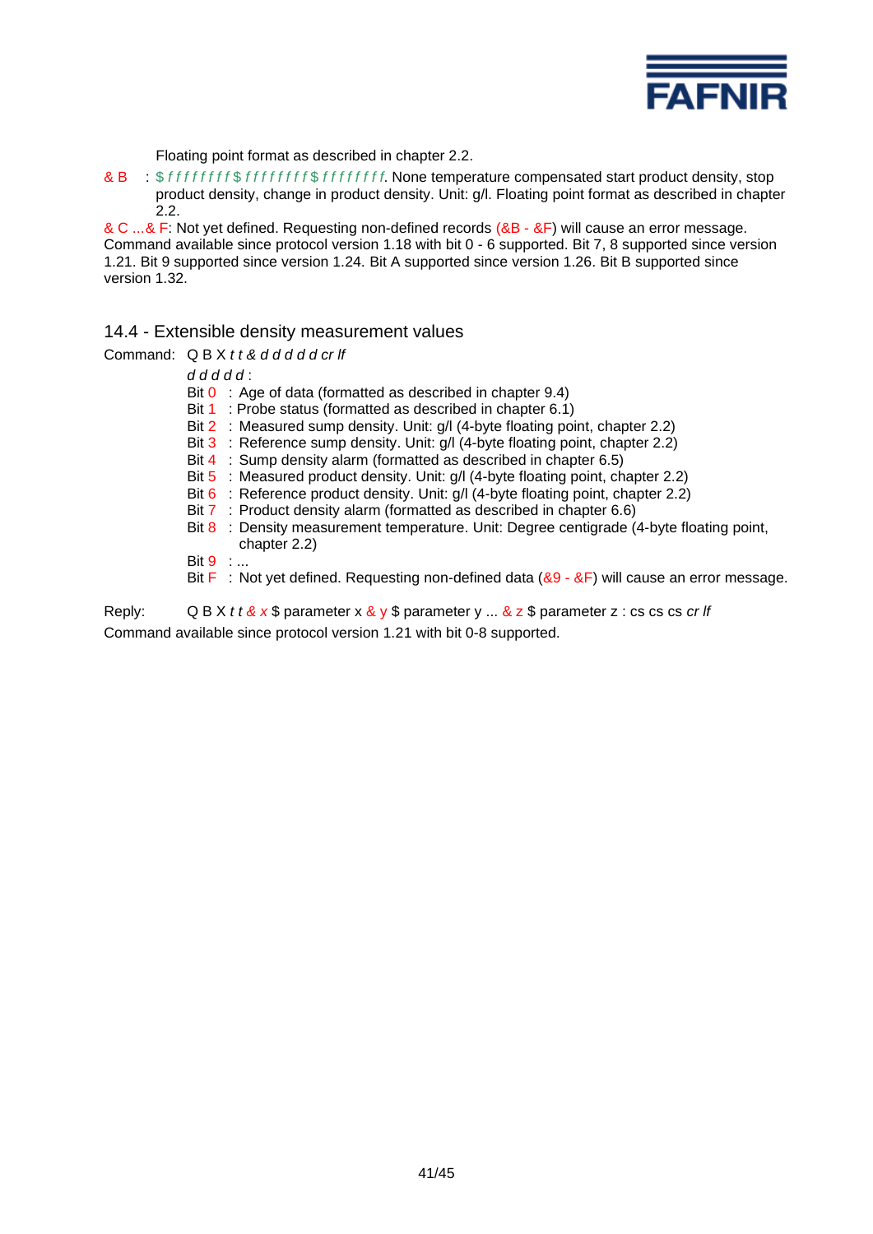

Floating point format as described in chapter 2.2.

& B : \$ *f f f f f f f f* \$ *f f f f f f f f* \$ *f f f f f f f f*. None temperature compensated start product density, stop product density, change in product density. Unit: g/l. Floating point format as described in chapter 2.2.

& C ...& F: Not yet defined. Requesting non-defined records (&B - &F) will cause an error message. Command available since protocol version 1.18 with bit 0 - 6 supported. Bit 7, 8 supported since version 1.21. Bit 9 supported since version 1.24. Bit A supported since version 1.26. Bit B supported since version 1.32.

14.4 - Extensible density measurement values

| Command: $Q B X t t \& d d d d d c r \&$                                                                      |  |  |  |  |  |  |  |
|---------------------------------------------------------------------------------------------------------------|--|--|--|--|--|--|--|
| $dddddd$ :                                                                                                    |  |  |  |  |  |  |  |
| Bit $0$ : Age of data (formatted as described in chapter 9.4)                                                 |  |  |  |  |  |  |  |
| : Probe status (formatted as described in chapter 6.1)<br>Bit 1                                               |  |  |  |  |  |  |  |
| Bit 2 : Measured sump density. Unit: g/l (4-byte floating point, chapter 2.2)                                 |  |  |  |  |  |  |  |
| Bit 3 : Reference sump density. Unit: g/l (4-byte floating point, chapter 2.2)                                |  |  |  |  |  |  |  |
| Bit 4 : Sump density alarm (formatted as described in chapter 6.5)                                            |  |  |  |  |  |  |  |
| Bit 5 : Measured product density. Unit: g/l (4-byte floating point, chapter 2.2)                              |  |  |  |  |  |  |  |
| Bit 6 : Reference product density. Unit: $g/l$ (4-byte floating point, chapter 2.2)                           |  |  |  |  |  |  |  |
| Bit 7 : Product density alarm (formatted as described in chapter 6.6)                                         |  |  |  |  |  |  |  |
| Bit $8$ : Density measurement temperature. Unit: Degree centigrade (4-byte floating point,<br>chapter $2.2$ ) |  |  |  |  |  |  |  |
| Bit $9 \ldots$                                                                                                |  |  |  |  |  |  |  |
| Bit $F$ : Not yet defined. Requesting non-defined data ( $&9 - &F$ ) will cause an error message.             |  |  |  |  |  |  |  |

Reply: Q B X *t t & x* \$ parameter x & y \$ parameter y ... & z \$ parameter z : cs cs cs *cr lf* Command available since protocol version 1.21 with bit 0-8 supported.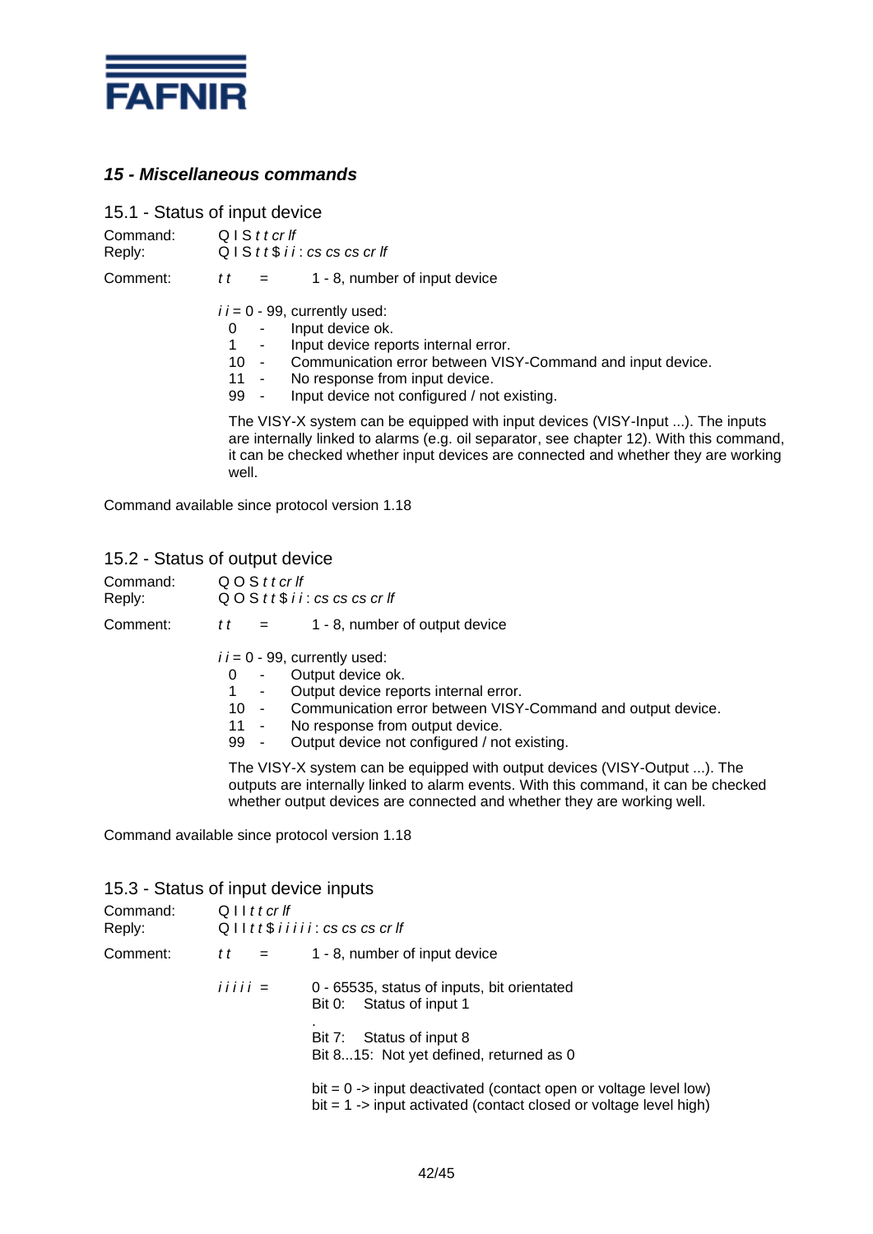

# *15 - Miscellaneous commands*

15.1 - Status of input device

Command: Q I S *t t cr lf*<br>Reply: Q I S *t t* \$ *i* : Reply: Q I S *t t* \$ *i i* : *cs cs cs cr lf*

Comment:  $t = 1 - 8$ , number of input device

 $i = 0 - 99$ , currently used:

- 0 Input device ok.
- 1 Input device reports internal error.<br>10 Communication error between VIS
- Communication error between VISY-Command and input device.
- 11 No response from input device.<br>99 Input device not configured / no
	- Input device not configured / not existing.

The VISY-X system can be equipped with input devices (VISY-Input ...). The inputs are internally linked to alarms (e.g. oil separator, see chapter 12). With this command, it can be checked whether input devices are connected and whether they are working well.

outputs are internally linked to alarm events. With this command, it can be checked

whether output devices are connected and whether they are working well.

Command available since protocol version 1.18

# 15.2 - Status of output device

| Command:<br>Reply: | QOSttcrlf<br>$QO S t t$ \$ i i : cs cs cs cr lf                                                                                                                                                                                                                                                                                                                                  |  |  |  |  |  |  |
|--------------------|----------------------------------------------------------------------------------------------------------------------------------------------------------------------------------------------------------------------------------------------------------------------------------------------------------------------------------------------------------------------------------|--|--|--|--|--|--|
| Comment:           | 1 - 8, number of output device<br>t t<br>$=$                                                                                                                                                                                                                                                                                                                                     |  |  |  |  |  |  |
|                    | $i = 0 - 99$ , currently used:<br>Output device ok.<br>0<br>$\sim$<br>Output device reports internal error.<br>$\sim$<br>Communication error between VISY-Command and output device.<br>$10 -$<br>No response from output device.<br>$11 -$<br>Output device not configured / not existing.<br>99 -<br>The VISY-X system can be equipped with output devices (VISY-Output ). The |  |  |  |  |  |  |

Command available since protocol version 1.18

#### 15.3 - Status of input device inputs

| Command:<br>Reply: |               | $Q$ I I t t cr If         |                                                                                                                                           |  |  |
|--------------------|---------------|---------------------------|-------------------------------------------------------------------------------------------------------------------------------------------|--|--|
| Comment:           | t t           | $\mathbf{r} = \mathbf{r}$ | 1 - 8, number of input device                                                                                                             |  |  |
|                    | $i i i i i =$ |                           | 0 - 65535, status of inputs, bit orientated<br>Status of input 1<br>Bit 0:                                                                |  |  |
|                    |               |                           | Bit 7: Status of input 8<br>Bit 815: Not yet defined, returned as 0                                                                       |  |  |
|                    |               |                           | $bit = 0$ -> input deactivated (contact open or voltage level low)<br>$bit = 1$ -> input activated (contact closed or voltage level high) |  |  |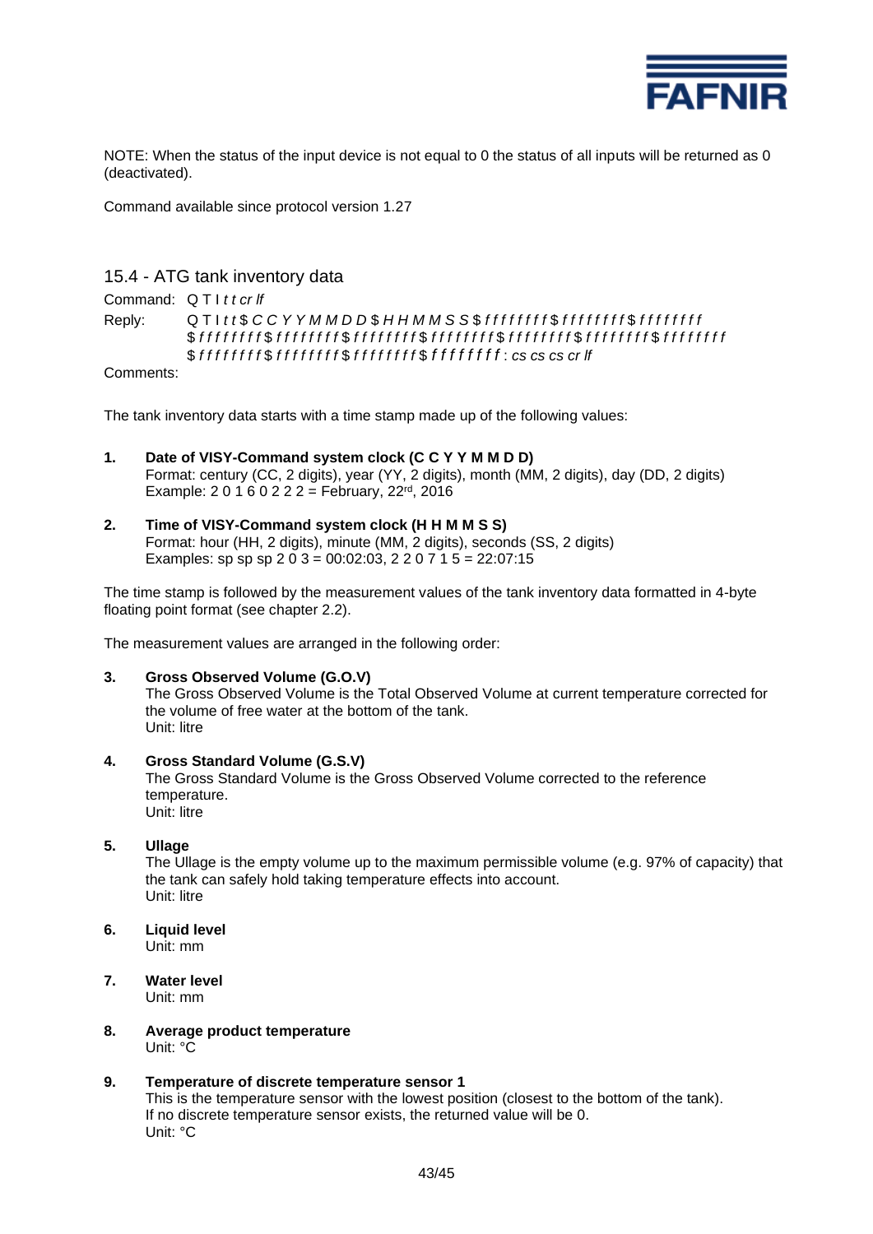

NOTE: When the status of the input device is not equal to 0 the status of all inputs will be returned as 0 (deactivated).

Command available since protocol version 1.27

# 15.4 - ATG tank inventory data

Command: Q T I *t t cr lf*

Reply: Q T I *t t* \$ *C C Y Y M M D D* \$ *H H M M S S* \$ *f f f f f f f f* \$ *f f f f f f f f* \$ *f f f f f f f f*  \$ *f f f f f f f f* \$ *f f f f f f f f* \$ *f f f f f f f f* \$ *f f f f f f f f* \$ *f f f f f f f f* \$ *f f f f f f f f* \$ *f f f f f f f f*  \$ *f f f f f f f f* \$ *f f f f f f f f* \$ *f f f f f f f f* \$ *f f f f f f f f* : *cs cs cs cr lf*

Comments:

The tank inventory data starts with a time stamp made up of the following values:

- **1. Date of VISY-Command system clock (C C Y Y M M D D)** Format: century (CC, 2 digits), year (YY, 2 digits), month (MM, 2 digits), day (DD, 2 digits) Example:  $20160222 = Februar, 22^{rd}, 2016$
- **2. Time of VISY-Command system clock (H H M M S S)** Format: hour (HH, 2 digits), minute (MM, 2 digits), seconds (SS, 2 digits) Examples: sp sp sp  $2\overline{0}$  3 = 00:02:03, 2 2 0 7 1 5 = 22:07:15

The time stamp is followed by the measurement values of the tank inventory data formatted in 4-byte floating point format (see chapter 2.2).

The measurement values are arranged in the following order:

#### **3. Gross Observed Volume (G.O.V)**

The Gross Observed Volume is the Total Observed Volume at current temperature corrected for the volume of free water at the bottom of the tank. Unit: litre

#### **4. Gross Standard Volume (G.S.V)**

The Gross Standard Volume is the Gross Observed Volume corrected to the reference temperature. Unit: litre

#### **5. Ullage**

The Ullage is the empty volume up to the maximum permissible volume (e.g. 97% of capacity) that the tank can safely hold taking temperature effects into account. Unit: litre

- **6. Liquid level** Unit: mm
- **7. Water level** Unit: mm

#### **8. Average product temperature** Unit: °C

#### **9. Temperature of discrete temperature sensor 1**

This is the temperature sensor with the lowest position (closest to the bottom of the tank). If no discrete temperature sensor exists, the returned value will be 0. Unit: °C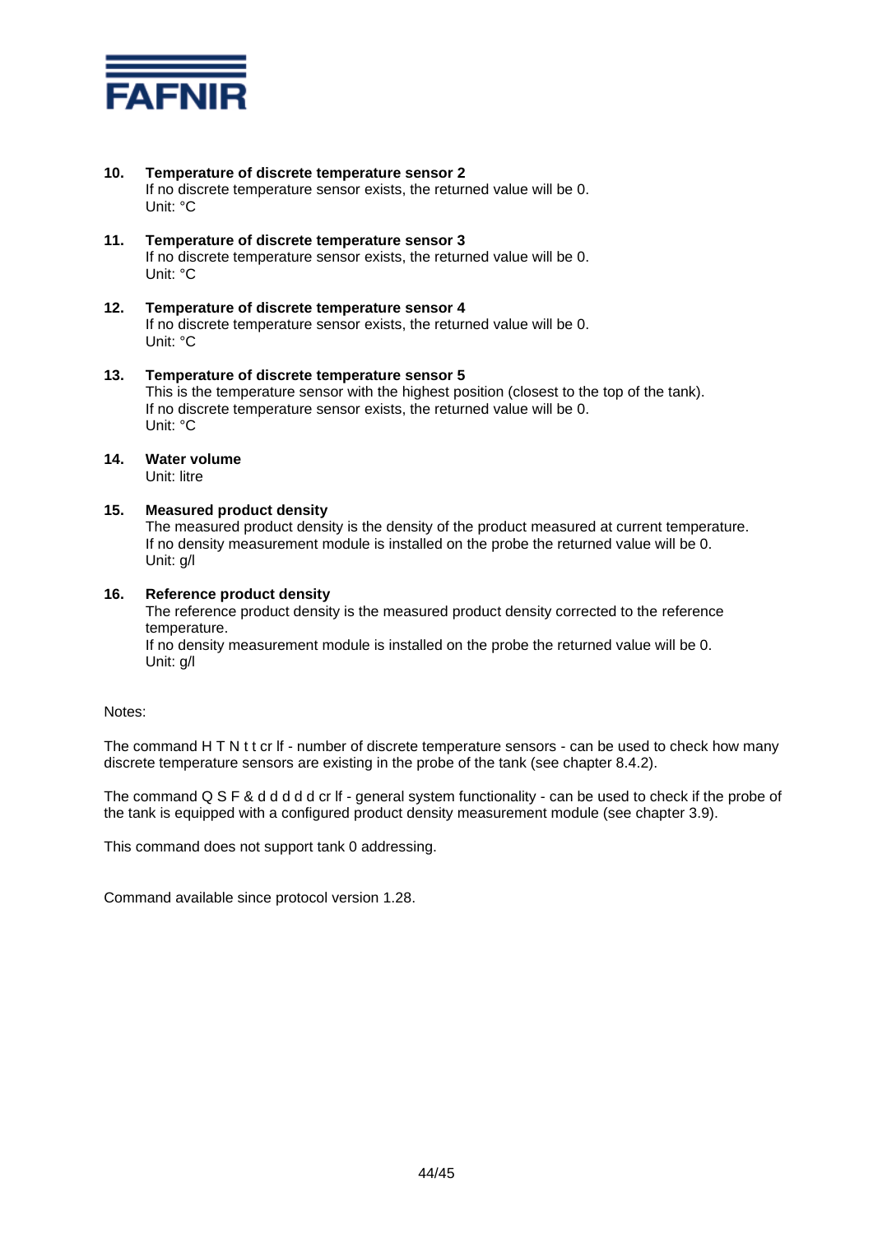

#### **10. Temperature of discrete temperature sensor 2**

If no discrete temperature sensor exists, the returned value will be 0. Unit: °C

- **11. Temperature of discrete temperature sensor 3** If no discrete temperature sensor exists, the returned value will be 0. Unit: °C
- **12. Temperature of discrete temperature sensor 4** If no discrete temperature sensor exists, the returned value will be 0. Unit: °C
- **13. Temperature of discrete temperature sensor 5** This is the temperature sensor with the highest position (closest to the top of the tank). If no discrete temperature sensor exists, the returned value will be 0. Unit: °C

# **14. Water volume**

Unit: litre

#### **15. Measured product density**

The measured product density is the density of the product measured at current temperature. If no density measurement module is installed on the probe the returned value will be 0. Unit: g/l

#### **16. Reference product density**

The reference product density is the measured product density corrected to the reference temperature.

If no density measurement module is installed on the probe the returned value will be 0. Unit: g/l

Notes:

The command H T N t t cr If - number of discrete temperature sensors - can be used to check how many discrete temperature sensors are existing in the probe of the tank (see chapter 8.4.2).

The command Q S F & d d d d d cr If - general system functionality - can be used to check if the probe of the tank is equipped with a configured product density measurement module (see chapter 3.9).

This command does not support tank 0 addressing.